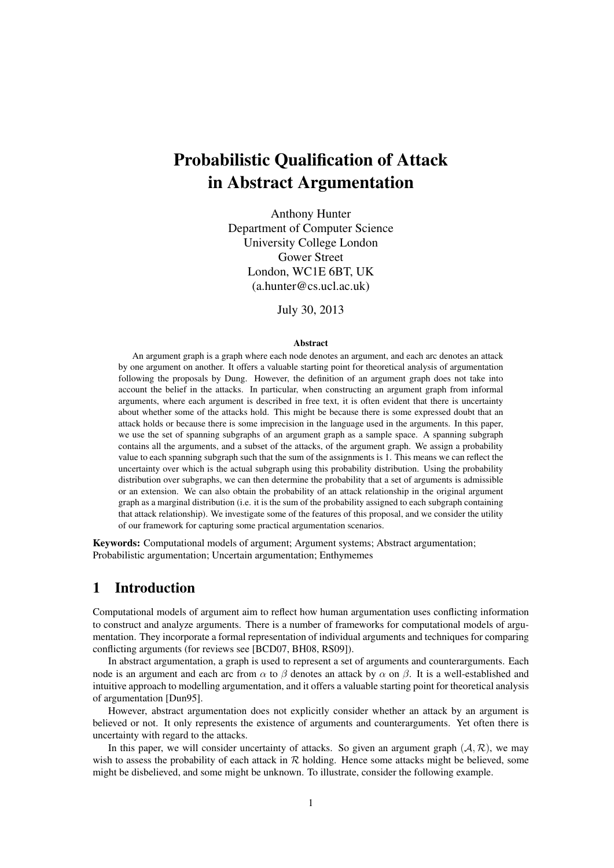# Probabilistic Qualification of Attack in Abstract Argumentation

Anthony Hunter Department of Computer Science University College London Gower Street London, WC1E 6BT, UK (a.hunter@cs.ucl.ac.uk)

July 30, 2013

#### Abstract

An argument graph is a graph where each node denotes an argument, and each arc denotes an attack by one argument on another. It offers a valuable starting point for theoretical analysis of argumentation following the proposals by Dung. However, the definition of an argument graph does not take into account the belief in the attacks. In particular, when constructing an argument graph from informal arguments, where each argument is described in free text, it is often evident that there is uncertainty about whether some of the attacks hold. This might be because there is some expressed doubt that an attack holds or because there is some imprecision in the language used in the arguments. In this paper, we use the set of spanning subgraphs of an argument graph as a sample space. A spanning subgraph contains all the arguments, and a subset of the attacks, of the argument graph. We assign a probability value to each spanning subgraph such that the sum of the assignments is 1. This means we can reflect the uncertainty over which is the actual subgraph using this probability distribution. Using the probability distribution over subgraphs, we can then determine the probability that a set of arguments is admissible or an extension. We can also obtain the probability of an attack relationship in the original argument graph as a marginal distribution (i.e. it is the sum of the probability assigned to each subgraph containing that attack relationship). We investigate some of the features of this proposal, and we consider the utility of our framework for capturing some practical argumentation scenarios.

Keywords: Computational models of argument; Argument systems; Abstract argumentation; Probabilistic argumentation; Uncertain argumentation; Enthymemes

# 1 Introduction

Computational models of argument aim to reflect how human argumentation uses conflicting information to construct and analyze arguments. There is a number of frameworks for computational models of argumentation. They incorporate a formal representation of individual arguments and techniques for comparing conflicting arguments (for reviews see [BCD07, BH08, RS09]).

In abstract argumentation, a graph is used to represent a set of arguments and counterarguments. Each node is an argument and each arc from  $\alpha$  to  $\beta$  denotes an attack by  $\alpha$  on  $\beta$ . It is a well-established and intuitive approach to modelling argumentation, and it offers a valuable starting point for theoretical analysis of argumentation [Dun95].

However, abstract argumentation does not explicitly consider whether an attack by an argument is believed or not. It only represents the existence of arguments and counterarguments. Yet often there is uncertainty with regard to the attacks.

In this paper, we will consider uncertainty of attacks. So given an argument graph  $(A, \mathcal{R})$ , we may wish to assess the probability of each attack in  $R$  holding. Hence some attacks might be believed, some might be disbelieved, and some might be unknown. To illustrate, consider the following example.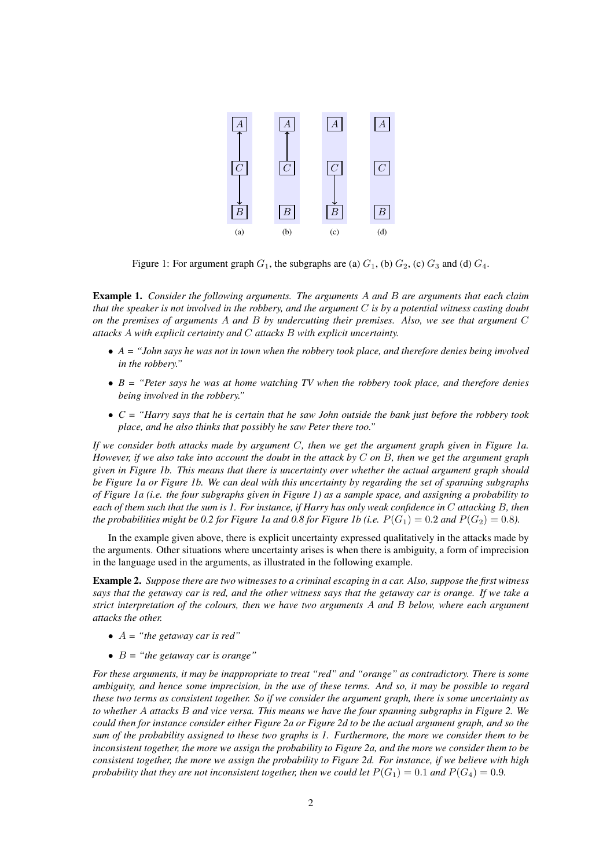

Figure 1: For argument graph  $G_1$ , the subgraphs are (a)  $G_1$ , (b)  $G_2$ , (c)  $G_3$  and (d)  $G_4$ .

Example 1. *Consider the following arguments. The arguments* A *and* B *are arguments that each claim that the speaker is not involved in the robbery, and the argument* C *is by a potential witness casting doubt on the premises of arguments* A *and* B *by undercutting their premises. Also, we see that argument* C *attacks* A *with explicit certainty and* C *attacks* B *with explicit uncertainty.*

- *A = "John says he was not in town when the robbery took place, and therefore denies being involved in the robbery."*
- *B = "Peter says he was at home watching TV when the robbery took place, and therefore denies being involved in the robbery."*
- *C = "Harry says that he is certain that he saw John outside the bank just before the robbery took place, and he also thinks that possibly he saw Peter there too."*

*If we consider both attacks made by argument* C*, then we get the argument graph given in Figure 1a. However, if we also take into account the doubt in the attack by* C *on* B*, then we get the argument graph given in Figure 1b. This means that there is uncertainty over whether the actual argument graph should be Figure 1a or Figure 1b. We can deal with this uncertainty by regarding the set of spanning subgraphs of Figure 1a (i.e. the four subgraphs given in Figure 1) as a sample space, and assigning a probability to each of them such that the sum is 1. For instance, if Harry has only weak confidence in* C *attacking* B*, then the probabilities might be 0.2 for Figure 1a and 0.8 for Figure 1b (i.e.*  $P(G_1) = 0.2$  *and*  $P(G_2) = 0.8$ ).

In the example given above, there is explicit uncertainty expressed qualitatively in the attacks made by the arguments. Other situations where uncertainty arises is when there is ambiguity, a form of imprecision in the language used in the arguments, as illustrated in the following example.

Example 2. *Suppose there are two witnesses to a criminal escaping in a car. Also, suppose the first witness says that the getaway car is red, and the other witness says that the getaway car is orange. If we take a strict interpretation of the colours, then we have two arguments* A *and* B *below, where each argument attacks the other.*

- A *= "the getaway car is red"*
- B *= "the getaway car is orange"*

*For these arguments, it may be inappropriate to treat "red" and "orange" as contradictory. There is some ambiguity, and hence some imprecision, in the use of these terms. And so, it may be possible to regard these two terms as consistent together. So if we consider the argument graph, there is some uncertainty as to whether* A *attacks* B *and vice versa. This means we have the four spanning subgraphs in Figure 2. We could then for instance consider either Figure 2a or Figure 2d to be the actual argument graph, and so the sum of the probability assigned to these two graphs is 1. Furthermore, the more we consider them to be inconsistent together, the more we assign the probability to Figure 2a, and the more we consider them to be consistent together, the more we assign the probability to Figure 2d. For instance, if we believe with high probability that they are not inconsistent together, then we could let*  $P(G_1) = 0.1$  *and*  $P(G_4) = 0.9$ *.*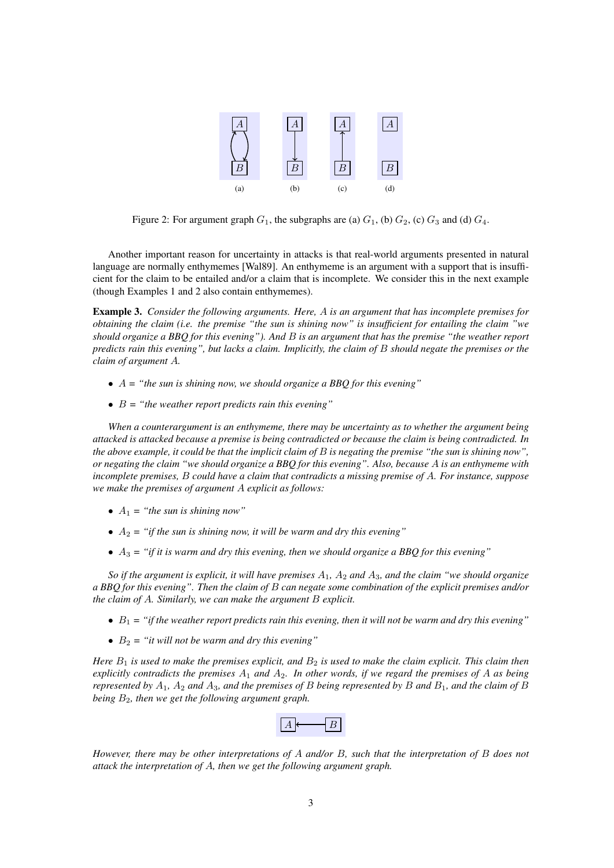

Figure 2: For argument graph  $G_1$ , the subgraphs are (a)  $G_1$ , (b)  $G_2$ , (c)  $G_3$  and (d)  $G_4$ .

Another important reason for uncertainty in attacks is that real-world arguments presented in natural language are normally enthymemes [Wal89]. An enthymeme is an argument with a support that is insufficient for the claim to be entailed and/or a claim that is incomplete. We consider this in the next example (though Examples 1 and 2 also contain enthymemes).

Example 3. *Consider the following arguments. Here,* A *is an argument that has incomplete premises for obtaining the claim (i.e. the premise "the sun is shining now" is insufficient for entailing the claim "we should organize a BBQ for this evening"). And* B *is an argument that has the premise "the weather report predicts rain this evening", but lacks a claim. Implicitly, the claim of* B *should negate the premises or the claim of argument* A*.*

- A *= "the sun is shining now, we should organize a BBQ for this evening"*
- B *= "the weather report predicts rain this evening"*

*When a counterargument is an enthymeme, there may be uncertainty as to whether the argument being attacked is attacked because a premise is being contradicted or because the claim is being contradicted. In the above example, it could be that the implicit claim of* B *is negating the premise "the sun is shining now", or negating the claim "we should organize a BBQ for this evening". Also, because* A *is an enthymeme with incomplete premises,* B *could have a claim that contradicts a missing premise of* A*. For instance, suppose we make the premises of argument* A *explicit as follows:*

- $A_1$  = "the sun is shining now"
- $A_2$  = "if the sun is shining now, it will be warm and dry this evening"
- A<sup>3</sup> *= "if it is warm and dry this evening, then we should organize a BBQ for this evening"*

*So if the argument is explicit, it will have premises* A1*,* A<sup>2</sup> *and* A3*, and the claim "we should organize a BBQ for this evening". Then the claim of* B *can negate some combination of the explicit premises and/or the claim of* A*. Similarly, we can make the argument* B *explicit.*

- $\bullet$   $B_1$  = "if the weather report predicts rain this evening, then it will not be warm and dry this evening"
- $B_2$  = "*it will not be warm and dry this evening*"

*Here*  $B_1$  *is used to make the premises explicit, and*  $B_2$  *is used to make the claim explicit. This claim then explicitly contradicts the premises*  $A_1$  *and*  $A_2$ . In other words, if we regard the premises of A as being *represented by*  $A_1$ ,  $A_2$  *and*  $A_3$ *, and the premises of* B *being represented by* B *and*  $B_1$ *, and the claim of* B *being*  $B_2$ *, then we get the following argument graph.* 



*However, there may be other interpretations of* A *and/or* B*, such that the interpretation of* B *does not attack the interpretation of* A*, then we get the following argument graph.*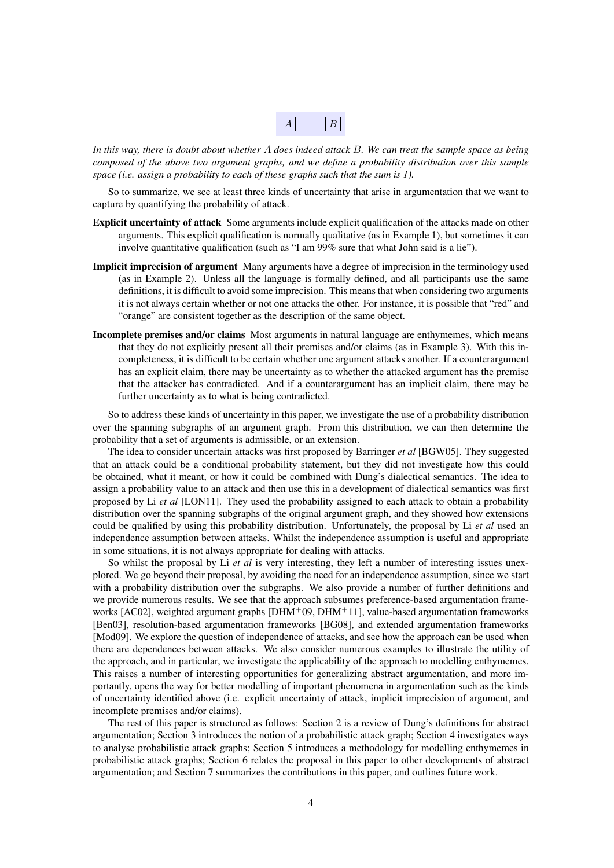

*In this way, there is doubt about whether* A *does indeed attack* B*. We can treat the sample space as being composed of the above two argument graphs, and we define a probability distribution over this sample space (i.e. assign a probability to each of these graphs such that the sum is 1).*

So to summarize, we see at least three kinds of uncertainty that arise in argumentation that we want to capture by quantifying the probability of attack.

- Explicit uncertainty of attack Some arguments include explicit qualification of the attacks made on other arguments. This explicit qualification is normally qualitative (as in Example 1), but sometimes it can involve quantitative qualification (such as "I am 99% sure that what John said is a lie").
- Implicit imprecision of argument Many arguments have a degree of imprecision in the terminology used (as in Example 2). Unless all the language is formally defined, and all participants use the same definitions, it is difficult to avoid some imprecision. This means that when considering two arguments it is not always certain whether or not one attacks the other. For instance, it is possible that "red" and "orange" are consistent together as the description of the same object.
- Incomplete premises and/or claims Most arguments in natural language are enthymemes, which means that they do not explicitly present all their premises and/or claims (as in Example 3). With this incompleteness, it is difficult to be certain whether one argument attacks another. If a counterargument has an explicit claim, there may be uncertainty as to whether the attacked argument has the premise that the attacker has contradicted. And if a counterargument has an implicit claim, there may be further uncertainty as to what is being contradicted.

So to address these kinds of uncertainty in this paper, we investigate the use of a probability distribution over the spanning subgraphs of an argument graph. From this distribution, we can then determine the probability that a set of arguments is admissible, or an extension.

The idea to consider uncertain attacks was first proposed by Barringer *et al* [BGW05]. They suggested that an attack could be a conditional probability statement, but they did not investigate how this could be obtained, what it meant, or how it could be combined with Dung's dialectical semantics. The idea to assign a probability value to an attack and then use this in a development of dialectical semantics was first proposed by Li *et al* [LON11]. They used the probability assigned to each attack to obtain a probability distribution over the spanning subgraphs of the original argument graph, and they showed how extensions could be qualified by using this probability distribution. Unfortunately, the proposal by Li *et al* used an independence assumption between attacks. Whilst the independence assumption is useful and appropriate in some situations, it is not always appropriate for dealing with attacks.

So whilst the proposal by Li *et al* is very interesting, they left a number of interesting issues unexplored. We go beyond their proposal, by avoiding the need for an independence assumption, since we start with a probability distribution over the subgraphs. We also provide a number of further definitions and we provide numerous results. We see that the approach subsumes preference-based argumentation frameworks [AC02], weighted argument graphs  $[DHM<sup>+</sup>09, DHM<sup>+</sup>11]$ , value-based argumentation frameworks [Ben03], resolution-based argumentation frameworks [BG08], and extended argumentation frameworks [Mod09]. We explore the question of independence of attacks, and see how the approach can be used when there are dependences between attacks. We also consider numerous examples to illustrate the utility of the approach, and in particular, we investigate the applicability of the approach to modelling enthymemes. This raises a number of interesting opportunities for generalizing abstract argumentation, and more importantly, opens the way for better modelling of important phenomena in argumentation such as the kinds of uncertainty identified above (i.e. explicit uncertainty of attack, implicit imprecision of argument, and incomplete premises and/or claims).

The rest of this paper is structured as follows: Section 2 is a review of Dung's definitions for abstract argumentation; Section 3 introduces the notion of a probabilistic attack graph; Section 4 investigates ways to analyse probabilistic attack graphs; Section 5 introduces a methodology for modelling enthymemes in probabilistic attack graphs; Section 6 relates the proposal in this paper to other developments of abstract argumentation; and Section 7 summarizes the contributions in this paper, and outlines future work.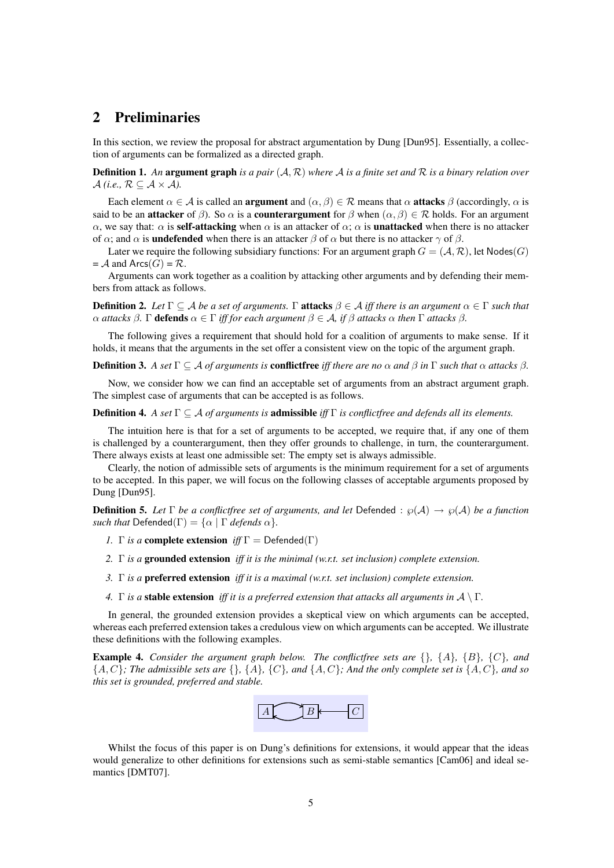# 2 Preliminaries

In this section, we review the proposal for abstract argumentation by Dung [Dun95]. Essentially, a collection of arguments can be formalized as a directed graph.

**Definition 1.** An argument graph is a pair  $(A, R)$  where A is a finite set and R is a binary relation over  $A$  *(i.e.,*  $R \subseteq A \times A$ ).

Each element  $\alpha \in A$  is called an **argument** and  $(\alpha, \beta) \in \mathcal{R}$  means that  $\alpha$  **attacks**  $\beta$  (accordingly,  $\alpha$  is said to be an **attacker** of  $\beta$ ). So  $\alpha$  is a **counterargument** for  $\beta$  when  $(\alpha, \beta) \in \mathcal{R}$  holds. For an argument α, we say that:  $\alpha$  is self-attacking when  $\alpha$  is an attacker of  $\alpha$ ;  $\alpha$  is unattacked when there is no attacker of  $\alpha$ ; and  $\alpha$  is **undefended** when there is an attacker  $\beta$  of  $\alpha$  but there is no attacker  $\gamma$  of  $\beta$ .

Later we require the following subsidiary functions: For an argument graph  $G = (\mathcal{A}, \mathcal{R})$ , let Nodes(G)  $=$  A and Arcs $(G)$  =  $\mathcal{R}$ .

Arguments can work together as a coalition by attacking other arguments and by defending their members from attack as follows.

**Definition 2.** Let  $\Gamma \subseteq A$  be a set of arguments.  $\Gamma$  attacks  $\beta \in A$  *iff there is an argument*  $\alpha \in \Gamma$  *such that* α *attacks* β*.* Γ defends α ∈ Γ *iff for each argument* β ∈ A*, if* β *attacks* α *then* Γ *attacks* β*.*

The following gives a requirement that should hold for a coalition of arguments to make sense. If it holds, it means that the arguments in the set offer a consistent view on the topic of the argument graph.

**Definition 3.** A set  $\Gamma \subseteq A$  of arguments is **conflict free** *iff there are no*  $\alpha$  *and*  $\beta$  *in*  $\Gamma$  *such that*  $\alpha$  *attacks*  $\beta$ *.* 

Now, we consider how we can find an acceptable set of arguments from an abstract argument graph. The simplest case of arguments that can be accepted is as follows.

**Definition 4.** *A set*  $\Gamma \subseteq A$  *of arguments is* **admissible** *iff*  $\Gamma$  *is conflictfree and defends all its elements.* 

The intuition here is that for a set of arguments to be accepted, we require that, if any one of them is challenged by a counterargument, then they offer grounds to challenge, in turn, the counterargument. There always exists at least one admissible set: The empty set is always admissible.

Clearly, the notion of admissible sets of arguments is the minimum requirement for a set of arguments to be accepted. In this paper, we will focus on the following classes of acceptable arguments proposed by Dung [Dun95].

**Definition 5.** Let  $\Gamma$  *be a conflictfree set of arguments, and let* Defended :  $\wp(A) \to \wp(A)$  *be a function such that* Defended( $\Gamma$ ) = { $\alpha$  |  $\Gamma$  *defends*  $\alpha$  }.

- *1.* Γ *is a* complete extension *iff*  $\Gamma$  = Defended(Γ)
- *2.* Γ *is a* grounded extension *iff it is the minimal (w.r.t. set inclusion) complete extension.*
- *3.* Γ *is a* preferred extension *iff it is a maximal (w.r.t. set inclusion) complete extension.*
- *4.* Γ *is a* **stable extension** *iff it is a preferred extension that attacks all arguments in*  $A \setminus \Gamma$ *.*

In general, the grounded extension provides a skeptical view on which arguments can be accepted, whereas each preferred extension takes a credulous view on which arguments can be accepted. We illustrate these definitions with the following examples.

Example 4. *Consider the argument graph below. The conflictfree sets are* {}*,* {A}*,* {B}*,* {C}*, and*  ${A, C}$ *; The admissible sets are*  ${}$ *,*  ${A}$ *,*  ${C}$ *, and*  ${A, C}$ *; And the only complete set is*  ${A, C}$ *, and so this set is grounded, preferred and stable.*



Whilst the focus of this paper is on Dung's definitions for extensions, it would appear that the ideas would generalize to other definitions for extensions such as semi-stable semantics [Cam06] and ideal semantics [DMT07].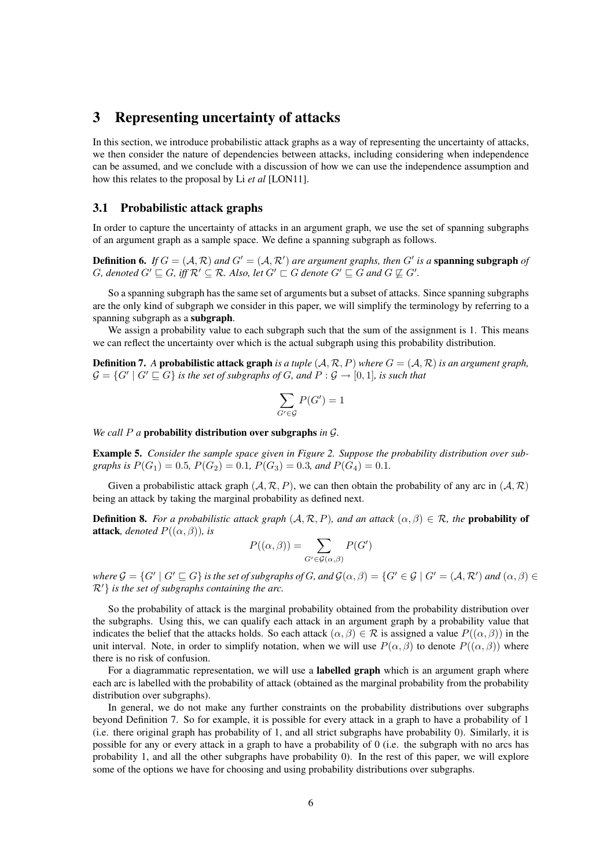## 3 Representing uncertainty of attacks

In this section, we introduce probabilistic attack graphs as a way of representing the uncertainty of attacks, we then consider the nature of dependencies between attacks, including considering when independence can be assumed, and we conclude with a discussion of how we can use the independence assumption and how this relates to the proposal by Li *et al* [LON11].

## 3.1 Probabilistic attack graphs

In order to capture the uncertainty of attacks in an argument graph, we use the set of spanning subgraphs of an argument graph as a sample space. We define a spanning subgraph as follows.

**Definition 6.** If  $G = (A, \mathcal{R})$  and  $G' = (A, \mathcal{R}')$  are argument graphs, then  $G'$  is a **spanning subgraph** of  $G$ , denoted  $G' \sqsubseteq G$ , iff  $\mathcal{R}' \subseteq \mathcal{R}$ . Also, let  $G' \sqsubset G$  denote  $G' \sqsubseteq G$  and  $G \not\sqsubseteq G'$ .

So a spanning subgraph has the same set of arguments but a subset of attacks. Since spanning subgraphs are the only kind of subgraph we consider in this paper, we will simplify the terminology by referring to a spanning subgraph as a subgraph.

We assign a probability value to each subgraph such that the sum of the assignment is 1. This means we can reflect the uncertainty over which is the actual subgraph using this probability distribution.

**Definition 7.** A probabilistic attack graph *is a tuple*  $(A, \mathcal{R}, P)$  *where*  $G = (A, \mathcal{R})$  *is an argument graph,*  $\mathcal{G} = \{G' \mid G' \sqsubseteq G\}$  is the set of subgraphs of G, and  $P : \mathcal{G} \to [0, 1]$ , is such that

$$
\sum_{G' \in \mathcal{G}} P(G') = 1
$$

*We call* P *a* probability distribution over subgraphs *in* G*.*

Example 5. *Consider the sample space given in Figure 2. Suppose the probability distribution over subgraphs is*  $P(G_1) = 0.5$ ,  $P(G_2) = 0.1$ ,  $P(G_3) = 0.3$ , and  $P(G_4) = 0.1$ .

Given a probabilistic attack graph  $(A, \mathcal{R}, P)$ , we can then obtain the probability of any arc in  $(A, \mathcal{R})$ being an attack by taking the marginal probability as defined next.

**Definition 8.** *For a probabilistic attack graph*  $(A, \mathcal{R}, P)$ *, and an attack*  $(\alpha, \beta) \in \mathcal{R}$ *, the* **probability of attack***, denoted*  $P((\alpha, \beta))$ *, is* 

$$
P((\alpha,\beta)) = \sum_{G' \in \mathcal{G}(\alpha,\beta)} P(G')
$$

*where*  $G = \{G' \mid G' \sqsubseteq G\}$  *is the set of subgraphs of*  $G$ *, and*  $\mathcal{G}(\alpha, \beta) = \{G' \in \mathcal{G} \mid G' = (\mathcal{A}, \mathcal{R}') \text{ and } (\alpha, \beta) \in \mathcal{G} \}$  $\mathcal{R}'$  *is the set of subgraphs containing the arc.* 

So the probability of attack is the marginal probability obtained from the probability distribution over the subgraphs. Using this, we can qualify each attack in an argument graph by a probability value that indicates the belief that the attacks holds. So each attack  $(\alpha, \beta) \in \mathcal{R}$  is assigned a value  $P((\alpha, \beta))$  in the unit interval. Note, in order to simplify notation, when we will use  $P(\alpha, \beta)$  to denote  $P((\alpha, \beta))$  where there is no risk of confusion.

For a diagrammatic representation, we will use a **labelled graph** which is an argument graph where each arc is labelled with the probability of attack (obtained as the marginal probability from the probability distribution over subgraphs).

In general, we do not make any further constraints on the probability distributions over subgraphs beyond Definition 7. So for example, it is possible for every attack in a graph to have a probability of 1 (i.e. there original graph has probability of 1, and all strict subgraphs have probability 0). Similarly, it is possible for any or every attack in a graph to have a probability of 0 (i.e. the subgraph with no arcs has probability 1, and all the other subgraphs have probability 0). In the rest of this paper, we will explore some of the options we have for choosing and using probability distributions over subgraphs.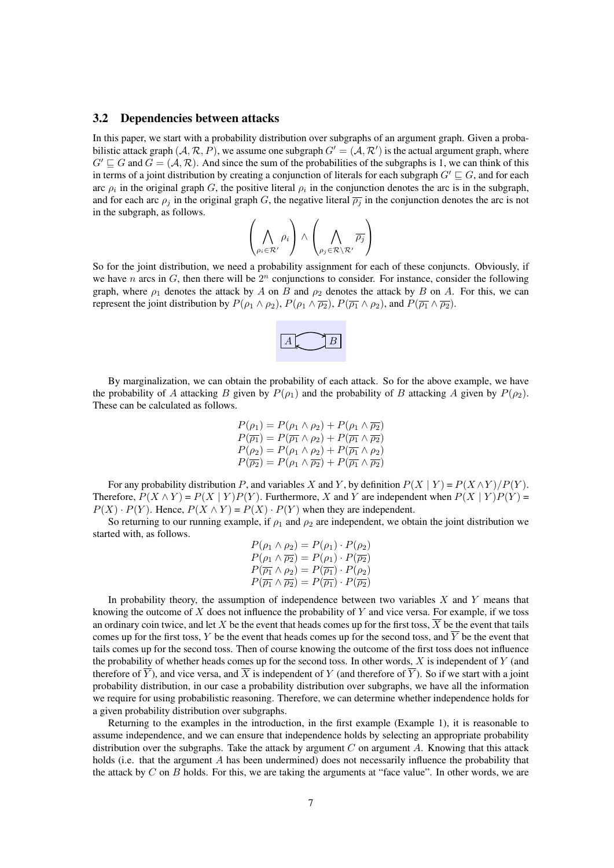## 3.2 Dependencies between attacks

In this paper, we start with a probability distribution over subgraphs of an argument graph. Given a probabilistic attack graph  $(A, \mathcal{R}, P)$ , we assume one subgraph  $G' = (A, \mathcal{R}')$  is the actual argument graph, where  $G' \sqsubseteq G$  and  $G = (A, R)$ . And since the sum of the probabilities of the subgraphs is 1, we can think of this in terms of a joint distribution by creating a conjunction of literals for each subgraph  $G' \sqsubset G$ , and for each arc  $\rho_i$  in the original graph G, the positive literal  $\rho_i$  in the conjunction denotes the arc is in the subgraph, and for each arc  $\rho_j$  in the original graph G, the negative literal  $\overline{\rho_j}$  in the conjunction denotes the arc is not in the subgraph, as follows.

$$
\left(\bigwedge_{\rho_i\in\mathcal{R}'}\rho_i\right)\wedge\left(\bigwedge_{\rho_j\in\mathcal{R}\backslash\mathcal{R}'}\overline{\rho_j}\right)
$$

So for the joint distribution, we need a probability assignment for each of these conjuncts. Obviously, if we have n arcs in  $G$ , then there will be  $2^n$  conjunctions to consider. For instance, consider the following graph, where  $\rho_1$  denotes the attack by A on B and  $\rho_2$  denotes the attack by B on A. For this, we can represent the joint distribution by  $P(\rho_1 \wedge \rho_2)$ ,  $P(\rho_1 \wedge \overline{\rho_2})$ ,  $P(\overline{\rho_1} \wedge \rho_2)$ , and  $P(\overline{\rho_1} \wedge \overline{\rho_2})$ .



By marginalization, we can obtain the probability of each attack. So for the above example, we have the probability of A attacking B given by  $P(\rho_1)$  and the probability of B attacking A given by  $P(\rho_2)$ . These can be calculated as follows.

$$
P(\rho_1) = P(\rho_1 \land \rho_2) + P(\rho_1 \land \overline{\rho_2})
$$
  
\n
$$
P(\overline{\rho_1}) = P(\overline{\rho_1} \land \rho_2) + P(\overline{\rho_1} \land \overline{\rho_2})
$$
  
\n
$$
P(\rho_2) = P(\rho_1 \land \rho_2) + P(\overline{\rho_1} \land \rho_2)
$$
  
\n
$$
P(\overline{\rho_2}) = P(\rho_1 \land \overline{\rho_2}) + P(\overline{\rho_1} \land \overline{\rho_2})
$$

For any probability distribution P, and variables X and Y, by definition  $P(X | Y) = P(X \wedge Y)/P(Y)$ . Therefore,  $P(X \wedge Y) = P(X | Y)P(Y)$ . Furthermore, X and Y are independent when  $P(X | Y)P(Y) =$  $P(X) \cdot P(Y)$ . Hence,  $P(X \wedge Y) = P(X) \cdot P(Y)$  when they are independent.

So returning to our running example, if  $\rho_1$  and  $\rho_2$  are independent, we obtain the joint distribution we started with, as follows.

$$
P(\rho_1 \land \rho_2) = P(\rho_1) \cdot P(\rho_2)
$$
  
\n
$$
P(\rho_1 \land \overline{\rho_2}) = P(\rho_1) \cdot P(\overline{\rho_2})
$$
  
\n
$$
P(\overline{\rho_1} \land \rho_2) = P(\overline{\rho_1}) \cdot P(\rho_2)
$$
  
\n
$$
P(\overline{\rho_1} \land \overline{\rho_2}) = P(\overline{\rho_1}) \cdot P(\overline{\rho_2})
$$

In probability theory, the assumption of independence between two variables  $X$  and  $Y$  means that knowing the outcome of  $X$  does not influence the probability of  $Y$  and vice versa. For example, if we toss an ordinary coin twice, and let X be the event that heads comes up for the first toss,  $\overline{X}$  be the event that tails comes up for the first toss, Y be the event that heads comes up for the second toss, and  $\overline{Y}$  be the event that tails comes up for the second toss. Then of course knowing the outcome of the first toss does not influence the probability of whether heads comes up for the second toss. In other words,  $X$  is independent of  $Y$  (and therefore of  $\overline{Y}$ ), and vice versa, and  $\overline{X}$  is independent of Y (and therefore of  $\overline{Y}$ ). So if we start with a joint probability distribution, in our case a probability distribution over subgraphs, we have all the information we require for using probabilistic reasoning. Therefore, we can determine whether independence holds for a given probability distribution over subgraphs.

Returning to the examples in the introduction, in the first example (Example 1), it is reasonable to assume independence, and we can ensure that independence holds by selecting an appropriate probability distribution over the subgraphs. Take the attack by argument  $C$  on argument  $A$ . Knowing that this attack holds (i.e. that the argument A has been undermined) does not necessarily influence the probability that the attack by  $C$  on  $B$  holds. For this, we are taking the arguments at "face value". In other words, we are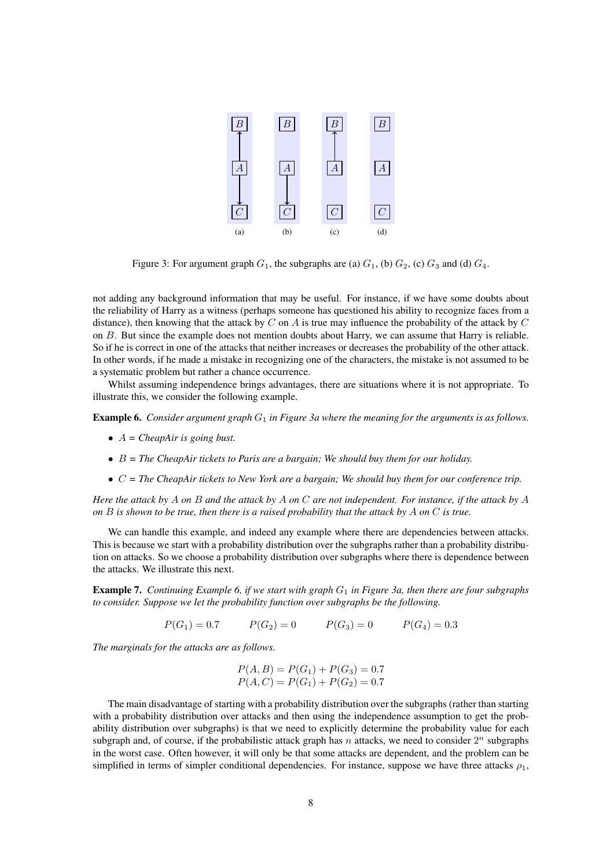

Figure 3: For argument graph  $G_1$ , the subgraphs are (a)  $G_1$ , (b)  $G_2$ , (c)  $G_3$  and (d)  $G_4$ .

not adding any background information that may be useful. For instance, if we have some doubts about the reliability of Harry as a witness (perhaps someone has questioned his ability to recognize faces from a distance), then knowing that the attack by C on A is true may influence the probability of the attack by C on B. But since the example does not mention doubts about Harry, we can assume that Harry is reliable. So if he is correct in one of the attacks that neither increases or decreases the probability of the other attack. In other words, if he made a mistake in recognizing one of the characters, the mistake is not assumed to be a systematic problem but rather a chance occurrence.

Whilst assuming independence brings advantages, there are situations where it is not appropriate. To illustrate this, we consider the following example.

Example 6. *Consider argument graph*  $G_1$  *in Figure 3a where the meaning for the arguments is as follows.* 

- A *= CheapAir is going bust.*
- B *= The CheapAir tickets to Paris are a bargain; We should buy them for our holiday.*
- C *= The CheapAir tickets to New York are a bargain; We should buy them for our conference trip.*

*Here the attack by* A *on* B *and the attack by* A *on* C *are not independent. For instance, if the attack by* A *on* B *is shown to be true, then there is a raised probability that the attack by* A *on* C *is true.*

We can handle this example, and indeed any example where there are dependencies between attacks. This is because we start with a probability distribution over the subgraphs rather than a probability distribution on attacks. So we choose a probability distribution over subgraphs where there is dependence between the attacks. We illustrate this next.

**Example 7.** *Continuing Example 6, if we start with graph*  $G_1$  *in Figure 3a, then there are four subgraphs to consider. Suppose we let the probability function over subgraphs be the following.*

 $P(G_1) = 0.7$   $P(G_2) = 0$   $P(G_3) = 0$   $P(G_4) = 0.3$ 

*The marginals for the attacks are as follows.*

$$
P(A, B) = P(G1) + P(G3) = 0.7
$$
  

$$
P(A, C) = P(G1) + P(G2) = 0.7
$$

The main disadvantage of starting with a probability distribution over the subgraphs (rather than starting with a probability distribution over attacks and then using the independence assumption to get the probability distribution over subgraphs) is that we need to explicitly determine the probability value for each subgraph and, of course, if the probabilistic attack graph has n attacks, we need to consider  $2^n$  subgraphs in the worst case. Often however, it will only be that some attacks are dependent, and the problem can be simplified in terms of simpler conditional dependencies. For instance, suppose we have three attacks  $\rho_1$ ,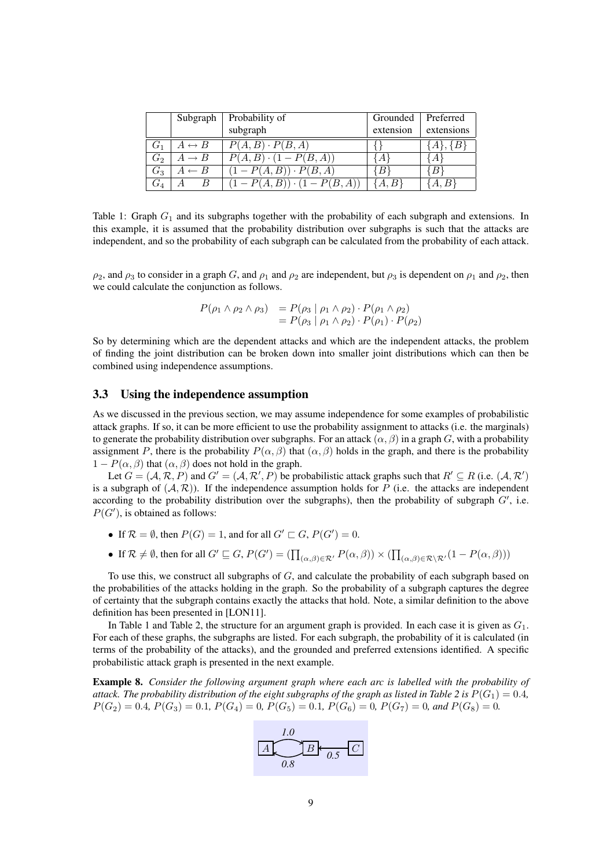|          | Subgraph              | Probability of                      | Grounded  | Preferred  |
|----------|-----------------------|-------------------------------------|-----------|------------|
|          |                       | subgraph                            | extension | extensions |
| $G_1$    | $A \leftrightarrow B$ | $P(A, B) \cdot P(B, A)$             |           |            |
| $G_2$    | $A \rightarrow B$     | $P(A, B) \cdot (1 - P(B, A))$       | A         | A          |
| $G_{3}$  | $A \leftarrow B$      | $(1 - P(A, B)) \cdot P(B, A)$       | B         | B          |
| $\, G_4$ |                       | $(1 - P(A, B)) \cdot (1 - P(B, A))$ | A. B      |            |

Table 1: Graph  $G_1$  and its subgraphs together with the probability of each subgraph and extensions. In this example, it is assumed that the probability distribution over subgraphs is such that the attacks are independent, and so the probability of each subgraph can be calculated from the probability of each attack.

 $\rho_2$ , and  $\rho_3$  to consider in a graph G, and  $\rho_1$  and  $\rho_2$  are independent, but  $\rho_3$  is dependent on  $\rho_1$  and  $\rho_2$ , then we could calculate the conjunction as follows.

$$
P(\rho_1 \wedge \rho_2 \wedge \rho_3) = P(\rho_3 | \rho_1 \wedge \rho_2) \cdot P(\rho_1 \wedge \rho_2)
$$
  
=  $P(\rho_3 | \rho_1 \wedge \rho_2) \cdot P(\rho_1) \cdot P(\rho_2)$ 

So by determining which are the dependent attacks and which are the independent attacks, the problem of finding the joint distribution can be broken down into smaller joint distributions which can then be combined using independence assumptions.

#### 3.3 Using the independence assumption

As we discussed in the previous section, we may assume independence for some examples of probabilistic attack graphs. If so, it can be more efficient to use the probability assignment to attacks (i.e. the marginals) to generate the probability distribution over subgraphs. For an attack  $(\alpha, \beta)$  in a graph G, with a probability assignment P, there is the probability  $P(\alpha, \beta)$  that  $(\alpha, \beta)$  holds in the graph, and there is the probability  $1 - P(\alpha, \beta)$  that  $(\alpha, \beta)$  does not hold in the graph.

Let  $G = (A, \mathcal{R}, P)$  and  $G' = (A, \mathcal{R}', P)$  be probabilistic attack graphs such that  $R' \subseteq R$  (i.e.  $(A, \mathcal{R}')$ ) is a subgraph of  $(A, \mathcal{R})$ ). If the independence assumption holds for P (i.e. the attacks are independent according to the probability distribution over the subgraphs), then the probability of subgraph  $G'$ , i.e.  $P(G')$ , is obtained as follows:

- If  $\mathcal{R} = \emptyset$ , then  $P(G) = 1$ , and for all  $G' \sqsubset G$ ,  $P(G') = 0$ .
- If  $\mathcal{R} \neq \emptyset$ , then for all  $G' \sqsubseteq G$ ,  $P(G') = (\prod_{(\alpha,\beta) \in \mathcal{R}'} P(\alpha,\beta)) \times (\prod_{(\alpha,\beta) \in \mathcal{R} \setminus \mathcal{R}'} (1 P(\alpha,\beta)))$

To use this, we construct all subgraphs of G, and calculate the probability of each subgraph based on the probabilities of the attacks holding in the graph. So the probability of a subgraph captures the degree of certainty that the subgraph contains exactly the attacks that hold. Note, a similar definition to the above definition has been presented in [LON11].

In Table 1 and Table 2, the structure for an argument graph is provided. In each case it is given as  $G_1$ . For each of these graphs, the subgraphs are listed. For each subgraph, the probability of it is calculated (in terms of the probability of the attacks), and the grounded and preferred extensions identified. A specific probabilistic attack graph is presented in the next example.

Example 8. *Consider the following argument graph where each arc is labelled with the probability of attack. The probability distribution of the eight subgraphs of the graph as listed in Table 2 is*  $P(G_1) = 0.4$ ,  $P(G_2) = 0.4$ ,  $P(G_3) = 0.1$ ,  $P(G_4) = 0$ ,  $P(G_5) = 0.1$ ,  $P(G_6) = 0$ ,  $P(G_7) = 0$ , and  $P(G_8) = 0$ .

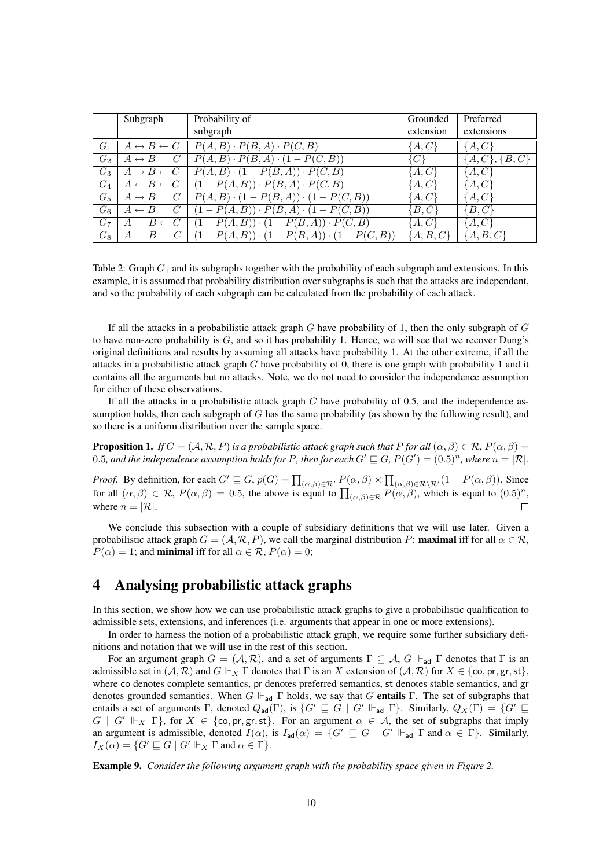|             | Subgraph                            | Probability of                                          | Grounded            | Preferred            |
|-------------|-------------------------------------|---------------------------------------------------------|---------------------|----------------------|
|             |                                     | subgraph                                                | extension           | extensions           |
| $G_1$       | $A \leftrightarrow B \leftarrow C$  | $P(A, B) \cdot P(B, A) \cdot P(C, B)$                   | A, C                | ${A, C}$             |
| $G_2$       | $\,C$<br>$A \leftrightarrow B$      | $P(A, B) \cdot P(B, A) \cdot (1 - P(C, B))$             | $\lfloor C \rfloor$ | $\{A, C\}, \{B, C\}$ |
| $G_3$       | $A \rightarrow B \leftarrow C$      | $P(A, B) \cdot (1 - P(B, A)) \cdot P(C, B)$             | A, C                | [A, C]               |
| $\, G_4 \,$ | $A \leftarrow B \leftarrow C$       | $(1 - P(A, B)) \cdot P(B, A) \cdot P(C, B)$             | A, C                | ${A, C}$             |
| $G_5$       | $\,C$<br>$A \rightarrow B$          | $P(A, B) \cdot (1 - P(B, A)) \cdot (1 - P(C, B))$       | A, C                | ${A, C}$             |
| $G_6$       | C<br>$A \leftarrow B$               | $(1 - P(A, B)) \cdot P(B, A) \cdot (1 - P(C, B))$       | B, C                | ${B, C}$             |
| $G_7$       | $B \leftarrow$<br>$\mathcal C$<br>A | $(1 - P(A, B)) \cdot (1 - P(B, A)) \cdot P(C, B)$       | [A, C]              | ${A, C}$             |
| $G_8$       | B<br>C<br>A                         | $(1 - P(A, B)) \cdot (1 - P(B, A)) \cdot (1 - P(C, B))$ | A, B, C             | $\{A, B, C\}$        |

Table 2: Graph  $G_1$  and its subgraphs together with the probability of each subgraph and extensions. In this example, it is assumed that probability distribution over subgraphs is such that the attacks are independent, and so the probability of each subgraph can be calculated from the probability of each attack.

If all the attacks in a probabilistic attack graph  $G$  have probability of 1, then the only subgraph of  $G$ to have non-zero probability is  $G$ , and so it has probability 1. Hence, we will see that we recover Dung's original definitions and results by assuming all attacks have probability 1. At the other extreme, if all the attacks in a probabilistic attack graph G have probability of 0, there is one graph with probability 1 and it contains all the arguments but no attacks. Note, we do not need to consider the independence assumption for either of these observations.

If all the attacks in a probabilistic attack graph  $G$  have probability of 0.5, and the independence assumption holds, then each subgraph of  $G$  has the same probability (as shown by the following result), and so there is a uniform distribution over the sample space.

**Proposition 1.** *If*  $G = (A, \mathcal{R}, P)$  *is a probabilistic attack graph such that* P *for all*  $(\alpha, \beta) \in \mathcal{R}$ ,  $P(\alpha, \beta) =$ 0.5, and the independence assumption holds for P, then for each  $G' \sqsubseteq G$ ,  $P(G') = (0.5)^n$ , where  $n = |\mathcal{R}|$ .

*Proof.* By definition, for each  $G' \sqsubseteq G$ ,  $p(G) = \prod_{(\alpha,\beta) \in \mathcal{R}'} P(\alpha,\beta) \times \prod_{(\alpha,\beta) \in \mathcal{R} \setminus \mathcal{R}'} (1 - P(\alpha,\beta))$ . Since for all  $(\alpha, \beta) \in \mathcal{R}$ ,  $P(\alpha, \beta) = 0.5$ , the above is equal to  $\prod_{(\alpha, \beta) \in \mathcal{R}} P(\alpha, \beta)$ , which is equal to  $(0.5)^n$ , where  $n = |\mathcal{R}|$ .  $\Box$ 

We conclude this subsection with a couple of subsidiary definitions that we will use later. Given a probabilistic attack graph  $G = (\mathcal{A}, \mathcal{R}, P)$ , we call the marginal distribution P: **maximal** iff for all  $\alpha \in \mathcal{R}$ ,  $P(\alpha) = 1$ ; and **minimal** iff for all  $\alpha \in \mathcal{R}$ ,  $P(\alpha) = 0$ ;

# 4 Analysing probabilistic attack graphs

In this section, we show how we can use probabilistic attack graphs to give a probabilistic qualification to admissible sets, extensions, and inferences (i.e. arguments that appear in one or more extensions).

In order to harness the notion of a probabilistic attack graph, we require some further subsidiary definitions and notation that we will use in the rest of this section.

For an argument graph  $G = (A, \mathcal{R})$ , and a set of arguments  $\Gamma \subseteq A$ ,  $G \Vdash_{ad} \Gamma$  denotes that  $\Gamma$  is an admissible set in  $(A, \mathcal{R})$  and  $G \Vdash_X \Gamma$  denotes that  $\Gamma$  is an X extension of  $(A, \mathcal{R})$  for  $X \in \{\text{co}, \text{pr}, \text{gr}, \text{st}\},\$ where co denotes complete semantics, pr denotes preferred semantics, st denotes stable semantics, and gr denotes grounded semantics. When G  $\Vdash_{\text{ad}} \Gamma$  holds, we say that G **entails**  $\Gamma$ . The set of subgraphs that entails a set of arguments Γ, denoted  $Q_{ad}(\Gamma)$ , is  $\{G' \sqsubseteq G \mid G' \Vdash_{ad} \Gamma\}$ . Similarly,  $Q_X(\Gamma) = \{G' \sqsubseteq$  $G \mid G' \Vdash_X \Gamma$ , for  $X \in \{\text{co}, \text{pr}, \text{gr}, \text{st}\}.$  For an argument  $\alpha \in \mathcal{A}$ , the set of subgraphs that imply an argument is admissible, denoted  $I(\alpha)$ , is  $I_{ad}(\alpha) = \{G' \sqsubseteq G \mid G' \Vdash_{ad} \Gamma \text{ and } \alpha \in \Gamma\}$ . Similarly,  $I_X(\alpha) = \{G' \sqsubseteq G \mid G' \Vdash_X \Gamma \text{ and } \alpha \in \Gamma\}.$ 

Example 9. *Consider the following argument graph with the probability space given in Figure 2.*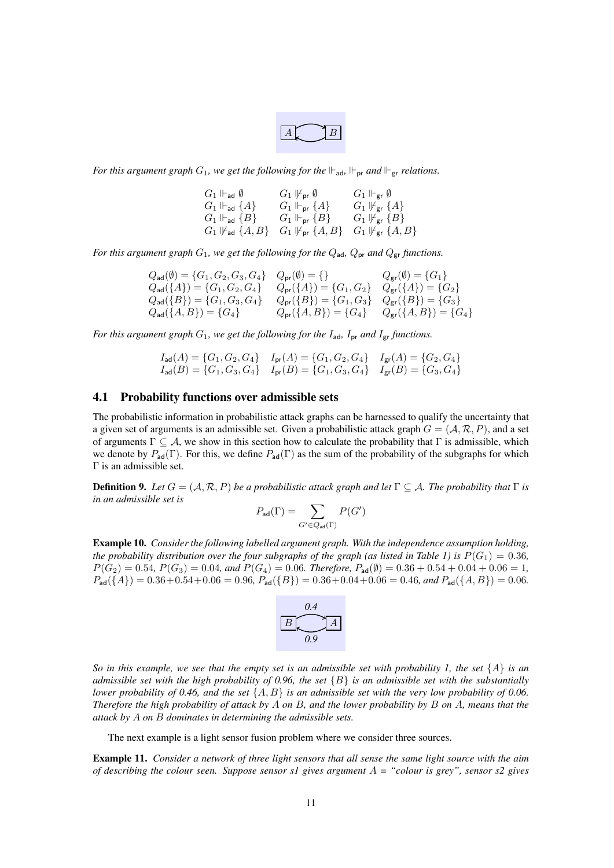*For this argument graph*  $G_1$ *, we get the following for the*  $\Vdash_{ad}$ *,*  $\Vdash_{pr}$  *and*  $\Vdash_{gr}$  *relations.* 

| $G_1 \Vdash_{\mathsf{ad}} \emptyset$    | $G_1 \not\Vdash_{\textsf{pr}} \emptyset$ | $G_1 \Vdash_{\sf gr} \emptyset$         |
|-----------------------------------------|------------------------------------------|-----------------------------------------|
| $G_1 \Vdash_{\mathsf{ad}} \{A\}$        | $G_1 \Vdash_{\textsf{pr}} \{A\}$         | $G_1 \not\Vdash_{\textsf{gr}} \{A\}$    |
| $G_1 \Vdash_{\mathsf{ad}} \{B\}$        | $G_1 \Vdash_{\mathsf{pr}} \{B\}$         | $G_1 \not\Vdash_{\textsf{gr}} \{B\}$    |
| $G_1 \not\Vdash_{\mathsf{ad}} \{A, B\}$ | $G_1 \not\Vdash_{\textsf{pr}} \{A, B\}$  | $G_1 \not\Vdash_{\textsf{gr}} \{A, B\}$ |

*For this argument graph*  $G_1$ *, we get the following for the*  $Q_{ad}$ *,*  $Q_{pr}$  *and*  $Q_{gr}$  *functions.* 

| $Q_{\text{ad}}(\emptyset) = \{G_1, G_2, G_3, G_4\}$ $Q_{\text{pr}}(\emptyset) = \{\}$ |                                                                        | $Q_{\rm gr}(\emptyset) = \{G_1\}$ |
|---------------------------------------------------------------------------------------|------------------------------------------------------------------------|-----------------------------------|
| $Q_{\text{ad}}(\{A\}) = \{G_1, G_2, G_4\}$                                            | $Q_{\text{pr}}(\{A\}) = \{G_1, G_2\}$ $Q_{\text{gr}}(\{A\}) = \{G_2\}$ |                                   |
| $Q_{\text{ad}}(\{B\}) = \{G_1, G_3, G_4\}$                                            | $Q_{\text{pr}}(\{B\}) = \{G_1, G_3\}$ $Q_{\text{gr}}(\{B\}) = \{G_3\}$ |                                   |
| $Q_{\sf ad}(\{A,B\}) = \{G_4\}.$                                                      | $Q_{\text{pr}}(\{A, B\}) = \{G_4\}$                                    | $Q_{\rm gr}(\{A,B\}) = \{G_4\}$   |

*For this argument graph*  $G_1$ *, we get the following for the*  $I_{ad}$ *,*  $I_{pr}$  *and*  $I_{gr}$  *functions.* 

$$
I_{ad}(A) = \{G_1, G_2, G_4\} \quad I_{pr}(A) = \{G_1, G_2, G_4\} \quad I_{gr}(A) = \{G_2, G_4\}
$$
  

$$
I_{ad}(B) = \{G_1, G_3, G_4\} \quad I_{pr}(B) = \{G_1, G_3, G_4\} \quad I_{gr}(B) = \{G_3, G_4\}
$$

#### 4.1 Probability functions over admissible sets

The probabilistic information in probabilistic attack graphs can be harnessed to qualify the uncertainty that a given set of arguments is an admissible set. Given a probabilistic attack graph  $G = (\mathcal{A}, \mathcal{R}, P)$ , and a set of arguments  $\Gamma \subseteq A$ , we show in this section how to calculate the probability that  $\Gamma$  is admissible, which we denote by  $P_{ad}(\Gamma)$ . For this, we define  $P_{ad}(\Gamma)$  as the sum of the probability of the subgraphs for which Γ is an admissible set.

**Definition 9.** Let  $G = (A, \mathcal{R}, P)$  be a probabilistic attack graph and let  $\Gamma \subseteq A$ . The probability that  $\Gamma$  is *in an admissible set is*

$$
P_{\text{ad}}(\Gamma) = \sum_{G' \in Q_{\text{ad}}(\Gamma)} P(G')
$$

Example 10. *Consider the following labelled argument graph. With the independence assumption holding, the probability distribution over the four subgraphs of the graph (as listed in Table 1) is*  $P(G_1) = 0.36$ ,  $P(G_2) = 0.54$ ,  $P(G_3) = 0.04$ , and  $P(G_4) = 0.06$ . Therefore,  $P_{ad}(\emptyset) = 0.36 + 0.54 + 0.04 + 0.06 = 1$ ,  $P_{\sf ad}(\{A\}) = 0.36 + 0.54 + 0.06 = 0.96, P_{\sf ad}(\{B\}) = 0.36 + 0.04 + 0.06 = 0.46,$  and  $P_{\sf ad}(\{A, B\}) = 0.06$ .



*So in this example, we see that the empty set is an admissible set with probability 1, the set* {A} *is an admissible set with the high probability of 0.96, the set* {B} *is an admissible set with the substantially lower probability of 0.46, and the set* {A, B} *is an admissible set with the very low probability of 0.06. Therefore the high probability of attack by* A *on* B*, and the lower probability by* B *on* A*, means that the attack by* A *on* B *dominates in determining the admissible sets.*

The next example is a light sensor fusion problem where we consider three sources.

Example 11. *Consider a network of three light sensors that all sense the same light source with the aim of describing the colour seen. Suppose sensor s1 gives argument* A *= "colour is grey", sensor s2 gives*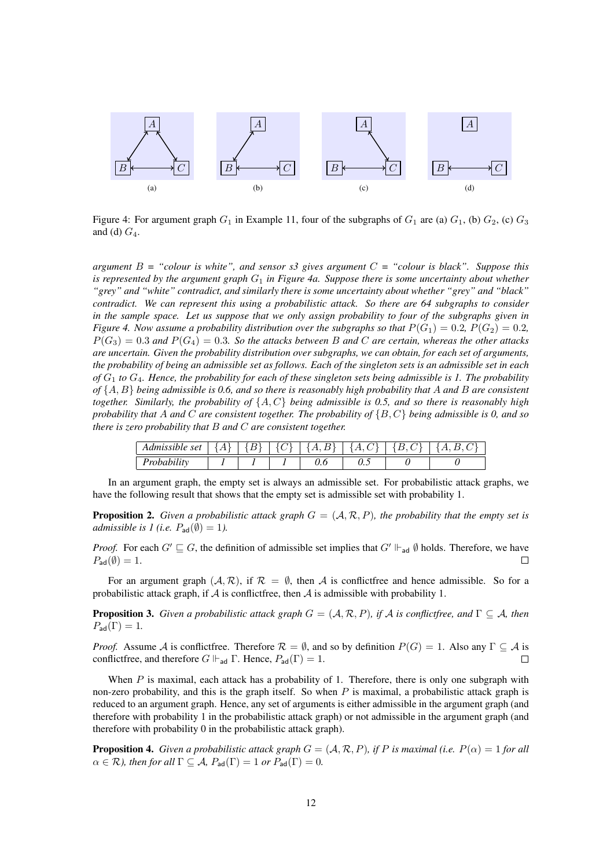

Figure 4: For argument graph  $G_1$  in Example 11, four of the subgraphs of  $G_1$  are (a)  $G_1$ , (b)  $G_2$ , (c)  $G_3$ and (d)  $G_4$ .

*argument* B *= "colour is white", and sensor s3 gives argument* C *= "colour is black". Suppose this is represented by the argument graph*  $G_1$  *in Figure 4a. Suppose there is some uncertainty about whether "grey" and "white" contradict, and similarly there is some uncertainty about whether "grey" and "black" contradict. We can represent this using a probabilistic attack. So there are 64 subgraphs to consider in the sample space. Let us suppose that we only assign probability to four of the subgraphs given in Figure 4. Now assume a probability distribution over the subgraphs so that*  $P(G_1) = 0.2$ ,  $P(G_2) = 0.2$ ,  $P(G_3) = 0.3$  *and*  $P(G_4) = 0.3$ *. So the attacks between* B *and* C *are certain, whereas the other attacks are uncertain. Given the probability distribution over subgraphs, we can obtain, for each set of arguments, the probability of being an admissible set as follows. Each of the singleton sets is an admissible set in each of* G<sup>1</sup> *to* G4*. Hence, the probability for each of these singleton sets being admissible is 1. The probability of* {A, B} *being admissible is 0.6, and so there is reasonably high probability that* A *and* B *are consistent together. Similarly, the probability of* {A, C} *being admissible is 0.5, and so there is reasonably high probability that* A *and* C *are consistent together. The probability of* {B, C} *being admissible is 0, and so there is zero probability that* B *and* C *are consistent together.*

| set<br>sible  | . . | ◡ | .                             | .<br>◡                        | ◡ |  |
|---------------|-----|---|-------------------------------|-------------------------------|---|--|
| $\mathcal{L}$ |     |   | $\mathsf{v} \cdot \mathsf{v}$ | $\mathsf{v} \cdot \mathsf{v}$ |   |  |

In an argument graph, the empty set is always an admissible set. For probabilistic attack graphs, we have the following result that shows that the empty set is admissible set with probability 1.

**Proposition 2.** Given a probabilistic attack graph  $G = (\mathcal{A}, \mathcal{R}, P)$ , the probability that the empty set is *admissible is 1 (i.e.*  $P_{ad}(\emptyset) = 1$ ).

*Proof.* For each  $G' \sqsubset G$ , the definition of admissible set implies that  $G' \Vdash_{ad} \emptyset$  holds. Therefore, we have  $P_{\text{ad}}(\emptyset) = 1.$  $\Box$ 

For an argument graph  $(A, \mathcal{R})$ , if  $\mathcal{R} = \emptyset$ , then A is conflictfree and hence admissible. So for a probabilistic attack graph, if A is conflictfree, then A is admissible with probability 1.

**Proposition 3.** *Given a probabilistic attack graph*  $G = (A, R, P)$ *, if* A *is conflictfree, and*  $\Gamma \subseteq A$ *, then*  $P_{\text{ad}}(\Gamma) = 1.$ 

*Proof.* Assume A is conflictfree. Therefore  $\mathcal{R} = \emptyset$ , and so by definition  $P(G) = 1$ . Also any  $\Gamma \subseteq \mathcal{A}$  is conflictfree, and therefore  $G \Vdash_{\text{ad}} \Gamma$ . Hence,  $P_{\text{ad}}(\Gamma) = 1$ .  $\Box$ 

When  $P$  is maximal, each attack has a probability of 1. Therefore, there is only one subgraph with non-zero probability, and this is the graph itself. So when  $P$  is maximal, a probabilistic attack graph is reduced to an argument graph. Hence, any set of arguments is either admissible in the argument graph (and therefore with probability 1 in the probabilistic attack graph) or not admissible in the argument graph (and therefore with probability 0 in the probabilistic attack graph).

**Proposition 4.** *Given a probabilistic attack graph*  $G = (A, R, P)$ *, if* P *is maximal* (*i.e.*  $P(\alpha) = 1$  *for all*  $\alpha \in \mathcal{R}$ *), then for all*  $\Gamma \subseteq \mathcal{A}$ *,*  $P_{ad}(\Gamma) = 1$  *or*  $P_{ad}(\Gamma) = 0$ *.*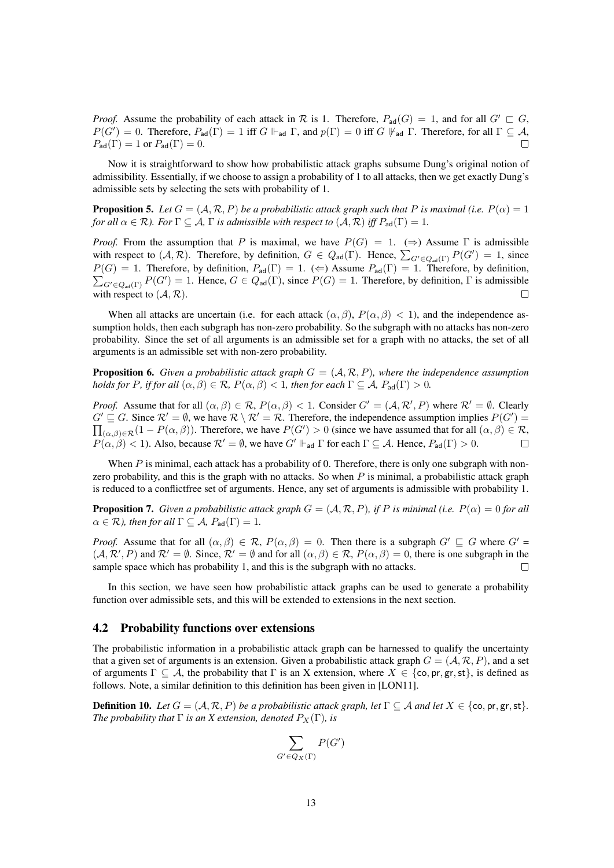*Proof.* Assume the probability of each attack in R is 1. Therefore,  $P_{ad}(G) = 1$ , and for all  $G' \sqsubset G$ ,  $P(G') = 0$ . Therefore,  $P_{ad}(\Gamma) = 1$  iff  $G \Vdash_{ad} \Gamma$ , and  $p(\Gamma) = 0$  iff  $G \Vdash_{ad} \Gamma$ . Therefore, for all  $\Gamma \subseteq A$ ,  $P_{\text{ad}}(\Gamma) = 1$  or  $P_{\text{ad}}(\Gamma) = 0$ .  $\Box$ 

Now it is straightforward to show how probabilistic attack graphs subsume Dung's original notion of admissibility. Essentially, if we choose to assign a probability of 1 to all attacks, then we get exactly Dung's admissible sets by selecting the sets with probability of 1.

**Proposition 5.** Let  $G = (\mathcal{A}, \mathcal{R}, P)$  be a probabilistic attack graph such that P is maximal (i.e.  $P(\alpha) = 1$ *for all*  $\alpha \in \mathcal{R}$ *). For*  $\Gamma \subseteq \mathcal{A}$ *,*  $\Gamma$  *is admissible with respect to*  $(\mathcal{A}, \mathcal{R})$  *iff*  $P_{ad}(\Gamma) = 1$ *.* 

*Proof.* From the assumption that P is maximal, we have  $P(G) = 1$ . ( $\Rightarrow$ ) Assume Γ is admissible with respect to  $(A, R)$ . Therefore, by definition,  $G \in Q_{ad}(\Gamma)$ . Hence,  $\sum_{G' \in Q_{ad}(\Gamma)} P(G') = 1$ , since  $P(G) = 1$ . Therefore, by definition,  $P_{ad}(\Gamma) = 1$ .  $(\Leftarrow)$  Assume  $P_{ad}(\Gamma) = 1$ . Therefore, by definition,  $\sum_{G' \in Q_{ad}(\Gamma)} P(G') = 1$ . Hence,  $G \in Q_{ad}(\Gamma)$ , since  $P(G) = 1$ . Therefore, by definition,  $\Gamma$  is admissible with respect to  $(A, \mathcal{R})$ .  $\Box$ 

When all attacks are uncertain (i.e. for each attack  $(\alpha, \beta)$ ,  $P(\alpha, \beta) < 1$ ), and the independence assumption holds, then each subgraph has non-zero probability. So the subgraph with no attacks has non-zero probability. Since the set of all arguments is an admissible set for a graph with no attacks, the set of all arguments is an admissible set with non-zero probability.

Proposition 6. *Given a probabilistic attack graph* G = (A, R, P)*, where the independence assumption holds for* P, *if for all*  $(\alpha, \beta) \in \mathcal{R}$ ,  $P(\alpha, \beta) < 1$ , *then for each*  $\Gamma \subseteq A$ ,  $P_{ad}(\Gamma) > 0$ .

*Proof.* Assume that for all  $(\alpha, \beta) \in \mathcal{R}$ ,  $P(\alpha, \beta) < 1$ . Consider  $G' = (\mathcal{A}, \mathcal{R}', P)$  where  $\mathcal{R}' = \emptyset$ . Clearly  $G' \sqsubseteq G$ . Since  $\mathcal{R}' = \emptyset$ , we have  $\mathcal{R} \setminus \mathcal{R}' = \mathcal{R}$ . Therefore, the independence assumption implies  $P(G') =$  $\prod_{(\alpha,\beta)\in\mathcal{R}}(1-P(\alpha,\beta))$ . Therefore, we have  $P(G')>0$  (since we have assumed that for all  $(\alpha,\beta)\in\mathcal{R}$ ,  $P(\alpha, \beta) < 1$ ). Also, because  $\mathcal{R}' = \emptyset$ , we have  $G' \Vdash_{ad} \Gamma$  for each  $\Gamma \subseteq \mathcal{A}$ . Hence,  $P_{ad}(\Gamma) > 0$ .  $\Box$ 

When  $P$  is minimal, each attack has a probability of 0. Therefore, there is only one subgraph with nonzero probability, and this is the graph with no attacks. So when  $P$  is minimal, a probabilistic attack graph is reduced to a conflictfree set of arguments. Hence, any set of arguments is admissible with probability 1.

**Proposition 7.** *Given a probabilistic attack graph*  $G = (\mathcal{A}, \mathcal{R}, P)$ *, if* P *is minimal* (*i.e.*  $P(\alpha) = 0$  *for all*  $\alpha \in \mathcal{R}$ *), then for all*  $\Gamma \subseteq \mathcal{A}$ *, P*<sub>ad</sub> $(\Gamma) = 1$ *.* 

*Proof.* Assume that for all  $(\alpha, \beta) \in \mathcal{R}$ ,  $P(\alpha, \beta) = 0$ . Then there is a subgraph  $G' \sqsubseteq G$  where  $G' =$  $(A, \mathcal{R}', P)$  and  $\mathcal{R}' = \emptyset$ . Since,  $\mathcal{R}' = \emptyset$  and for all  $(\alpha, \beta) \in \mathcal{R}$ ,  $P(\alpha, \beta) = 0$ , there is one subgraph in the sample space which has probability 1, and this is the subgraph with no attacks.

In this section, we have seen how probabilistic attack graphs can be used to generate a probability function over admissible sets, and this will be extended to extensions in the next section.

#### 4.2 Probability functions over extensions

The probabilistic information in a probabilistic attack graph can be harnessed to qualify the uncertainty that a given set of arguments is an extension. Given a probabilistic attack graph  $G = (\mathcal{A}, \mathcal{R}, P)$ , and a set of arguments  $\Gamma \subseteq A$ , the probability that  $\Gamma$  is an X extension, where  $X \in \{\text{co}, \text{pr}, \text{gr}, \text{st}\}\)$ , is defined as follows. Note, a similar definition to this definition has been given in [LON11].

**Definition 10.** *Let*  $G = (\mathcal{A}, \mathcal{R}, P)$  *be a probabilistic attack graph, let*  $\Gamma \subseteq \mathcal{A}$  *and let*  $X \in \{\text{co}, \text{pr}, \text{gr}, \text{st}\}.$ *The probability that*  $\Gamma$  *is an X extension, denoted*  $P_X(\Gamma)$ *, is* 

$$
\sum_{G' \in Q_X(\Gamma)} P(G')
$$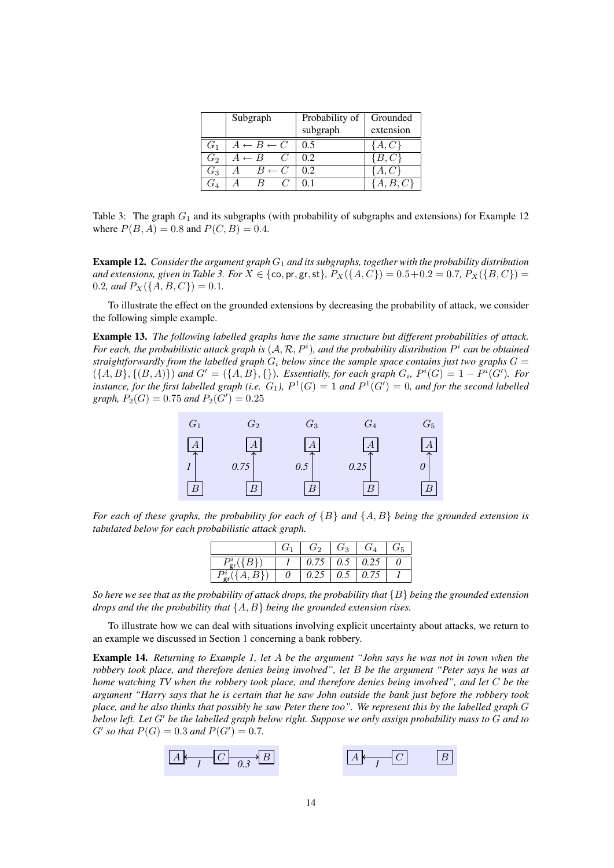|             | Subgraph                      | Probability of | Grounded  |
|-------------|-------------------------------|----------------|-----------|
|             |                               | subgraph       | extension |
| $G_1$       | $A \leftarrow B \leftarrow C$ | 0.5            | A, C      |
| $G_2$       | $A \leftarrow B$              | 0.2            | $\{B,C\}$ |
| $G_3$       | $B \leftarrow C$              | 0.2            | A, C      |
| $\, G_4 \,$ |                               | 0.1            | A, B, C   |

Table 3: The graph  $G_1$  and its subgraphs (with probability of subgraphs and extensions) for Example 12 where  $P(B, A) = 0.8$  and  $P(C, B) = 0.4$ .

Example 12. *Consider the argument graph*  $G_1$  *and its subgraphs, together with the probability distribution and extensions, given in Table 3. For*  $X \in \{\infty, \text{pr}, \text{gr}, \text{st}\}, P_X(\{A, C\}) = 0.5 + 0.2 = 0.7, P_X(\{B, C\}) = 0.5 + 0.2$ 0.2*, and*  $P_X({A, B, C}) = 0.1$ *.* 

To illustrate the effect on the grounded extensions by decreasing the probability of attack, we consider the following simple example.

Example 13. *The following labelled graphs have the same structure but different probabilities of attack. For each, the probabilistic attack graph is* (A, R, P<sup>i</sup> )*, and the probability distribution* P i *can be obtained straightforwardly from the labelled graph*  $G_i$  *below since the sample space contains just two graphs*  $G =$  $(\{A, B\}, \{(B, A)\})$  and  $G' = (\{A, B\}, \{\})$ . Essentially, for each graph  $G_i$ ,  $P^i(G) = 1 - P^i(G')$ . For instance, for the first labelled graph (i.e.  $G_1$ ),  $P^1(G) = 1$  and  $P^1(G') = 0$ , and for the second labelled *graph,*  $P_2(G) = 0.75$  *and*  $P_2(G') = 0.25$ 



*For each of these graphs, the probability for each of* {B} *and* {A, B} *being the grounded extension is tabulated below for each probabilistic attack graph.*

|  | $G_2$                   | $G_3$ | $G_4$                   |  |
|--|-------------------------|-------|-------------------------|--|
|  |                         |       | $0.75$   $0.5$   $0.25$ |  |
|  | $0.25 \pm 0.5 \pm 0.75$ |       |                         |  |

*So here we see that as the probability of attack drops, the probability that* {B} *being the grounded extension drops and the the probability that* {A, B} *being the grounded extension rises.*

To illustrate how we can deal with situations involving explicit uncertainty about attacks, we return to an example we discussed in Section 1 concerning a bank robbery.

Example 14. *Returning to Example 1, let* A *be the argument "John says he was not in town when the robbery took place, and therefore denies being involved", let* B *be the argument "Peter says he was at home watching TV when the robbery took place, and therefore denies being involved", and let* C *be the argument "Harry says that he is certain that he saw John outside the bank just before the robbery took place, and he also thinks that possibly he saw Peter there too". We represent this by the labelled graph* G *below left. Let* G' *be the labelled graph below right. Suppose we only assign probability mass to* G *and to*  $G'$  so that  $P(G) = 0.3$  and  $P(G') = 0.7$ .

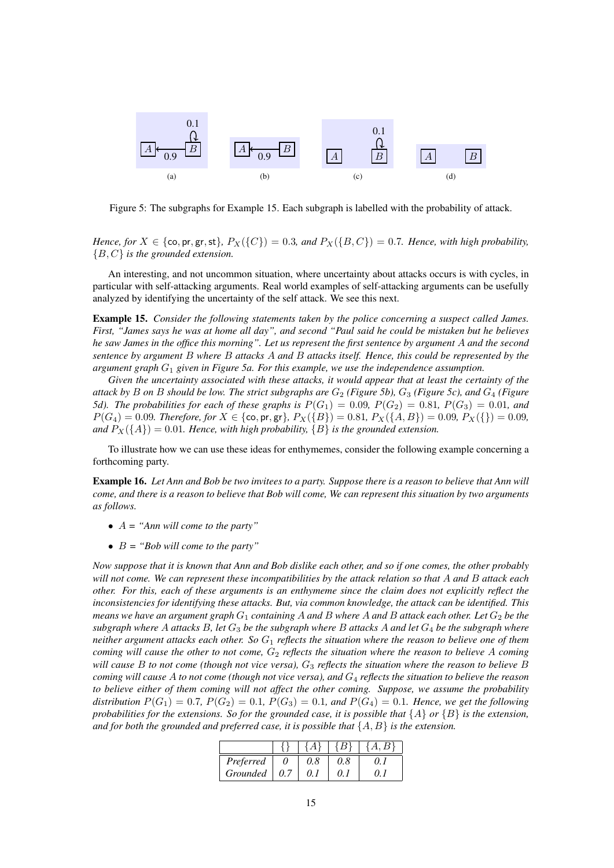

Figure 5: The subgraphs for Example 15. Each subgraph is labelled with the probability of attack.

*Hence, for*  $X \in \{\text{co}, \text{pr}, \text{gr}, \text{st}\}, P_X(\{C\}) = 0.3$ *, and*  $P_X(\{B, C\}) = 0.7$ *. Hence, with high probability,* {B, C} *is the grounded extension.*

An interesting, and not uncommon situation, where uncertainty about attacks occurs is with cycles, in particular with self-attacking arguments. Real world examples of self-attacking arguments can be usefully analyzed by identifying the uncertainty of the self attack. We see this next.

Example 15. *Consider the following statements taken by the police concerning a suspect called James. First, "James says he was at home all day", and second "Paul said he could be mistaken but he believes he saw James in the office this morning". Let us represent the first sentence by argument* A *and the second sentence by argument* B *where* B *attacks* A *and* B *attacks itself. Hence, this could be represented by the argument graph* G<sup>1</sup> *given in Figure 5a. For this example, we use the independence assumption.*

*Given the uncertainty associated with these attacks, it would appear that at least the certainty of the attack by* B *on* B *should be low. The strict subgraphs are*  $G_2$  *(Figure 5b),*  $G_3$  *(Figure 5c), and*  $G_4$  *(Figure 5d). The probabilities for each of these graphs is*  $P(G_1) = 0.09$ ,  $P(G_2) = 0.81$ ,  $P(G_3) = 0.01$ , and  $P(G_4) = 0.09$ *. Therefore, for*  $X \in \{\text{co}, \text{pr}, \text{gr}\}, P_X(\{B\}) = 0.81, P_X(\{A, B\}) = 0.09, P_X(\{\}) = 0.09$ *and*  $P_X({A}) = 0.01$ *. Hence, with high probability,*  ${B}$  *is the grounded extension.* 

To illustrate how we can use these ideas for enthymemes, consider the following example concerning a forthcoming party.

Example 16. *Let Ann and Bob be two invitees to a party. Suppose there is a reason to believe that Ann will come, and there is a reason to believe that Bob will come, We can represent this situation by two arguments as follows.*

- A *= "Ann will come to the party"*
- B *= "Bob will come to the party"*

*Now suppose that it is known that Ann and Bob dislike each other, and so if one comes, the other probably will not come. We can represent these incompatibilities by the attack relation so that* A *and* B *attack each other. For this, each of these arguments is an enthymeme since the claim does not explicitly reflect the inconsistencies for identifying these attacks. But, via common knowledge, the attack can be identified. This means we have an argument graph*  $G_1$  *containing* A *and* B where A *and* B *attack each other.* Let  $G_2$  be the  $s$ ubgraph where A attacks B, let  $G_3$  be the subgraph where B attacks A and let  $G_4$  be the subgraph where *neither argument attacks each other. So* G<sup>1</sup> *reflects the situation where the reason to believe one of them coming will cause the other to not come,*  $G_2$  *reflects the situation where the reason to believe A coming will cause* B *to not come (though not vice versa),* G<sup>3</sup> *reflects the situation where the reason to believe* B *coming will cause* A *to not come (though not vice versa), and* G<sup>4</sup> *reflects the situation to believe the reason to believe either of them coming will not affect the other coming. Suppose, we assume the probability distribution*  $P(G_1) = 0.7$ ,  $P(G_2) = 0.1$ ,  $P(G_3) = 0.1$ , and  $P(G_4) = 0.1$ . Hence, we get the following *probabilities for the extensions. So for the grounded case, it is possible that*  $\{A\}$  *or*  $\{B\}$  *is the extension,* and for both the grounded and preferred case, it is possible that  $\{A, B\}$  is the extension.

| Preferred | 0.8 | 0.8 |  |
|-----------|-----|-----|--|
| Grounded  |     |     |  |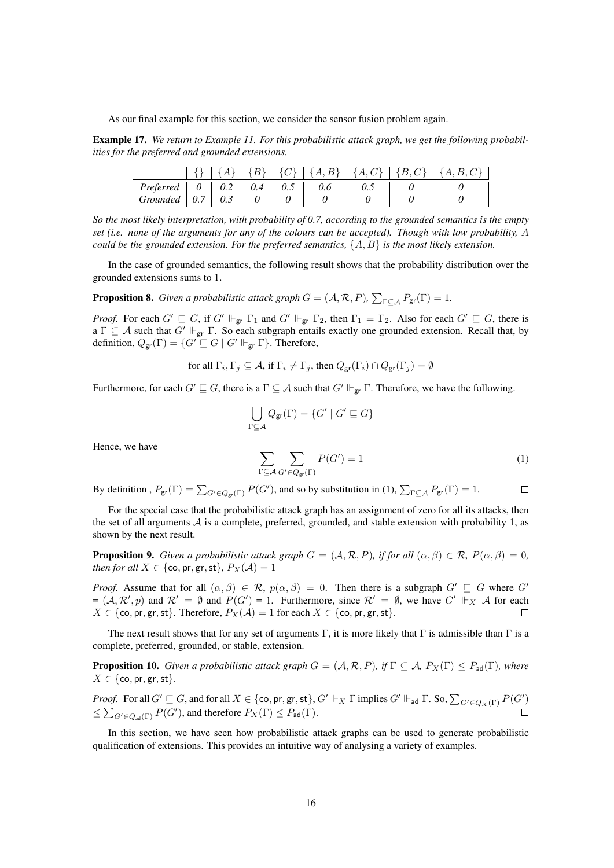As our final example for this section, we consider the sensor fusion problem again.

Example 17. *We return to Example 11. For this probabilistic attack graph, we get the following probabilities for the preferred and grounded extensions.*

|           |     |     |     | ◡                      |     | ₹А, |  |
|-----------|-----|-----|-----|------------------------|-----|-----|--|
| Preferred |     | U.Z | U.4 | $\mathsf{v}\mathsf{v}$ | v.v | υ.υ |  |
| Grounded  | 0.7 | U.J |     |                        |     |     |  |

*So the most likely interpretation, with probability of 0.7, according to the grounded semantics is the empty set (i.e. none of the arguments for any of the colours can be accepted). Though with low probability,* A *could be the grounded extension. For the preferred semantics,* {A, B} *is the most likely extension.*

In the case of grounded semantics, the following result shows that the probability distribution over the grounded extensions sums to 1.

**Proposition 8.** *Given a probabilistic attack graph*  $G = (A, \mathcal{R}, P)$ ,  $\sum_{\Gamma \subseteq A} P_{\text{gr}}(\Gamma) = 1$ .

*Proof.* For each  $G' \sqsubseteq G$ , if  $G' \Vdash_{\text{gr}} \Gamma_1$  and  $G' \Vdash_{\text{gr}} \Gamma_2$ , then  $\Gamma_1 = \Gamma_2$ . Also for each  $G' \sqsubseteq G$ , there is a  $\Gamma \subseteq A$  such that  $G' \Vdash_{gr} \Gamma$ . So each subgraph entails exactly one grounded extension. Recall that, by definition,  $Q_{\text{gr}}(\Gamma) = \{G' \sqsubseteq G \mid G' \Vdash_{\text{gr}} \Gamma\}$ . Therefore,

for all 
$$
\Gamma_i, \Gamma_j \subseteq A
$$
, if  $\Gamma_i \neq \Gamma_j$ , then  $Q_{\text{gr}}(\Gamma_i) \cap Q_{\text{gr}}(\Gamma_j) = \emptyset$ 

Furthermore, for each  $G' \sqsubseteq G$ , there is a  $\Gamma \subseteq A$  such that  $G' \Vdash_{gr} \Gamma$ . Therefore, we have the following.

$$
\bigcup_{\Gamma \subseteq \mathcal{A}} Q_{\text{gr}}(\Gamma) = \{G' \mid G' \sqsubseteq G\}
$$

Hence, we have

$$
\sum_{\Gamma \subseteq \mathcal{A}} \sum_{G' \in Q_{\text{gr}}(\Gamma)} P(G') = 1 \tag{1}
$$

By definition,  $P_{\text{gr}}(\Gamma) = \sum_{G' \in Q_{\text{gr}}(\Gamma)} P(G')$ , and so by substitution in (1),  $\sum_{\Gamma \subseteq A} P_{\text{gr}}(\Gamma) = 1$ .  $\Box$ 

For the special case that the probabilistic attack graph has an assignment of zero for all its attacks, then the set of all arguments  $A$  is a complete, preferred, grounded, and stable extension with probability 1, as shown by the next result.

**Proposition 9.** *Given a probabilistic attack graph*  $G = (\mathcal{A}, \mathcal{R}, P)$ *, if for all*  $(\alpha, \beta) \in \mathcal{R}$ *,*  $P(\alpha, \beta) = 0$ *, then for all*  $X \in \{\text{co}, \text{pr}, \text{gr}, \text{st}\}, P_X(\mathcal{A}) = 1$ 

*Proof.* Assume that for all  $(\alpha, \beta) \in \mathcal{R}$ ,  $p(\alpha, \beta) = 0$ . Then there is a subgraph  $G' \sqsubseteq G$  where  $G'$  $=(\mathcal{A}, \mathcal{R}', p)$  and  $\mathcal{R}' = \emptyset$  and  $P(G') = 1$ . Furthermore, since  $\mathcal{R}' = \emptyset$ , we have  $G' \Vdash_X \mathcal{A}$  for each  $X \in \{\text{co}, \text{pr}, \text{gr}, \text{st}\}.$  Therefore,  $P_X(\mathcal{A}) = 1$  for each  $X \in \{\text{co}, \text{pr}, \text{gr}, \text{st}\}.$ 

The next result shows that for any set of arguments  $\Gamma$ , it is more likely that  $\Gamma$  is admissible than  $\Gamma$  is a complete, preferred, grounded, or stable, extension.

**Proposition 10.** *Given a probabilistic attack graph*  $G = (A, \mathcal{R}, P)$ *, if*  $\Gamma \subseteq A$ *,*  $P_X(\Gamma) \leq P_{ad}(\Gamma)$ *, where*  $X \in \{\textsf{co}, \textsf{pr}, \textsf{gr}, \textsf{st}\}.$ 

*Proof.* For all  $G' \sqsubseteq G$ , and for all  $X \in \{\infty, \text{pr}, \text{gr}, \text{st}\}, G' \Vdash_X \Gamma$  implies  $G' \Vdash_{\text{ad}} \Gamma$ . So,  $\sum_{G' \in Q_X(\Gamma)} P(G')$  $\leq \sum_{G' \in Q_{ad}(\Gamma)} P(G')$ , and therefore  $P_X(\Gamma) \leq P_{ad}(\Gamma)$ .

In this section, we have seen how probabilistic attack graphs can be used to generate probabilistic qualification of extensions. This provides an intuitive way of analysing a variety of examples.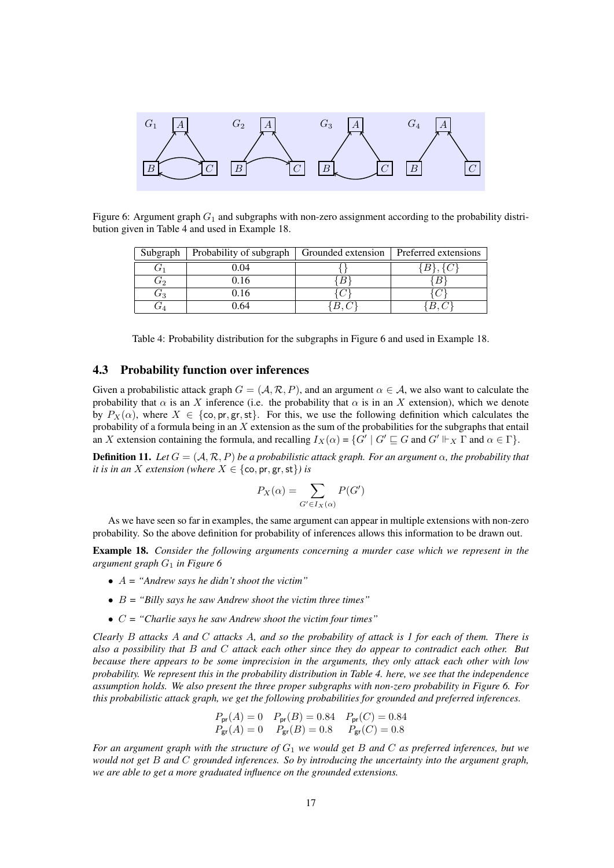

Figure 6: Argument graph  $G_1$  and subgraphs with non-zero assignment according to the probability distribution given in Table 4 and used in Example 18.

| Subgraph | Probability of subgraph | Grounded extension | Preferred extensions |
|----------|-------------------------|--------------------|----------------------|
|          | 0.04                    |                    |                      |
| جات      |                         |                    |                      |
| JЗ       |                         |                    |                      |
|          | ).64                    |                    |                      |

Table 4: Probability distribution for the subgraphs in Figure 6 and used in Example 18.

## 4.3 Probability function over inferences

Given a probabilistic attack graph  $G = (A, \mathcal{R}, P)$ , and an argument  $\alpha \in A$ , we also want to calculate the probability that  $\alpha$  is an X inference (i.e. the probability that  $\alpha$  is in an X extension), which we denote by  $P_X(\alpha)$ , where  $X \in \{\text{co}, \text{pr}, \text{gr}, \text{st}\}.$  For this, we use the following definition which calculates the probability of a formula being in an  $X$  extension as the sum of the probabilities for the subgraphs that entail an X extension containing the formula, and recalling  $I_X(\alpha) = \{G' \mid G' \sqsubseteq G \text{ and } G' \Vdash_X \Gamma \text{ and } \alpha \in \Gamma\}.$ 

**Definition 11.** *Let*  $G = (A, R, P)$  *be a probabilistic attack graph. For an argument*  $\alpha$ *, the probability that it is in an X extension* (where  $X \in \{\text{co}, \text{pr}, \text{gr}, \text{st}\}\)$  *is* 

$$
P_X(\alpha) = \sum_{G' \in I_X(\alpha)} P(G')
$$

As we have seen so far in examples, the same argument can appear in multiple extensions with non-zero probability. So the above definition for probability of inferences allows this information to be drawn out.

Example 18. *Consider the following arguments concerning a murder case which we represent in the argument graph*  $G_1$  *in Figure 6* 

- A *= "Andrew says he didn't shoot the victim"*
- B *= "Billy says he saw Andrew shoot the victim three times"*
- C *= "Charlie says he saw Andrew shoot the victim four times"*

*Clearly* B *attacks* A *and* C *attacks* A*, and so the probability of attack is 1 for each of them. There is also a possibility that* B *and* C *attack each other since they do appear to contradict each other. But because there appears to be some imprecision in the arguments, they only attack each other with low probability. We represent this in the probability distribution in Table 4. here, we see that the independence assumption holds. We also present the three proper subgraphs with non-zero probability in Figure 6. For this probabilistic attack graph, we get the following probabilities for grounded and preferred inferences.*

$$
P_{\text{pr}}(A) = 0
$$
  $P_{\text{pr}}(B) = 0.84$   $P_{\text{pr}}(C) = 0.84$   
\n $P_{\text{gr}}(A) = 0$   $P_{\text{gr}}(B) = 0.8$   $P_{\text{gr}}(C) = 0.8$ 

*For an argument graph with the structure of*  $G_1$  *we would get* B and C as preferred inferences, but we *would not get* B *and* C *grounded inferences. So by introducing the uncertainty into the argument graph, we are able to get a more graduated influence on the grounded extensions.*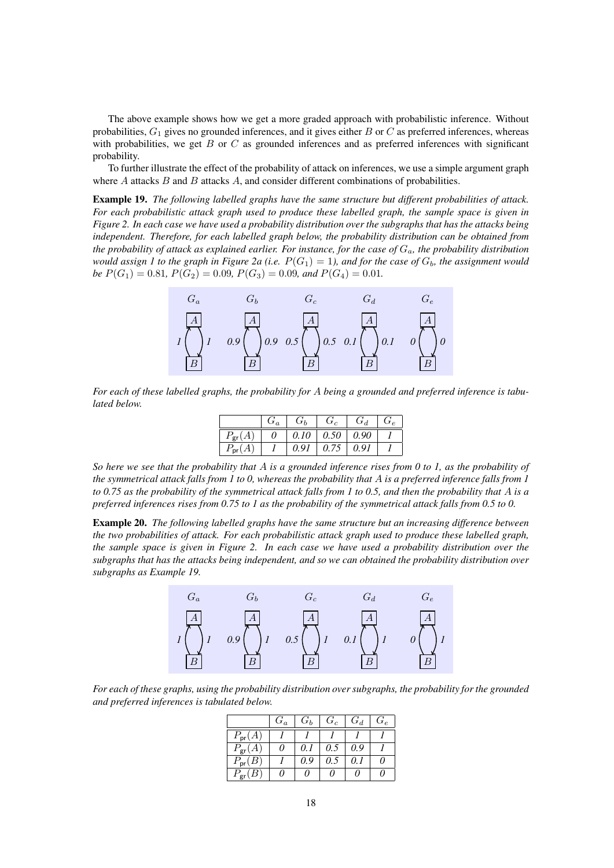The above example shows how we get a more graded approach with probabilistic inference. Without probabilities,  $G_1$  gives no grounded inferences, and it gives either B or C as preferred inferences, whereas with probabilities, we get  $B$  or  $C$  as grounded inferences and as preferred inferences with significant probability.

To further illustrate the effect of the probability of attack on inferences, we use a simple argument graph where  $A$  attacks  $B$  and  $B$  attacks  $A$ , and consider different combinations of probabilities.

Example 19. *The following labelled graphs have the same structure but different probabilities of attack. For each probabilistic attack graph used to produce these labelled graph, the sample space is given in Figure 2. In each case we have used a probability distribution over the subgraphs that has the attacks being independent. Therefore, for each labelled graph below, the probability distribution can be obtained from the probability of attack as explained earlier. For instance, for the case of* Ga*, the probability distribution would assign 1 to the graph in Figure 2a (i.e.*  $P(G_1) = 1$ ), and for the case of  $G_b$ , the assignment would *be*  $P(G_1) = 0.81$ ,  $P(G_2) = 0.09$ ,  $P(G_3) = 0.09$ , and  $P(G_4) = 0.01$ .



*For each of these labelled graphs, the probability for* A *being a grounded and preferred inference is tabulated below.*

| $\sigma_a$ | $G_b$ | $G_{c}$ | $G_d$ |  |
|------------|-------|---------|-------|--|
|            | 0.10  | 0.50    | 0.90  |  |
|            | 0.91  | 0.75    | 0.91  |  |

*So here we see that the probability that* A *is a grounded inference rises from 0 to 1, as the probability of the symmetrical attack falls from 1 to 0, whereas the probability that* A *is a preferred inference falls from 1 to 0.75 as the probability of the symmetrical attack falls from 1 to 0.5, and then the probability that* A *is a preferred inferences rises from 0.75 to 1 as the probability of the symmetrical attack falls from 0.5 to 0.*

Example 20. *The following labelled graphs have the same structure but an increasing difference between the two probabilities of attack. For each probabilistic attack graph used to produce these labelled graph, the sample space is given in Figure 2. In each case we have used a probability distribution over the subgraphs that has the attacks being independent, and so we can obtained the probability distribution over subgraphs as Example 19.*



*For each of these graphs, using the probability distribution over subgraphs, the probability for the grounded and preferred inferences is tabulated below.*

|                    | $G_a$ | $G_b$ | $G_c$ | $G_d$ | $G_e$ |
|--------------------|-------|-------|-------|-------|-------|
| $P_{\text{pr}}(A)$ |       |       |       |       |       |
| $P_{\rm gr}(A)$    | 0     | 0.1   | 0.5   | 0.9   |       |
| $P_{\text{pr}}(B)$ |       | 0.9   | 0.5   | 0.1   | ( )   |
| $P_{\rm gr}(B)$    |       |       |       |       |       |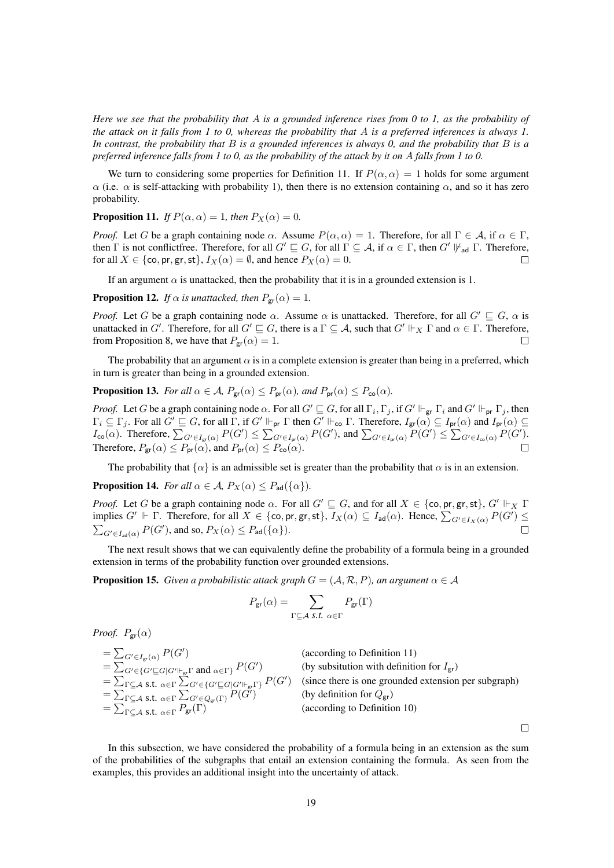*Here we see that the probability that* A *is a grounded inference rises from 0 to 1, as the probability of the attack on it falls from 1 to 0, whereas the probability that* A *is a preferred inferences is always 1. In contrast, the probability that* B *is a grounded inferences is always 0, and the probability that* B *is a preferred inference falls from 1 to 0, as the probability of the attack by it on* A *falls from 1 to 0.*

We turn to considering some properties for Definition 11. If  $P(\alpha, \alpha) = 1$  holds for some argument  $\alpha$  (i.e.  $\alpha$  is self-attacking with probability 1), then there is no extension containing  $\alpha$ , and so it has zero probability.

**Proposition 11.** *If*  $P(\alpha, \alpha) = 1$ *, then*  $P_X(\alpha) = 0$ *.* 

*Proof.* Let G be a graph containing node  $\alpha$ . Assume  $P(\alpha, \alpha) = 1$ . Therefore, for all  $\Gamma \in \mathcal{A}$ , if  $\alpha \in \Gamma$ , then  $\Gamma$  is not conflictfree. Therefore, for all  $G' \sqsubseteq G$ , for all  $\Gamma \subseteq A$ , if  $\alpha \in \Gamma$ , then  $G' \Vdash_{ad} \Gamma$ . Therefore, for all  $X \in \{\text{co}, \text{pr}, \text{gr}, \text{st}\}, I_X(\alpha) = \emptyset$ , and hence  $P_X(\alpha) = 0$ .  $\Box$ 

If an argument  $\alpha$  is unattacked, then the probability that it is in a grounded extension is 1.

**Proposition 12.** *If*  $\alpha$  *is unattacked, then*  $P_{\text{gr}}(\alpha) = 1$ *.* 

*Proof.* Let G be a graph containing node  $\alpha$ . Assume  $\alpha$  is unattacked. Therefore, for all  $G' \sqsubseteq G$ ,  $\alpha$  is unattacked in G'. Therefore, for all  $G' \sqsubseteq G$ , there is a  $\Gamma \subseteq A$ , such that  $G' \Vdash_X \Gamma$  and  $\alpha \in \Gamma$ . Therefore, from Proposition 8, we have that  $P_{\text{gr}}(\alpha) = 1$ .  $\Box$ 

The probability that an argument  $\alpha$  is in a complete extension is greater than being in a preferred, which in turn is greater than being in a grounded extension.

**Proposition 13.** *For all*  $\alpha \in A$ *,*  $P_{\text{gr}}(\alpha) \leq P_{\text{pr}}(\alpha)$ *, and*  $P_{\text{pr}}(\alpha) \leq P_{\text{co}}(\alpha)$ *.* 

*Proof.* Let G be a graph containing node  $\alpha$ . For all  $G' \sqsubseteq G$ , for all  $\Gamma_i, \Gamma_j$ , if  $G' \Vdash_{\text{gr}} \Gamma_i$  and  $G' \Vdash_{\text{pr}} \Gamma_j$ , then  $\Gamma_i \subseteq \Gamma_j$ . For all  $G' \sqsubseteq G$ , for all  $\Gamma$ , if  $G' \Vdash_{\mathsf{pr}} \Gamma$  then  $G' \Vdash_{\mathsf{co}} \Gamma$ . Therefore,  $I_{\mathsf{gr}}(\alpha) \subseteq I_{\mathsf{pr}}(\alpha)$  and  $I_{\mathsf{pr}}(\alpha) \subseteq I_{\mathsf{pr}}(\alpha)$  $I_{\text{co}}(\alpha)$ . Therefore,  $\sum_{G' \in I_{\text{gr}}(\alpha)} P(G') \leq \sum_{G' \in I_{\text{pr}}(\alpha)} P(G')$ , and  $\sum_{G' \in I_{\text{pr}}(\alpha)} P(G') \leq \sum_{G' \in I_{\text{co}}(\alpha)} P(G')$ . Therefore,  $P_{\rm gr}(\alpha) \le P_{\rm pr}(\alpha)$ , and  $P_{\rm pr}(\alpha) \le P_{\rm co}(\alpha)$ .

The probability that  $\{\alpha\}$  is an admissible set is greater than the probability that  $\alpha$  is in an extension.

**Proposition 14.** *For all*  $\alpha \in A$ ,  $P_X(\alpha) \leq P_{ad}(\{\alpha\})$ .

*Proof.* Let G be a graph containing node  $\alpha$ . For all  $G' \sqsubseteq G$ , and for all  $X \in \{\text{co}, \text{pr}, \text{gr}, \text{st}\}, G' \Vdash_X \Gamma$ implies  $G' \Vdash \Gamma$ . Therefore, for all  $X \in \{\text{co}, \text{pr}, \text{st}\}, I_X(\alpha) \subseteq I_{ad}(\alpha)$ . Hence,  $\sum_{G' \in I_X(\alpha)} P(G') \le$  $\sum_{G' \in I_{\mathsf{ad}}(\alpha)} P(G')$ , and so,  $P_X(\alpha) \leq P_{\mathsf{ad}}(\{\alpha\}).$ 

The next result shows that we can equivalently define the probability of a formula being in a grounded extension in terms of the probability function over grounded extensions.

**Proposition 15.** *Given a probabilistic attack graph*  $G = (A, \mathcal{R}, P)$ *, an argument*  $\alpha \in \mathcal{A}$ 

$$
P_{\text{gr}}(\alpha) = \sum_{\Gamma \subseteq \mathcal{A}} \sum_{s.t.} \sum_{\alpha \in \Gamma} P_{\text{gr}}(\Gamma)
$$

*Proof.*  $P_{\text{gr}}(\alpha)$ 

| $=\sum_{G'\in I_{\text{gr}}(\alpha)} P(G')$                                                                                             | (according to Definition 11)                         |
|-----------------------------------------------------------------------------------------------------------------------------------------|------------------------------------------------------|
| $=\sum_{G'\in \{G'\sqsubseteq G G'  \vdash_{\mathbf{gr}}\Gamma \text{ and } \alpha\in \Gamma\}} P(G')$                                  | (by subsitution with definition for $I_{gr}$ )       |
| $=\sum_{\Gamma\subseteq \mathcal{A}}\text{ s.t. }\alpha\in \Gamma}\sum_{G'\in \{G'\sqsubseteq G G'  \models_{\text{gr}} \Gamma\}}P(G')$ | (since there is one grounded extension per subgraph) |
| $=\sum_{\Gamma\subseteq \mathcal{A}} s.t. \alpha\in \Gamma} \sum_{G'\in Q_{\text{gr}}(\Gamma)} P(G')$                                   | (by definition for $Q_{\text{gr}}$ )                 |
| $=\sum_{\Gamma\subset \mathcal{A}}\sum_{\mathrm{s.t.} \alpha\in \Gamma}P_{\mathrm{gr}}(\Gamma)$                                         | (according to Definition 10)                         |

 $\Box$ 

In this subsection, we have considered the probability of a formula being in an extension as the sum of the probabilities of the subgraphs that entail an extension containing the formula. As seen from the examples, this provides an additional insight into the uncertainty of attack.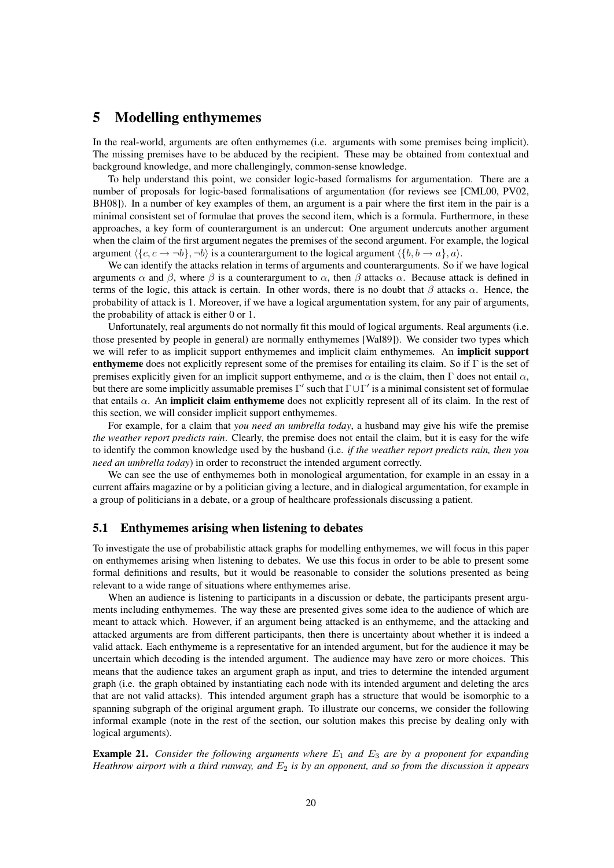# 5 Modelling enthymemes

In the real-world, arguments are often enthymemes (i.e. arguments with some premises being implicit). The missing premises have to be abduced by the recipient. These may be obtained from contextual and background knowledge, and more challengingly, common-sense knowledge.

To help understand this point, we consider logic-based formalisms for argumentation. There are a number of proposals for logic-based formalisations of argumentation (for reviews see [CML00, PV02, BH08]). In a number of key examples of them, an argument is a pair where the first item in the pair is a minimal consistent set of formulae that proves the second item, which is a formula. Furthermore, in these approaches, a key form of counterargument is an undercut: One argument undercuts another argument when the claim of the first argument negates the premises of the second argument. For example, the logical argument  $\langle {c, c \rightarrow \neg b}, \neg b \rangle$  is a counterargument to the logical argument  $\langle {b, b \rightarrow a}, a \rangle$ .

We can identify the attacks relation in terms of arguments and counterarguments. So if we have logical arguments  $\alpha$  and  $\beta$ , where  $\beta$  is a counterargument to  $\alpha$ , then  $\beta$  attacks  $\alpha$ . Because attack is defined in terms of the logic, this attack is certain. In other words, there is no doubt that  $\beta$  attacks  $\alpha$ . Hence, the probability of attack is 1. Moreover, if we have a logical argumentation system, for any pair of arguments, the probability of attack is either 0 or 1.

Unfortunately, real arguments do not normally fit this mould of logical arguments. Real arguments (i.e. those presented by people in general) are normally enthymemes [Wal89]). We consider two types which we will refer to as implicit support enthymemes and implicit claim enthymemes. An implicit support enthymeme does not explicitly represent some of the premises for entailing its claim. So if Γ is the set of premises explicitly given for an implicit support enthymeme, and  $\alpha$  is the claim, then  $\Gamma$  does not entail  $\alpha$ , but there are some implicitly assumable premises  $\Gamma'$  such that  $\Gamma \cup \Gamma'$  is a minimal consistent set of formulae that entails  $\alpha$ . An **implicit claim enthymeme** does not explicitly represent all of its claim. In the rest of this section, we will consider implicit support enthymemes.

For example, for a claim that *you need an umbrella today*, a husband may give his wife the premise *the weather report predicts rain*. Clearly, the premise does not entail the claim, but it is easy for the wife to identify the common knowledge used by the husband (i.e. *if the weather report predicts rain, then you need an umbrella today*) in order to reconstruct the intended argument correctly.

We can see the use of enthymemes both in monological argumentation, for example in an essay in a current affairs magazine or by a politician giving a lecture, and in dialogical argumentation, for example in a group of politicians in a debate, or a group of healthcare professionals discussing a patient.

## 5.1 Enthymemes arising when listening to debates

To investigate the use of probabilistic attack graphs for modelling enthymemes, we will focus in this paper on enthymemes arising when listening to debates. We use this focus in order to be able to present some formal definitions and results, but it would be reasonable to consider the solutions presented as being relevant to a wide range of situations where enthymemes arise.

When an audience is listening to participants in a discussion or debate, the participants present arguments including enthymemes. The way these are presented gives some idea to the audience of which are meant to attack which. However, if an argument being attacked is an enthymeme, and the attacking and attacked arguments are from different participants, then there is uncertainty about whether it is indeed a valid attack. Each enthymeme is a representative for an intended argument, but for the audience it may be uncertain which decoding is the intended argument. The audience may have zero or more choices. This means that the audience takes an argument graph as input, and tries to determine the intended argument graph (i.e. the graph obtained by instantiating each node with its intended argument and deleting the arcs that are not valid attacks). This intended argument graph has a structure that would be isomorphic to a spanning subgraph of the original argument graph. To illustrate our concerns, we consider the following informal example (note in the rest of the section, our solution makes this precise by dealing only with logical arguments).

**Example 21.** *Consider the following arguments where*  $E_1$  *and*  $E_3$  *are by a proponent for expanding Heathrow airport with a third runway, and*  $E_2$  *is by an opponent, and so from the discussion it appears*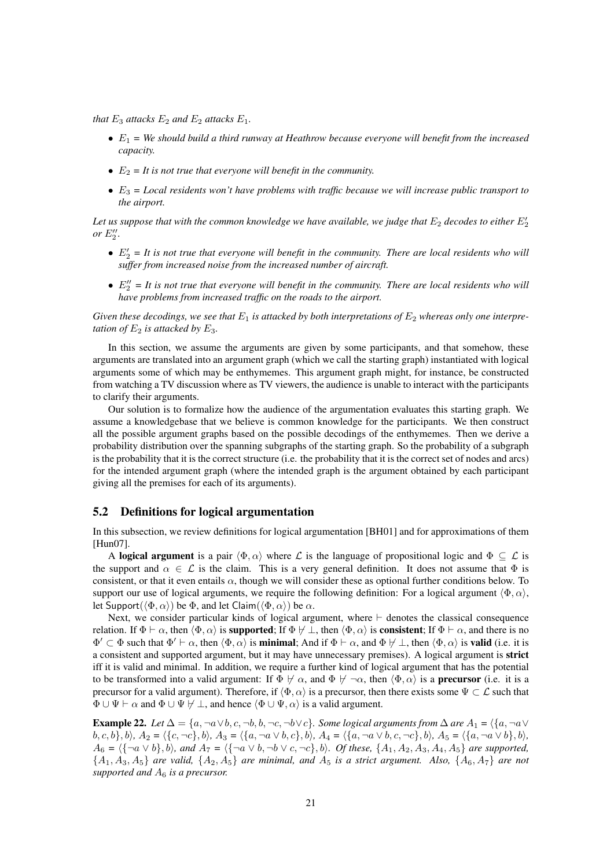*that*  $E_3$  *attacks*  $E_2$  *and*  $E_2$  *attacks*  $E_1$ *.* 

- $\bullet$   $E_1$  = We should build a third runway at Heathrow because everyone will benefit from the increased *capacity.*
- $E_2 = It$  is not true that everyone will benefit in the community.
- $\bullet$   $E_3$  = Local residents won't have problems with traffic because we will increase public transport to *the airport.*

Let us suppose that with the common knowledge we have available, we judge that  $E_2$  decodes to either  $E_2^\prime$ *or*  $E_2''$ .

- $\bullet$   $E_2' = It$  is not true that everyone will benefit in the community. There are local residents who will *suffer from increased noise from the increased number of aircraft.*
- $\bullet$   $E_2'' = It$  is not true that everyone will benefit in the community. There are local residents who will *have problems from increased traffic on the roads to the airport.*

*Given these decodings, we see that*  $E_1$  *is attacked by both interpretations of*  $E_2$  *whereas only one interpretation of*  $E_2$  *is attacked by*  $E_3$ *.* 

In this section, we assume the arguments are given by some participants, and that somehow, these arguments are translated into an argument graph (which we call the starting graph) instantiated with logical arguments some of which may be enthymemes. This argument graph might, for instance, be constructed from watching a TV discussion where as TV viewers, the audience is unable to interact with the participants to clarify their arguments.

Our solution is to formalize how the audience of the argumentation evaluates this starting graph. We assume a knowledgebase that we believe is common knowledge for the participants. We then construct all the possible argument graphs based on the possible decodings of the enthymemes. Then we derive a probability distribution over the spanning subgraphs of the starting graph. So the probability of a subgraph is the probability that it is the correct structure (i.e. the probability that it is the correct set of nodes and arcs) for the intended argument graph (where the intended graph is the argument obtained by each participant giving all the premises for each of its arguments).

#### 5.2 Definitions for logical argumentation

In this subsection, we review definitions for logical argumentation [BH01] and for approximations of them [Hun07].

A logical argument is a pair  $\langle \Phi, \alpha \rangle$  where L is the language of propositional logic and  $\Phi \subseteq \mathcal{L}$  is the support and  $\alpha \in \mathcal{L}$  is the claim. This is a very general definition. It does not assume that  $\Phi$  is consistent, or that it even entails  $\alpha$ , though we will consider these as optional further conditions below. To support our use of logical arguments, we require the following definition: For a logical argument  $\langle \Phi, \alpha \rangle$ , let Support( $\langle \Phi, \alpha \rangle$ ) be  $\Phi$ , and let Claim( $\langle \Phi, \alpha \rangle$ ) be  $\alpha$ .

Next, we consider particular kinds of logical argument, where  $\vdash$  denotes the classical consequence relation. If  $\Phi \vdash \alpha$ , then  $\langle \Phi, \alpha \rangle$  is supported; If  $\Phi \vdash \bot$ , then  $\langle \Phi, \alpha \rangle$  is consistent; If  $\Phi \vdash \alpha$ , and there is no  $\Phi' \subset \Phi$  such that  $\Phi' \vdash \alpha$ , then  $\langle \Phi, \alpha \rangle$  is **minimal**; And if  $\Phi \vdash \alpha$ , and  $\Phi \not\vdash \bot$ , then  $\langle \Phi, \alpha \rangle$  is **valid** (i.e. it is a consistent and supported argument, but it may have unnecessary premises). A logical argument is strict iff it is valid and minimal. In addition, we require a further kind of logical argument that has the potential to be transformed into a valid argument: If  $\Phi \not\vdash \alpha$ , and  $\Phi \not\vdash \neg \alpha$ , then  $\langle \Phi, \alpha \rangle$  is a **precursor** (i.e. it is a precursor for a valid argument). Therefore, if  $\langle \Phi, \alpha \rangle$  is a precursor, then there exists some  $\Psi \subset \mathcal{L}$  such that  $\Phi \cup \Psi \vdash \alpha$  and  $\Phi \cup \Psi \not\vdash \bot$ , and hence  $\langle \Phi \cup \Psi, \alpha \rangle$  is a valid argument.

**Example 22.** *Let*  $\Delta = \{a, \neg a \lor b, c, \neg b, b, \neg c, \neg b \lor c\}$ *. Some logical arguments from*  $\Delta$  *are*  $A_1 = \{\{a, \neg a \lor b, c, \neg b, b, \neg c, \neg b \lor c\}$ *.*  $b, c, b\}, b\rangle, A_2 = \langle \{c, \neg c\}, b\rangle, A_3 = \langle \{a, \neg a \vee b, c\}, b\rangle, A_4 = \langle \{a, \neg a \vee b, c, \neg c\}, b\rangle, A_5 = \langle \{a, \neg a \vee b\}, b\rangle,$  $A_6 = \{\{\neg a \vee b\}, b\}$ *, and*  $A_7 = \{\{\neg a \vee b, \neg b \vee c, \neg c\}, b\}$ *. Of these,*  $\{A_1, A_2, A_3, A_4, A_5\}$  *are supported,*  $\{A_1, A_3, A_5\}$  are valid,  $\{A_2, A_5\}$  are minimal, and  $A_5$  is a strict argument. Also,  $\{A_6, A_7\}$  are not *supported and*  $A_6$  *is a precursor.*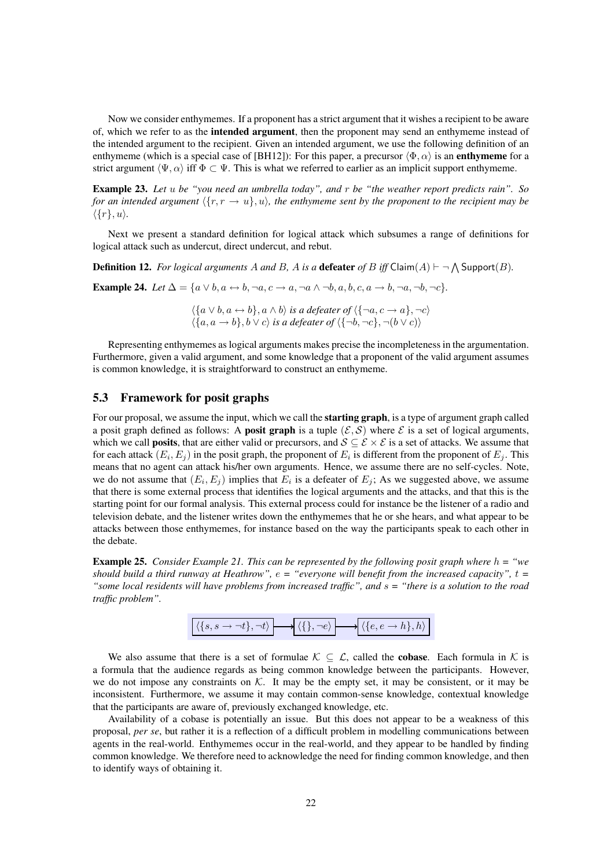Now we consider enthymemes. If a proponent has a strict argument that it wishes a recipient to be aware of, which we refer to as the intended argument, then the proponent may send an enthymeme instead of the intended argument to the recipient. Given an intended argument, we use the following definition of an enthymeme (which is a special case of [BH12]): For this paper, a precursor  $\langle \Phi, \alpha \rangle$  is an **enthymeme** for a strict argument  $\langle \Psi, \alpha \rangle$  iff  $\Phi \subset \Psi$ . This is what we referred to earlier as an implicit support enthymeme.

Example 23. *Let* u *be "you need an umbrella today", and* r *be "the weather report predicts rain". So for an intended argument*  $\langle \{r, r \to u\}, u \rangle$ , the enthymeme sent by the proponent to the recipient may be  $\langle \{r\}, u \rangle$ .

Next we present a standard definition for logical attack which subsumes a range of definitions for logical attack such as undercut, direct undercut, and rebut.

**Definition 12.** For logical arguments A and B, A is a **defeater** of B iff  $\text{Claim}(A) \vdash \neg \bigwedge \text{Support}(B)$ .

Example 24. *Let*  $\Delta = \{a \lor b, a \leftrightarrow b, \neg a, c \rightarrow a, \neg a \land \neg b, a, b, c, a \rightarrow b, \neg a, \neg b, \neg c\}$ .

 $\langle \{a \vee b, a \leftrightarrow b\}, a \wedge b \rangle$  *is a defeater of*  $\langle \{\neg a, c \rightarrow a\}, \neg c \rangle$  $\langle \{a, a \rightarrow b\}, b \lor c \rangle$  *is a defeater of*  $\langle \{\neg b, \neg c\}, \neg (b \lor c) \rangle$ 

Representing enthymemes as logical arguments makes precise the incompleteness in the argumentation. Furthermore, given a valid argument, and some knowledge that a proponent of the valid argument assumes is common knowledge, it is straightforward to construct an enthymeme.

## 5.3 Framework for posit graphs

For our proposal, we assume the input, which we call the **starting graph**, is a type of argument graph called a posit graph defined as follows: A **posit graph** is a tuple  $(\mathcal{E}, \mathcal{S})$  where  $\mathcal{E}$  is a set of logical arguments, which we call **posits**, that are either valid or precursors, and  $S \subseteq \mathcal{E} \times \mathcal{E}$  is a set of attacks. We assume that for each attack  $(E_i, E_j)$  in the posit graph, the proponent of  $E_i$  is different from the proponent of  $E_j$ . This means that no agent can attack his/her own arguments. Hence, we assume there are no self-cycles. Note, we do not assume that  $(E_i, E_j)$  implies that  $E_i$  is a defeater of  $E_j$ ; As we suggested above, we assume that there is some external process that identifies the logical arguments and the attacks, and that this is the starting point for our formal analysis. This external process could for instance be the listener of a radio and television debate, and the listener writes down the enthymemes that he or she hears, and what appear to be attacks between those enthymemes, for instance based on the way the participants speak to each other in the debate.

**Example 25.** *Consider Example 21. This can be represented by the following posit graph where*  $h = "we$ *should build a third runway at Heathrow",*  $e =$  *"everyone will benefit from the increased capacity",*  $t =$ *"some local residents will have problems from increased traffic", and* s *= "there is a solution to the road traffic problem".*



We also assume that there is a set of formulae  $K \subseteq \mathcal{L}$ , called the **cobase**. Each formula in K is a formula that the audience regards as being common knowledge between the participants. However, we do not impose any constraints on  $K$ . It may be the empty set, it may be consistent, or it may be inconsistent. Furthermore, we assume it may contain common-sense knowledge, contextual knowledge that the participants are aware of, previously exchanged knowledge, etc.

Availability of a cobase is potentially an issue. But this does not appear to be a weakness of this proposal, *per se*, but rather it is a reflection of a difficult problem in modelling communications between agents in the real-world. Enthymemes occur in the real-world, and they appear to be handled by finding common knowledge. We therefore need to acknowledge the need for finding common knowledge, and then to identify ways of obtaining it.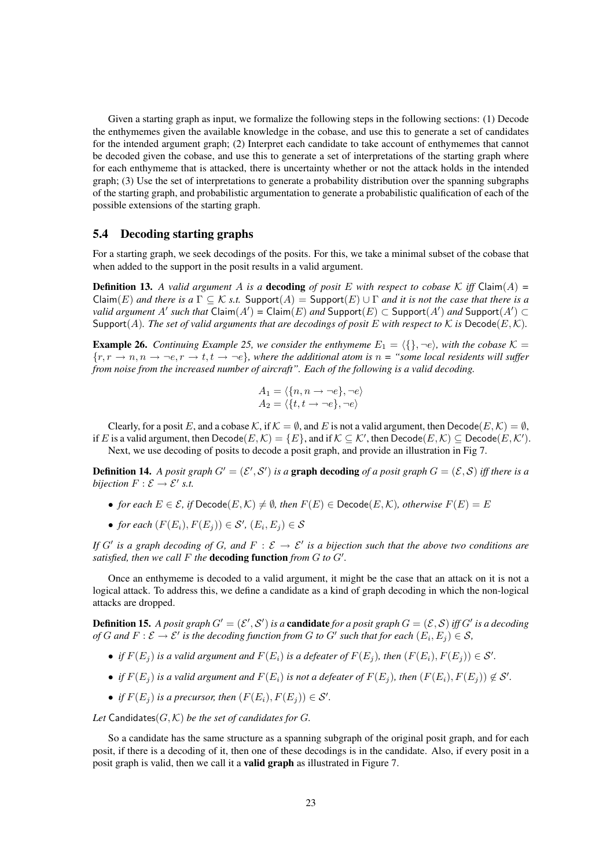Given a starting graph as input, we formalize the following steps in the following sections: (1) Decode the enthymemes given the available knowledge in the cobase, and use this to generate a set of candidates for the intended argument graph; (2) Interpret each candidate to take account of enthymemes that cannot be decoded given the cobase, and use this to generate a set of interpretations of the starting graph where for each enthymeme that is attacked, there is uncertainty whether or not the attack holds in the intended graph; (3) Use the set of interpretations to generate a probability distribution over the spanning subgraphs of the starting graph, and probabilistic argumentation to generate a probabilistic qualification of each of the possible extensions of the starting graph.

## 5.4 Decoding starting graphs

For a starting graph, we seek decodings of the posits. For this, we take a minimal subset of the cobase that when added to the support in the posit results in a valid argument.

**Definition 13.** A valid argument A is a **decoding** of posit E with respect to cobase K iff Claim $(A)$  =  $Claim(E)$  *and there is a*  $\Gamma \subset K$  *s.t.* Support $(A) = Support(E) \cup \Gamma$  *and it is not the case that there is a valid argument* A' such that  $\text{Claim}(A') = \text{Claim}(E)$  *and*  $\text{Support}(E) \subset \text{Support}(A')$  *and*  $\text{Support}(A') \subset \text{Support}(A')$ Support(A). The set of valid arguments that are decodings of posit E with respect to  $K$  is  $\text{Decode}(E, \mathcal{K})$ .

**Example 26.** *Continuing Example 25, we consider the enthymeme*  $E_1 = \{\}\}$ ,  $\neg e\}$ *, with the cobase* K =  ${r, r \to n, n \to \neg e, r \to t, t \to \neg e}$ *, where the additional atom is*  $n =$  "some local residents will suffer *from noise from the increased number of aircraft". Each of the following is a valid decoding.*

$$
A_1 = \langle \{n, n \to \neg e\}, \neg e \rangle
$$
  

$$
A_2 = \langle \{t, t \to \neg e\}, \neg e \rangle
$$

Clearly, for a posit E, and a cobase K, if  $\mathcal{K} = \emptyset$ , and E is not a valid argument, then Decode(E,  $\mathcal{K}$ ) =  $\emptyset$ , if E is a valid argument, then  $\mathsf{Decode}(E, \mathcal{K}) = \{E\}$ , and if  $\mathcal{K} \subseteq \mathcal{K}'$ , then  $\mathsf{Decode}(E, \mathcal{K}) \subseteq \mathsf{Decode}(E, \mathcal{K}')$ . Next, we use decoding of posits to decode a posit graph, and provide an illustration in Fig 7.

**Definition 14.** A posit graph  $G' = (\mathcal{E}', \mathcal{S}')$  is a **graph decoding** of a posit graph  $G = (\mathcal{E}, \mathcal{S})$  iff there is a *bijection*  $F : \mathcal{E} \to \mathcal{E}'$  *s.t.* 

- *for each*  $E \in \mathcal{E}$ , *if* Decode $(E, \mathcal{K}) \neq \emptyset$ , *then*  $F(E) \in \text{Decode}(E, \mathcal{K})$ *, otherwise*  $F(E) = E$
- *for each*  $(F(E_i), F(E_j)) \in \mathcal{S}'$ ,  $(E_i, E_j) \in \mathcal{S}$

*If*  $G'$  is a graph decoding of G, and  $F : E \to E'$  is a bijection such that the above two conditions are satisfied, then we call  $F$  the **decoding function** from  $G$  to  $G'$ .

Once an enthymeme is decoded to a valid argument, it might be the case that an attack on it is not a logical attack. To address this, we define a candidate as a kind of graph decoding in which the non-logical attacks are dropped.

**Definition 15.** A posit graph  $G' = (\mathcal{E}', \mathcal{S}')$  is a **candidate** for a posit graph  $G = (\mathcal{E}, \mathcal{S})$  iff  $G'$  is a decoding *of* G and  $F : \mathcal{E} \to \mathcal{E}'$  is the decoding function from G to G' such that for each  $(E_i, E_j) \in \mathcal{S}$ ,

- *if*  $F(E_j)$  *is a valid argument and*  $F(E_i)$  *is a defeater of*  $F(E_j)$ *, then*  $(F(E_i), F(E_j)) \in \mathcal{S}'$ *.*
- *if*  $F(E_j)$  *is a valid argument and*  $F(E_i)$  *is not a defeater of*  $F(E_j)$ *, then*  $(F(E_i), F(E_j)) \notin S'$ *.*
- *if*  $F(E_j)$  *is a precursor, then*  $(F(E_i), F(E_j)) \in S'.$

Let Candidates $(G, K)$  *be the set of candidates for*  $G$ *.* 

So a candidate has the same structure as a spanning subgraph of the original posit graph, and for each posit, if there is a decoding of it, then one of these decodings is in the candidate. Also, if every posit in a posit graph is valid, then we call it a valid graph as illustrated in Figure 7.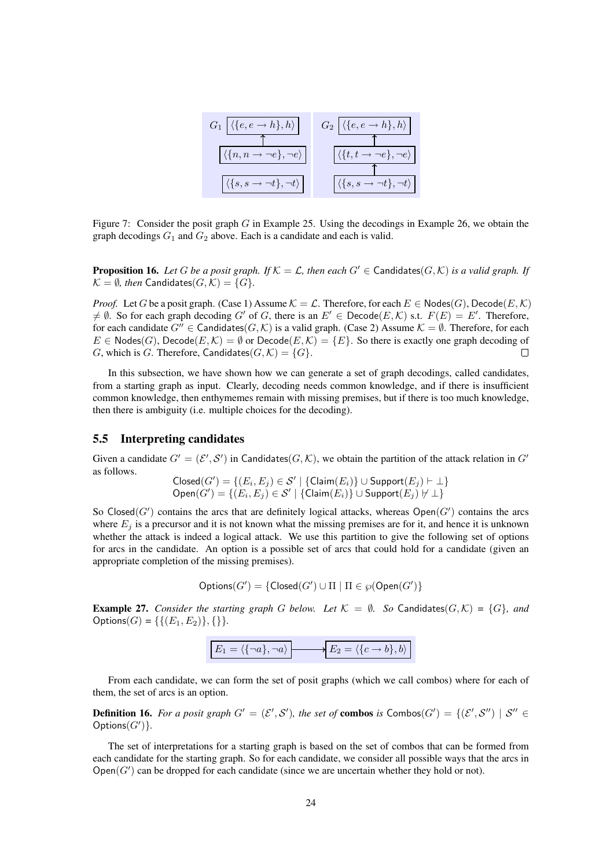

Figure 7: Consider the posit graph  $G$  in Example 25. Using the decodings in Example 26, we obtain the graph decodings  $G_1$  and  $G_2$  above. Each is a candidate and each is valid.

**Proposition 16.** Let G be a posit graph. If  $K = \mathcal{L}$ , then each  $G' \in$  Candidates( $G, K$ ) is a valid graph. If  $\mathcal{K} = \emptyset$ , then Candidates $(G, \mathcal{K}) = \{G\}.$ 

*Proof.* Let G be a posit graph. (Case 1) Assume  $\mathcal{K} = \mathcal{L}$ . Therefore, for each  $E \in \mathsf{Nodes}(G)$ , Decode $(E, \mathcal{K})$  $\neq \emptyset$ . So for each graph decoding G' of G, there is an  $E' \in \text{Decode}(E, \mathcal{K})$  s.t.  $F(E) = E'$ . Therefore, for each candidate  $G'' \in \text{Candidates}(G, \mathcal{K})$  is a valid graph. (Case 2) Assume  $\mathcal{K} = \emptyset$ . Therefore, for each  $E \in \text{Nodes}(G)$ , Decode $(E, \mathcal{K}) = \emptyset$  or Decode $(E, \mathcal{K}) = \{E\}$ . So there is exactly one graph decoding of G, which is G. Therefore, Candidates $(G, K) = \{G\}.$  $\Box$ 

In this subsection, we have shown how we can generate a set of graph decodings, called candidates, from a starting graph as input. Clearly, decoding needs common knowledge, and if there is insufficient common knowledge, then enthymemes remain with missing premises, but if there is too much knowledge, then there is ambiguity (i.e. multiple choices for the decoding).

#### 5.5 Interpreting candidates

Given a candidate  $G' = (\mathcal{E}', \mathcal{S}')$  in Candidates( $G, \mathcal{K}$ ), we obtain the partition of the attack relation in  $G'$ as follows.

$$
\textsf{Closed}(G') = \{(E_i, E_j) \in \mathcal{S}' \mid \{\textsf{Claim}(E_i)\} \cup \textsf{Support}(E_j) \vdash \bot\}
$$
\n
$$
\textsf{Open}(G') = \{(E_i, E_j) \in \mathcal{S}' \mid \{\textsf{Claim}(E_i)\} \cup \textsf{Support}(E_j) \not\vdash \bot\}
$$

So Closed( $G'$ ) contains the arcs that are definitely logical attacks, whereas Open( $G'$ ) contains the arcs where  $E_i$  is a precursor and it is not known what the missing premises are for it, and hence it is unknown whether the attack is indeed a logical attack. We use this partition to give the following set of options for arcs in the candidate. An option is a possible set of arcs that could hold for a candidate (given an appropriate completion of the missing premises).

 $\mathsf{Options}(G') = \{\mathsf{Closed}(G') \cup \Pi \mid \Pi \in \wp(\mathsf{Open}(G')\}$ 

**Example 27.** *Consider the starting graph* G *below. Let*  $K = \emptyset$ *. So* Candidates( $G, K$ ) = {G}*, and*  $Options(G) = \{ \{ (E_1, E_2) \}, \{ \} \}.$ 

 $E_1 = \langle {\{\neg a\}}, \neg a \rangle$   $E_2 = \langle {\{c \to b\}}, b \rangle$ 

From each candidate, we can form the set of posit graphs (which we call combos) where for each of them, the set of arcs is an option.

**Definition 16.** For a posit graph  $G' = (\mathcal{E}', \mathcal{S}')$ , the set of **combos** is  $\mathsf{Combos}(G') = \{(\mathcal{E}', \mathcal{S}'') \mid \mathcal{S}'' \in \mathcal{S}' \}$ Options $(G')$ .

The set of interpretations for a starting graph is based on the set of combos that can be formed from each candidate for the starting graph. So for each candidate, we consider all possible ways that the arcs in  $Open(G')$  can be dropped for each candidate (since we are uncertain whether they hold or not).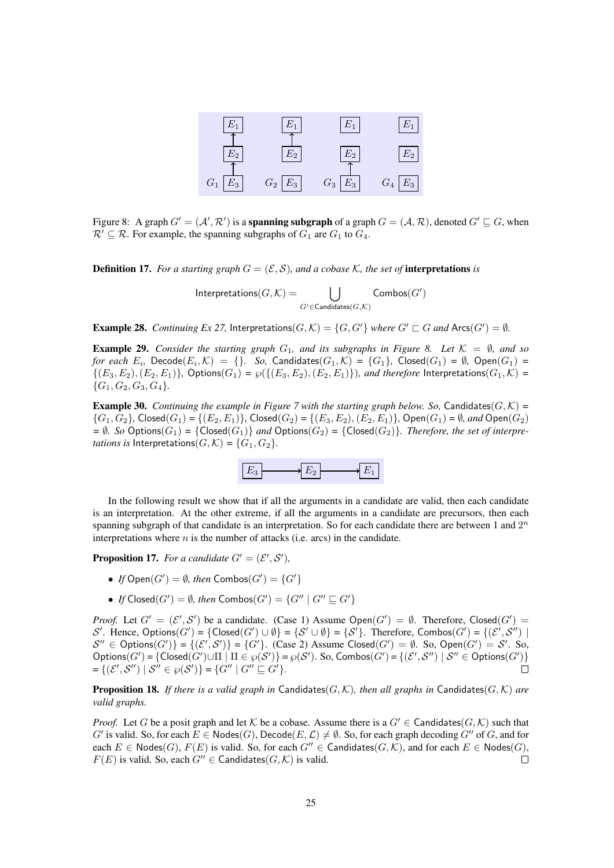

Figure 8: A graph  $G' = (A', \mathcal{R}')$  is a **spanning subgraph** of a graph  $G = (A, \mathcal{R})$ , denoted  $G' \sqsubseteq G$ , when  $\mathcal{R}' \subseteq \mathcal{R}$ . For example, the spanning subgraphs of  $G_1$  are  $G_1$  to  $G_4$ .

**Definition 17.** For a starting graph  $G = (\mathcal{E}, \mathcal{S})$ , and a cobase K, the set of **interpretations** is

$$
{\sf Interpretations}(G,\mathcal{K})=\bigcup_{G'\in {\sf C} {\sf andidates}(G,\mathcal{K})} {\sf Combos}(G')
$$

**Example 28.** *Continuing Ex 27*, Interpretations( $G, K$ ) = { $G, G'$ } *where*  $G' \sqsubset G$  *and* Arcs( $G'$ ) =  $\emptyset$ *.* 

**Example 29.** *Consider the starting graph*  $G_1$ *, and its subgraphs in Figure 8. Let*  $K = \emptyset$ *, and so*  $f$ or each  $E_i$ ,  $\mathsf{Decode}(E_i,\mathcal{K})~=~\{\}.$  *So*, <code>Candidates( $G_1,\mathcal{K})~=~\{G_1\},$  <code>Closed( $G_1)~=~\emptyset$ , <code>Open( $G_1)$  =</code></code></code>  $\{(E_3, E_2), (E_2, E_1)\}\$ , Options $(G_1) = \wp(\{(E_3, E_2), (E_2, E_1)\})$ *, and therefore* Interpretations $(G_1, \mathcal{K}) =$  ${G_1, G_2, G_3, G_4}$ 

**Example 30.** *Continuing the example in Figure 7 with the starting graph below. So,* Candidates( $G, K$ ) =  ${G_1, G_2}$ , Closed $(G_1)$  = { $(E_2, E_1)$ }, Closed $(G_2)$  = { $(E_3, E_2)$ ,  $(E_2, E_1)$ }, Open $(G_1)$  = Ø, and Open $(G_2)$  $=$  Ø. So Options $(G_1)$  = {Closed $(G_1)$ } *and* Options $(G_2)$  = {Closed $(G_2)$ }*. Therefore, the set of interpretations is* Interpretations $(G, K) = \{G_1, G_2\}.$ 



In the following result we show that if all the arguments in a candidate are valid, then each candidate is an interpretation. At the other extreme, if all the arguments in a candidate are precursors, then each spanning subgraph of that candidate is an interpretation. So for each candidate there are between 1 and  $2<sup>n</sup>$ interpretations where  $n$  is the number of attacks (i.e. arcs) in the candidate.

**Proposition 17.** For a candidate  $G' = (\mathcal{E}', \mathcal{S}')$ ,

- *If*  $Open(G') = \emptyset$ *, then*  $Combos(G') = \{G'\}$
- *If*  $Closed(G') = \emptyset$ , then  $Combos(G') = \{G'' \mid G'' \sqsubseteq G'\}$

*Proof.* Let  $G' = (\mathcal{E}', \mathcal{S}')$  be a candidate. (Case 1) Assume Open $(G') = \emptyset$ . Therefore, Closed $(G') =$ S'. Hence,  $\text{Options}(G') = \{\text{Closed}(G') \cup \emptyset\} = \{S' \cup \emptyset\} = \{S'\}.$  Therefore,  $\text{Combos}(G') = \{(\mathcal{E}', \mathcal{S}'') \mid \mathcal{S}' = \{S' \cup \emptyset\} = \{S' \cup \emptyset\} = \{S' \cup \emptyset\}$  $S'' \in \text{Options}(G') = \{(\mathcal{E}', \mathcal{S}')\} = \{G'\}.$  (Case 2) Assume Closed( $G'$ ) =  $\emptyset$ . So, Open( $G'$ ) =  $\mathcal{S}'$ . So,  $Options(G') = \{ Closed(G') \cup \Pi \mid \Pi \in \wp(S') \} = \wp(S')$ . So, Combos $(G') = \{ (\mathcal{E}', \mathcal{S}'') \mid \mathcal{S}'' \in Options(G') \}$  $=\{(\mathcal{E}', \mathcal{S}'') \mid \mathcal{S}'' \in \wp(\mathcal{S}')\} = \{G'' \mid G'' \sqsubseteq G'\}.$  $\Box$ 

**Proposition 18.** If there is a valid graph in Candidates( $G, K$ ), then all graphs in Candidates( $G, K$ ) are *valid graphs.*

*Proof.* Let G be a posit graph and let K be a cobase. Assume there is a  $G' \in \text{Candidates}(G, \mathcal{K})$  such that G' is valid. So, for each  $E \in \text{Nodes}(G)$ , Decode $(E, \mathcal{L}) \neq \emptyset$ . So, for each graph decoding G'' of G, and for each  $E \in \text{Nodes}(G), F(E)$  is valid. So, for each  $G'' \in \text{candidates}(G, \mathcal{K})$ , and for each  $E \in \text{Nodes}(G)$ ,  $F(E)$  is valid. So, each  $G'' \in$  Candidates( $G, K$ ) is valid.  $\Box$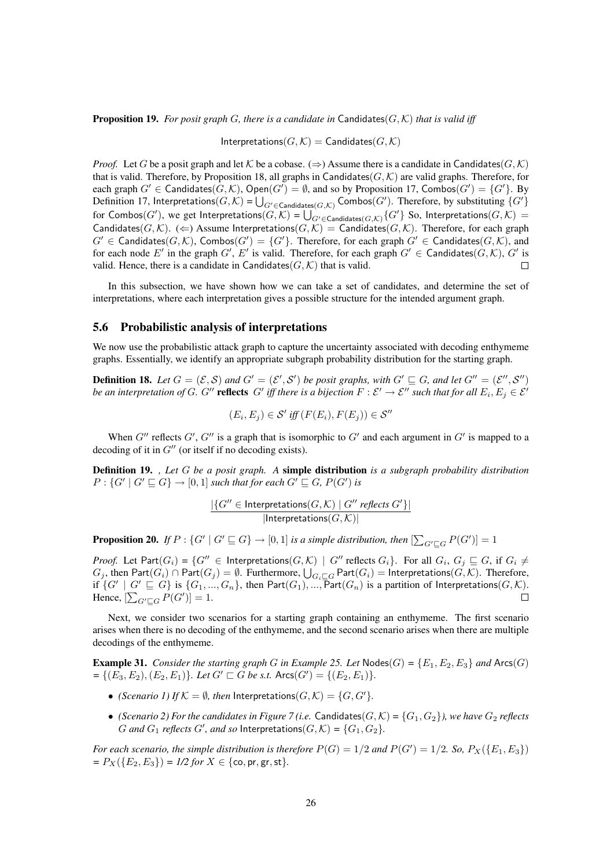**Proposition 19.** For posit graph G, there is a candidate in Candidates( $G, K$ ) that is valid iff

Interpretations( $G, K$ ) = Candidates( $G, K$ )

*Proof.* Let G be a posit graph and let K be a cobase. ( $\Rightarrow$ ) Assume there is a candidate in Candidates( $G, K$ ) that is valid. Therefore, by Proposition 18, all graphs in Candidates( $G, K$ ) are valid graphs. Therefore, for each graph  $G' \in$  Candidates $(G, K)$ , Open $(G') = \emptyset$ , and so by Proposition 17, Combos $(G') = \{G'\}$ . By Definition 17, Interpretations $(G, K) = \bigcup_{G' \in \text{Candidates}(G, K)} \text{Combos}(G')$ . Therefore, by substituting  $\{G'\}$ for  $\mathsf{Combos}(G'),$  we get  $\mathsf{Interpretations}(G,\mathcal{K}) = \bigcup_{G' \in \mathsf{Candidates}(G,\mathcal{K})} \{G'\}$  So,  $\mathsf{Interpretations}(G,\mathcal{K}) = \emptyset$ Candidates(G, K). ( $\Leftarrow$ ) Assume Interpretations(G, K) = Candidates(G, K). Therefore, for each graph  $G' \in$  Candidates $(G, K)$ , Combos $(G') = \{G'\}$ . Therefore, for each graph  $G' \in$  Candidates $(G, K)$ , and for each node E' in the graph G', E' is valid. Therefore, for each graph  $G' \in$  Candidates $(G, K)$ , G' is valid. Hence, there is a candidate in Candidates( $G, K$ ) that is valid.  $\Box$ 

In this subsection, we have shown how we can take a set of candidates, and determine the set of interpretations, where each interpretation gives a possible structure for the intended argument graph.

#### 5.6 Probabilistic analysis of interpretations

We now use the probabilistic attack graph to capture the uncertainty associated with decoding enthymeme graphs. Essentially, we identify an appropriate subgraph probability distribution for the starting graph.

**Definition 18.** Let  $G = (\mathcal{E}, \mathcal{S})$  and  $G' = (\mathcal{E}', \mathcal{S}')$  be posit graphs, with  $G' \sqsubseteq G$ , and let  $G'' = (\mathcal{E}'', \mathcal{S}'')$ *be an interpretation of G.* G<sup>"</sup> **reflects** G<sup>"</sup> iff there is a bijection  $F : E' \to E''$  such that for all  $E_i, E_j \in E'$ 

$$
(E_i, E_j) \in \mathcal{S}' \textit{ iff } (F(E_i), F(E_j)) \in \mathcal{S}''
$$

When  $G''$  reflects  $G'$ ,  $G''$  is a graph that is isomorphic to  $G'$  and each argument in  $G'$  is mapped to a decoding of it in  $G''$  (or itself if no decoding exists).

Definition 19. *, Let* G *be a posit graph. A* simple distribution *is a subgraph probability distribution*  $P: \{G' \mid G' \sqsubseteq G\} \rightarrow [0,1]$  *such that for each*  $G' \sqsubseteq G$ ,  $P(G')$  *is* 

$$
\frac{|\{G'' \in \text{Interpretations}(G, \mathcal{K}) \mid G'' \text{ reflects } G'\}|}{|\text{Interpretations}(G, \mathcal{K})|}
$$

**Proposition 20.** If  $P : \{G' \mid G' \sqsubseteq G\} \to [0, 1]$  is a simple distribution, then  $[\sum_{G' \sqsubseteq G} P(G')] = 1$ 

*Proof.* Let Part $(G_i) = \{G'' \in \text{Interpretations}(G, \mathcal{K}) \mid G'' \text{ reflects } G_i\}$ . For all  $G_i$ ,  $G_j \sqsubseteq G$ , if  $G_i \neq G_i$  $G_j$ , then  ${\sf Part}(G_i)\cap {\sf Part}(G_j)=\emptyset$ . Furthermore,  $\bigcup_{G_i\sqsubseteq G} {\sf Part}(G_i) =$  Interpretations $(G,\mathcal{K})$ . Therefore, if  $\{G' \mid G' \sqsubseteq G\}$  is  $\{G_1,...,G_n\}$ , then  ${\sf Part}(G_1),...,\overline{\sf Part}(G_n)$  is a partition of Interpretations $(G,\mathcal{K}).$ Hence,  $[\sum_{G' \sqsubseteq G} P(G')] = 1$ .  $\Box$ 

Next, we consider two scenarios for a starting graph containing an enthymeme. The first scenario arises when there is no decoding of the enthymeme, and the second scenario arises when there are multiple decodings of the enthymeme.

**Example 31.** *Consider the starting graph* G *in Example 25. Let*  $\text{Nodes}(G) = \{E_1, E_2, E_3\}$  *and*  $\text{Arcs}(G)$  $= \{ (E_3, E_2), (E_2, E_1) \}$ *. Let*  $G' \sqsubset G$  *be s.t.* Arcs $(G') = \{ (E_2, E_1) \}$ *.* 

- *(Scenario 1)* If  $K = \emptyset$ *, then* Interpretations $(G, K) = \{G, G'\}.$
- *(Scenario 2) For the candidates in Figure 7 (i.e.* Candidates( $G, K$ ) = { $G_1, G_2$ }), we have  $G_2$  *reflects* G and  $G_1$  *reflects*  $G'$ , and so Interpretations $(G, K) = \{G_1, G_2\}$ .

*For each scenario, the simple distribution is therefore*  $P(G) = 1/2$  *and*  $P(G') = 1/2$ *. So,*  $P_X(\lbrace E_1, E_3 \rbrace)$  $= P_X(\{E_2, E_3\}) = 1/2$  for  $X \in \{\text{co}, \text{pr}, \text{gr}, \text{st}\}.$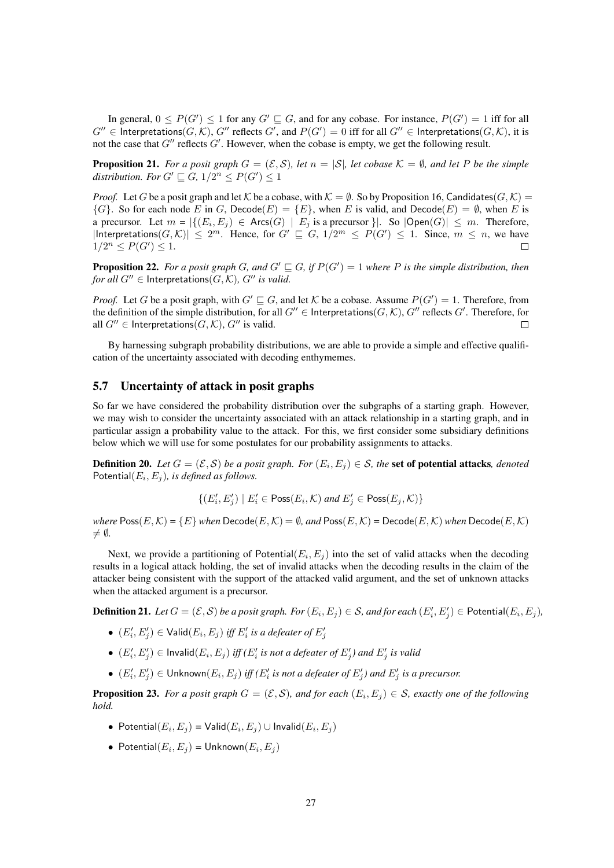In general,  $0 \le P(G') \le 1$  for any  $G' \sqsubseteq G$ , and for any cobase. For instance,  $P(G') = 1$  iff for all  $G'' \in$  Interpretations $(G, \mathcal{K}), G''$  reflects  $G'$ , and  $P(G') = 0$  iff for all  $G'' \in$  Interpretations $(G, \mathcal{K}),$  it is not the case that  $G''$  reflects  $G'$ . However, when the cobase is empty, we get the following result.

**Proposition 21.** *For a posit graph*  $G = (\mathcal{E}, \mathcal{S})$ *, let*  $n = |\mathcal{S}|$ *, let cobase*  $\mathcal{K} = \emptyset$ *, and let* P *be the simple distribution. For*  $G' \sqsubseteq G$ ,  $1/2^n \leq P(G') \leq 1$ 

*Proof.* Let G be a posit graph and let K be a cobase, with  $K = \emptyset$ . So by Proposition 16, Candidates(G, K) =  $\{G\}$ . So for each node E in G, Decode(E) =  $\{E\}$ , when E is valid, and Decode(E) =  $\emptyset$ , when E is a precursor. Let  $m = |\{(E_i, E_j) \in \text{Arcs}(G) | E_j \text{ is a precursor }\}|$ . So  $|\text{Open}(G)| \leq m$ . Therefore,  $|\text{Interpretations}(G,\mathcal{K})| \leq 2^m$ . Hence, for  $G' \sqsubseteq G$ ,  $1/2^m \leq P(G') \leq 1$ . Since,  $m \leq n$ , we have  $1/2^n \le P(G') \le 1.$  $\Box$ 

**Proposition 22.** For a posit graph G, and  $G' \sqsubseteq G$ , if  $P(G') = 1$  where P is the simple distribution, then *for all*  $G'' \in$  Interpretations( $G, K$ ),  $G''$  *is valid.* 

*Proof.* Let G be a posit graph, with  $G' \subseteq G$ , and let K be a cobase. Assume  $P(G') = 1$ . Therefore, from the definition of the simple distribution, for all  $G'' \in$  Interpretations( $G, K$ ),  $G''$  reflects  $G'$ . Therefore, for all  $G'' \in$  Interpretations( $G, K$ ),  $G''$  is valid.  $\Box$ 

By harnessing subgraph probability distributions, we are able to provide a simple and effective qualification of the uncertainty associated with decoding enthymemes.

## 5.7 Uncertainty of attack in posit graphs

So far we have considered the probability distribution over the subgraphs of a starting graph. However, we may wish to consider the uncertainty associated with an attack relationship in a starting graph, and in particular assign a probability value to the attack. For this, we first consider some subsidiary definitions below which we will use for some postulates for our probability assignments to attacks.

**Definition 20.** Let  $G = (\mathcal{E}, \mathcal{S})$  be a posit graph. For  $(E_i, E_j) \in \mathcal{S}$ , the set of potential attacks, denoted Potential $(E_i, E_j)$ *, is defined as follows.* 

$$
\{(E'_i, E'_j) \mid E'_i \in \text{Poss}(E_i, \mathcal{K}) \text{ and } E'_j \in \text{Poss}(E_j, \mathcal{K})\}
$$

*where*  $Poss(E, K) = {E}$  *when*  $Decode(E, K) = \emptyset$ *, and*  $Poss(E, K) = Decode(E, K)$  *when*  $Decode(E, K)$  $\neq \emptyset$ .

Next, we provide a partitioning of Potential $(E_i, E_j)$  into the set of valid attacks when the decoding results in a logical attack holding, the set of invalid attacks when the decoding results in the claim of the attacker being consistent with the support of the attacked valid argument, and the set of unknown attacks when the attacked argument is a precursor.

 $\textbf{Definition 21.}$   $Let\, G=(\mathcal{E},\mathcal{S})$  *be a posit graph. For*  $(E_i,E_j)\in \mathcal{S}$ , and for each  $(E'_i,E'_j)\in \textsf{Potential}(E_i,E_j)$ ,

- $(E'_i, E'_j) \in \mathsf{Valid}(E_i, E_j)$  *iff*  $E'_i$  *is a defeater of*  $E'_j$
- $(E'_i, E'_j) \in \text{Invalid}(E_i, E_j) \text{ iff } (E'_i \text{ is not a defeater of } E'_j) \text{ and } E'_j \text{ is valid}$
- $(E'_i, E'_j) \in \mathsf{Unknown}(E_i, E_j)$  *iff*  $(E'_i$  *is not a defeater of*  $E'_j$ *) and*  $E'_j$  *is a precursor.*

**Proposition 23.** For a posit graph  $G = (\mathcal{E}, \mathcal{S})$ , and for each  $(E_i, E_j) \in \mathcal{S}$ , exactly one of the following *hold.*

- Potential $(E_i, E_j)$  = Valid $(E_i, E_j)$   $\cup$  Invalid $(E_i, E_j)$
- Potential $(E_i, E_j)$  = Unknown $(E_i, E_j)$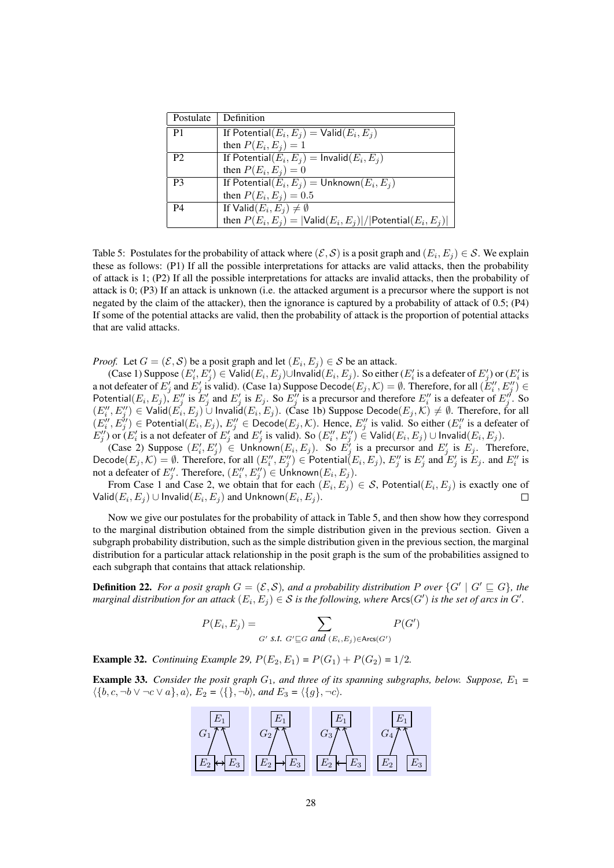| Postulate      | Definition                                                                 |
|----------------|----------------------------------------------------------------------------|
| P <sub>1</sub> | If Potential $(E_i, E_j) =$ Valid $(E_i, E_j)$                             |
|                | then $P(E_i, E_j) = 1$                                                     |
| P <sub>2</sub> | If Potential $(E_i, E_j)$ = Invalid $(E_i, E_j)$                           |
|                | then $P(E_i, E_i) = 0$                                                     |
| P3             | If Potential $(E_i, E_j) =$ Unknown $(E_i, E_j)$                           |
|                | then $P(E_i, E_j) = 0.5$                                                   |
| P4             | If Valid $(E_i, E_j) \neq \emptyset$                                       |
|                | then $P(E_i, E_j) =  \text{Valid}(E_i, E_j) / \text{Potential}(E_i, E_j) $ |

Table 5: Postulates for the probability of attack where  $(\mathcal{E}, \mathcal{S})$  is a posit graph and  $(E_i, E_j) \in \mathcal{S}$ . We explain these as follows: (P1) If all the possible interpretations for attacks are valid attacks, then the probability of attack is 1; (P2) If all the possible interpretations for attacks are invalid attacks, then the probability of attack is 0; (P3) If an attack is unknown (i.e. the attacked argument is a precursor where the support is not negated by the claim of the attacker), then the ignorance is captured by a probability of attack of 0.5; (P4) If some of the potential attacks are valid, then the probability of attack is the proportion of potential attacks that are valid attacks.

*Proof.* Let  $G = (\mathcal{E}, \mathcal{S})$  be a posit graph and let  $(E_i, E_j) \in \mathcal{S}$  be an attack.

(Case 1) Suppose  $(E'_i, E'_j) \in \text{Valid}(E_i, E_j) \cup \text{Invalid}(E_i, E_j)$ . So either  $(E'_i$  is a defeater of  $E'_j$ ) or  $(E'_i$  is a not defeater of  $E'_j$  and  $E'_j$  is valid). (Case 1a) Suppose Decode( $E_j, K$ ) = Ø. Therefore, for all  $(E''_i, E''_j) \in$ Potential $(E_i, E_j)$ ,  $E''_j$  is  $E'_j$  and  $E'_j$  is  $E_j$ . So  $E''_j$  is a precursor and therefore  $E''_i$  is a defeater of  $E''_j$ . So  $(E''_i, E''_j) \in \mathsf{Valid}(E_i, E_j) \cup \mathsf{Invalid}(E_i, E_j)$ . (Case 1b) Suppose Decode $(E_j, \mathcal{K}) \neq \emptyset$ . Therefore, for all  $(E''_i, E''_j) \in$  Potential $(E_i, E_j), E''_j \in$  Decode $(E_j, \mathcal{K})$ . Hence,  $E''_j$  is valid. So either  $(E''_i$  is a defeater of  $E''_j$ ) or  $(E'_i$  is a not defeater of  $E'_j$  and  $E'_j$  is valid). So  $(E''_i, E''_j) \in \text{Valid}(E_i, E_j) \cup \text{Invalid}(E_i, E_j)$ .

(Case 2) Suppose  $(E'_i, E'_j) \in \text{Unknown}(E_i, E_j)$ . So  $E'_j$  is a precursor and  $E'_j$  is  $E_j$ . Therefore, Decode $(E_j, \mathcal{K}) = \emptyset$ . Therefore, for all  $(E''_i, E''_j) \in$  Potential $(E_i, E_j)$ ,  $E''_j$  is  $E'_j$  and  $E''_j$  is  $E_j$ . and  $E''_i$  is not a defeater of  $E_j''$ . Therefore,  $(E_i'', E_j'') \in \mathsf{Unknown}(E_i, E_j)$ .

From Case 1 and Case 2, we obtain that for each  $(E_i, E_j) \in S$ , Potential $(E_i, E_j)$  is exactly one of  $\mathsf{Valid}(E_i,E_j) \cup \mathsf{Invalid}(E_i,E_j)$  and  $\mathsf{Unknown}(E_i,E_j).$  $\Box$ 

Now we give our postulates for the probability of attack in Table 5, and then show how they correspond to the marginal distribution obtained from the simple distribution given in the previous section. Given a subgraph probability distribution, such as the simple distribution given in the previous section, the marginal distribution for a particular attack relationship in the posit graph is the sum of the probabilities assigned to each subgraph that contains that attack relationship.

**Definition 22.** For a posit graph  $G = (\mathcal{E}, \mathcal{S})$ , and a probability distribution P over  $\{G' \mid G' \sqsubseteq G\}$ , the  $marginal distribution$  for an attack  $(E_i, E_j) \in S$  is the following, where  $\textsf{Arcs}(G')$  is the set of arcs in  $G'.$ 

$$
P(E_i, E_j) = \sum_{G' \text{ s.t. } G' \sqsubseteq G \text{ and } (E_i, E_j) \in \text{Arcs}(G')} P(G')
$$

**Example 32.** *Continuing Example 29,*  $P(E_2, E_1) = P(G_1) + P(G_2) = 1/2$ .

**Example 33.** Consider the posit graph  $G_1$ , and three of its spanning subgraphs, below. Suppose,  $E_1$  =  $\langle \{b, c, \neg b \lor \neg c \lor a\}, a \rangle$ ,  $E_2 = \langle \{\}, \neg b \rangle$ *, and*  $E_3 = \langle \{g\}, \neg c \rangle$ *.* 

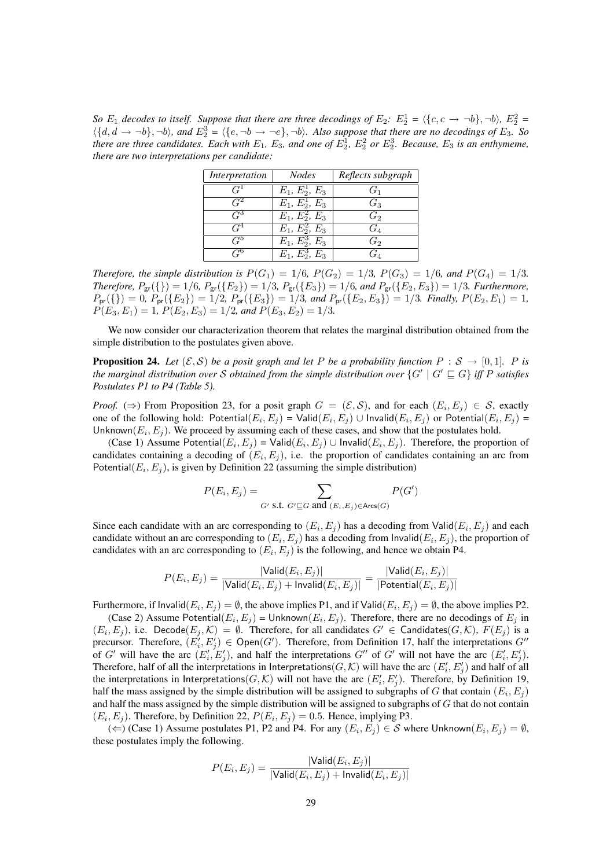*So*  $E_1$  decodes to itself. Suppose that there are three decodings of  $E_2$ :  $E_2^1 = \langle \{c, c \to \neg b\}, \neg b \rangle$ ,  $E_2^2 =$  $\langle \{d, d \to \neg b\}, \neg b \rangle$ *, and*  $E_2^3 = \langle \{e, \neg b \to \neg e\}, \neg b \rangle$ *. Also suppose that there are no decodings of*  $E_3$ *. So there are three candidates. Each with*  $E_1$ ,  $E_3$ , and one of  $E_2^1$ ,  $E_2^2$  or  $E_2^3$ . Because,  $E_3$  is an enthymeme, *there are two interpretations per candidate:*

| Interpretation   | <b>Nodes</b>      | Reflects subgraph |
|------------------|-------------------|-------------------|
| $G^1$            | $E_1, E_2^1, E_3$ | $G_1$             |
| $\overline{G}^2$ | $E_1, E_2^1, E_3$ | $G_3$             |
| $\overline{G^3}$ | $E_1, E_2^2, E_3$ | $G_2$             |
| $\bar{G}^4$      | $E_1, E_2^2, E_3$ | $G_4$             |
| $C^5$            | $E_1, E_2^3, E_3$ | $G_2$             |
| $G^6$            | $E_1, E_2^3, E_3$ |                   |

*Therefore, the simple distribution is*  $P(G_1) = 1/6$ ,  $P(G_2) = 1/3$ ,  $P(G_3) = 1/6$ *, and*  $P(G_4) = 1/3$ *. Therefore,*  $P_{\text{gr}}(\{\}) = 1/6$ ,  $P_{\text{gr}}(\{E_2\}) = 1/3$ ,  $P_{\text{gr}}(\{E_3\}) = 1/6$ , and  $P_{\text{gr}}(\{E_2, E_3\}) = 1/3$ . *Furthermore*,  $P_{\text{pr}}(\{\}) = 0$ ,  $P_{\text{pr}}(\{E_2\}) = 1/2$ ,  $P_{\text{pr}}(\{E_3\}) = 1/3$ , and  $P_{\text{pr}}(\{E_2, E_3\}) = 1/3$ . Finally,  $P(E_2, E_1) = 1$ ,  $P(E_3, E_1) = 1$ ,  $P(E_2, E_3) = 1/2$ , and  $P(E_3, E_2) = 1/3$ .

We now consider our characterization theorem that relates the marginal distribution obtained from the simple distribution to the postulates given above.

**Proposition 24.** Let  $(\mathcal{E}, \mathcal{S})$  be a posit graph and let P be a probability function  $P : \mathcal{S} \to [0, 1]$ . P is *the marginal distribution over* S *obtained from the simple distribution over*  $\{G' \mid G' \sqsubseteq G\}$  *iff* P *satisfies Postulates P1 to P4 (Table 5).*

*Proof.* ( $\Rightarrow$ ) From Proposition 23, for a posit graph  $G = (\mathcal{E}, \mathcal{S})$ , and for each  $(E_i, E_j) \in \mathcal{S}$ , exactly one of the following hold: Potential $(E_i, E_j)$  = Valid $(E_i, E_j)$   $\cup$  Invalid $(E_i, E_j)$  or Potential $(E_i, E_j)$  = Unknown $(E_i, E_j)$ . We proceed by assuming each of these cases, and show that the postulates hold.

(Case 1) Assume Potential $(E_i, E_j)$  = Valid $(E_i, E_j)$   $\cup$  Invalid $(E_i, E_j)$ . Therefore, the proportion of candidates containing a decoding of  $(E_i, E_j)$ , i.e. the proportion of candidates containing an arc from Potential( $E_i, E_j$ ), is given by Definition 22 (assuming the simple distribution)

$$
P(E_i, E_j) = \sum_{G' \text{ s.t. } G' \sqsubseteq G \text{ and } (E_i, E_j) \in \text{Arcs}(G)} P(G')
$$

Since each candidate with an arc corresponding to  $(E_i, E_j)$  has a decoding from Valid $(E_i, E_j)$  and each candidate without an arc corresponding to  $(E_i, E_j)$  has a decoding from Invalid $(E_i, E_j)$ , the proportion of candidates with an arc corresponding to  $(E_i, E_j)$  is the following, and hence we obtain P4.

$$
P(E_i, E_j) = \frac{|\text{Valid}(E_i, E_j)|}{|\text{Valid}(E_i, E_j) + \text{Invalid}(E_i, E_j)|} = \frac{|\text{Valid}(E_i, E_j)|}{|\text{Potential}(E_i, E_j)|}
$$

Furthermore, if Invalid $(E_i, E_j) = \emptyset$ , the above implies P1, and if Valid $(E_i, E_j) = \emptyset$ , the above implies P2.

(Case 2) Assume Potential( $E_i, E_j$ ) = Unknown( $E_i, E_j$ ). Therefore, there are no decodings of  $E_j$  in  $(E_i, E_j)$ , i.e. Decode $(E_j, \mathcal{K}) = \emptyset$ . Therefore, for all candidates  $G' \in$  Candidates $(G, \mathcal{K})$ ,  $F(E_j)$  is a precursor. Therefore,  $(E'_i, E'_j) \in \mathsf{Open}(G')$ . Therefore, from Definition 17, half the interpretations  $G''$ of G' will have the arc  $(E_i', E_j')$ , and half the interpretations G'' of G' will not have the arc  $(E_i', E_j')$ . Therefore, half of all the interpretations in Interpretations( $G, K$ ) will have the arc  $(E'_i, E'_j)$  and half of all the interpretations in Interpretations( $G, K$ ) will not have the arc  $(E'_i, E'_j)$ . Therefore, by Definition 19, half the mass assigned by the simple distribution will be assigned to subgraphs of G that contain  $(E_i, E_j)$ and half the mass assigned by the simple distribution will be assigned to subgraphs of  $G$  that do not contain  $(E_i, E_j)$ . Therefore, by Definition 22,  $P(E_i, E_j) = 0.5$ . Hence, implying P3.

( $\Leftarrow$ ) (Case 1) Assume postulates P1, P2 and P4. For any  $(E_i, E_j) \in S$  where Unknown $(E_i, E_j) = \emptyset$ , these postulates imply the following.

$$
P(E_i, E_j) = \frac{|\mathsf{Valid}(E_i, E_j)|}{|\mathsf{Valid}(E_i, E_j) + \mathsf{Invalid}(E_i, E_j)|}
$$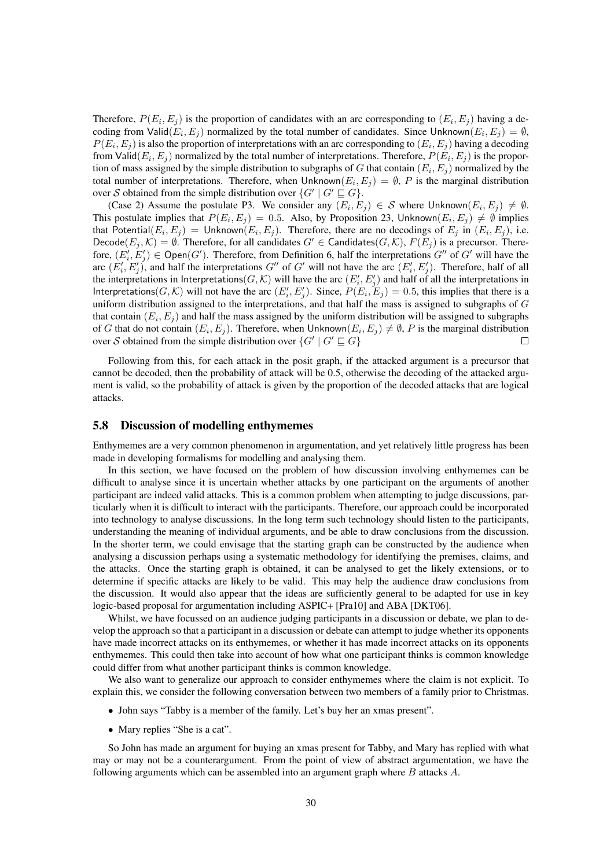Therefore,  $P(E_i, E_j)$  is the proportion of candidates with an arc corresponding to  $(E_i, E_j)$  having a decoding from Valid $(E_i, E_j)$  normalized by the total number of candidates. Since Unknown $(E_i, E_j) = \emptyset$ ,  $P(E_i, E_j)$  is also the proportion of interpretations with an arc corresponding to  $(E_i, E_j)$  having a decoding from Valid $(E_i, E_j)$  normalized by the total number of interpretations. Therefore,  $P(E_i, E_j)$  is the proportion of mass assigned by the simple distribution to subgraphs of G that contain  $(E_i, E_j)$  normalized by the total number of interpretations. Therefore, when Unknown $(E_i, E_j) = \emptyset$ , P is the marginal distribution over S obtained from the simple distribution over  $\{G' \mid G' \sqsubseteq G\}.$ 

(Case 2) Assume the postulate P3. We consider any  $(E_i, E_j) \in S$  where Unknown $(E_i, E_j) \neq \emptyset$ . This postulate implies that  $P(E_i, E_j) = 0.5$ . Also, by Proposition 23, Unknown $(E_i, E_j) \neq \emptyset$  implies that Potential $(E_i, E_j) = \text{Unknown}(E_i, E_j)$ . Therefore, there are no decodings of  $E_j$  in  $(E_i, E_j)$ , i.e. Decode( $E_i, K$ ) =  $\emptyset$ . Therefore, for all candidates  $G' \in$  Candidates( $G, K$ ),  $F(E_j)$  is a precursor. Therefore,  $(E'_i, E'_j) \in \mathsf{Open}(G')$ . Therefore, from Definition 6, half the interpretations  $G''$  of  $G'$  will have the arc  $(E'_i, E'_j)$ , and half the interpretations G'' of G' will not have the arc  $(E'_i, E'_j)$ . Therefore, half of all the interpretations in Interpretations  $(G, K)$  will have the arc  $(E'_i, E'_j)$  and half of all the interpretations in Interpretations  $(G, K)$  will not have the arc  $(E_i', E_j')$ . Since,  $P(E_i, E_j) = 0.5$ , this implies that there is a uniform distribution assigned to the interpretations, and that half the mass is assigned to subgraphs of  $G$ that contain  $(E_i, E_j)$  and half the mass assigned by the uniform distribution will be assigned to subgraphs of G that do not contain  $(E_i, E_j)$ . Therefore, when Unknown $(E_i, E_j) \neq \emptyset$ , P is the marginal distribution over S obtained from the simple distribution over  $\{G' \mid G' \sqsubseteq G\}$  $\Box$ 

Following from this, for each attack in the posit graph, if the attacked argument is a precursor that cannot be decoded, then the probability of attack will be 0.5, otherwise the decoding of the attacked argument is valid, so the probability of attack is given by the proportion of the decoded attacks that are logical attacks.

#### 5.8 Discussion of modelling enthymemes

Enthymemes are a very common phenomenon in argumentation, and yet relatively little progress has been made in developing formalisms for modelling and analysing them.

In this section, we have focused on the problem of how discussion involving enthymemes can be difficult to analyse since it is uncertain whether attacks by one participant on the arguments of another participant are indeed valid attacks. This is a common problem when attempting to judge discussions, particularly when it is difficult to interact with the participants. Therefore, our approach could be incorporated into technology to analyse discussions. In the long term such technology should listen to the participants, understanding the meaning of individual arguments, and be able to draw conclusions from the discussion. In the shorter term, we could envisage that the starting graph can be constructed by the audience when analysing a discussion perhaps using a systematic methodology for identifying the premises, claims, and the attacks. Once the starting graph is obtained, it can be analysed to get the likely extensions, or to determine if specific attacks are likely to be valid. This may help the audience draw conclusions from the discussion. It would also appear that the ideas are sufficiently general to be adapted for use in key logic-based proposal for argumentation including ASPIC+ [Pra10] and ABA [DKT06].

Whilst, we have focussed on an audience judging participants in a discussion or debate, we plan to develop the approach so that a participant in a discussion or debate can attempt to judge whether its opponents have made incorrect attacks on its enthymemes, or whether it has made incorrect attacks on its opponents enthymemes. This could then take into account of how what one participant thinks is common knowledge could differ from what another participant thinks is common knowledge.

We also want to generalize our approach to consider enthymemes where the claim is not explicit. To explain this, we consider the following conversation between two members of a family prior to Christmas.

- John says "Tabby is a member of the family. Let's buy her an xmas present".
- Mary replies "She is a cat".

So John has made an argument for buying an xmas present for Tabby, and Mary has replied with what may or may not be a counterargument. From the point of view of abstract argumentation, we have the following arguments which can be assembled into an argument graph where B attacks A.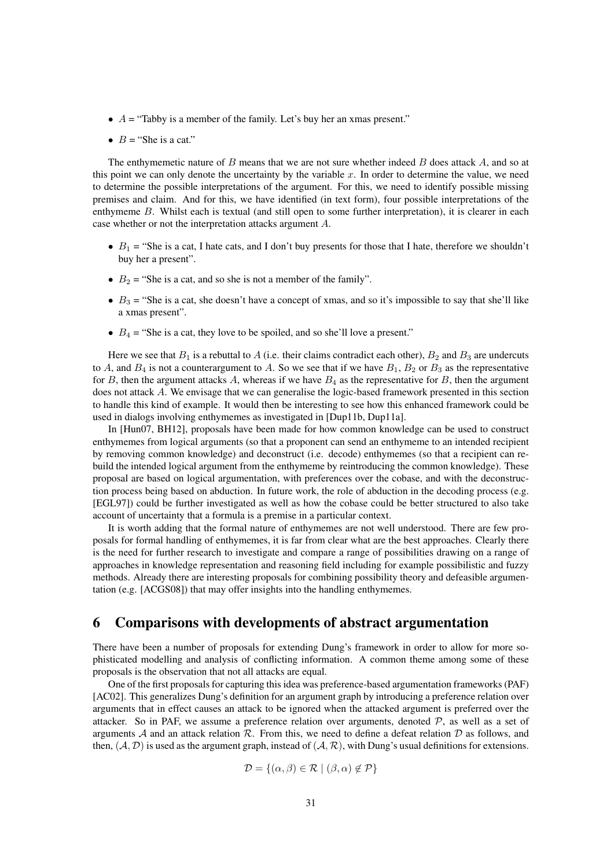- $A =$  "Tabby is a member of the family. Let's buy her an xmas present."
- $B =$  "She is a cat."

The enthymemetic nature of  $B$  means that we are not sure whether indeed  $B$  does attack  $A$ , and so at this point we can only denote the uncertainty by the variable  $x$ . In order to determine the value, we need to determine the possible interpretations of the argument. For this, we need to identify possible missing premises and claim. And for this, we have identified (in text form), four possible interpretations of the enthymeme B. Whilst each is textual (and still open to some further interpretation), it is clearer in each case whether or not the interpretation attacks argument A.

- $B_1$  = "She is a cat, I hate cats, and I don't buy presents for those that I hate, therefore we shouldn't buy her a present".
- $B_2$  = "She is a cat, and so she is not a member of the family".
- $B_3$  = "She is a cat, she doesn't have a concept of xmas, and so it's impossible to say that she'll like a xmas present".
- $B_4$  = "She is a cat, they love to be spoiled, and so she'll love a present."

Here we see that  $B_1$  is a rebuttal to A (i.e. their claims contradict each other),  $B_2$  and  $B_3$  are undercuts to A, and  $B_4$  is not a counterargument to A. So we see that if we have  $B_1$ ,  $B_2$  or  $B_3$  as the representative for B, then the argument attacks A, whereas if we have  $B_4$  as the representative for B, then the argument does not attack A. We envisage that we can generalise the logic-based framework presented in this section to handle this kind of example. It would then be interesting to see how this enhanced framework could be used in dialogs involving enthymemes as investigated in [Dup11b, Dup11a].

In [Hun07, BH12], proposals have been made for how common knowledge can be used to construct enthymemes from logical arguments (so that a proponent can send an enthymeme to an intended recipient by removing common knowledge) and deconstruct (i.e. decode) enthymemes (so that a recipient can rebuild the intended logical argument from the enthymeme by reintroducing the common knowledge). These proposal are based on logical argumentation, with preferences over the cobase, and with the deconstruction process being based on abduction. In future work, the role of abduction in the decoding process (e.g. [EGL97]) could be further investigated as well as how the cobase could be better structured to also take account of uncertainty that a formula is a premise in a particular context.

It is worth adding that the formal nature of enthymemes are not well understood. There are few proposals for formal handling of enthymemes, it is far from clear what are the best approaches. Clearly there is the need for further research to investigate and compare a range of possibilities drawing on a range of approaches in knowledge representation and reasoning field including for example possibilistic and fuzzy methods. Already there are interesting proposals for combining possibility theory and defeasible argumentation (e.g. [ACGS08]) that may offer insights into the handling enthymemes.

# 6 Comparisons with developments of abstract argumentation

There have been a number of proposals for extending Dung's framework in order to allow for more sophisticated modelling and analysis of conflicting information. A common theme among some of these proposals is the observation that not all attacks are equal.

One of the first proposals for capturing this idea was preference-based argumentation frameworks (PAF) [AC02]. This generalizes Dung's definition for an argument graph by introducing a preference relation over arguments that in effect causes an attack to be ignored when the attacked argument is preferred over the attacker. So in PAF, we assume a preference relation over arguments, denoted  $P$ , as well as a set of arguments A and an attack relation  $\mathcal R$ . From this, we need to define a defeat relation  $\mathcal D$  as follows, and then,  $(A, D)$  is used as the argument graph, instead of  $(A, R)$ , with Dung's usual definitions for extensions.

$$
\mathcal{D} = \{ (\alpha, \beta) \in \mathcal{R} \mid (\beta, \alpha) \notin \mathcal{P} \}
$$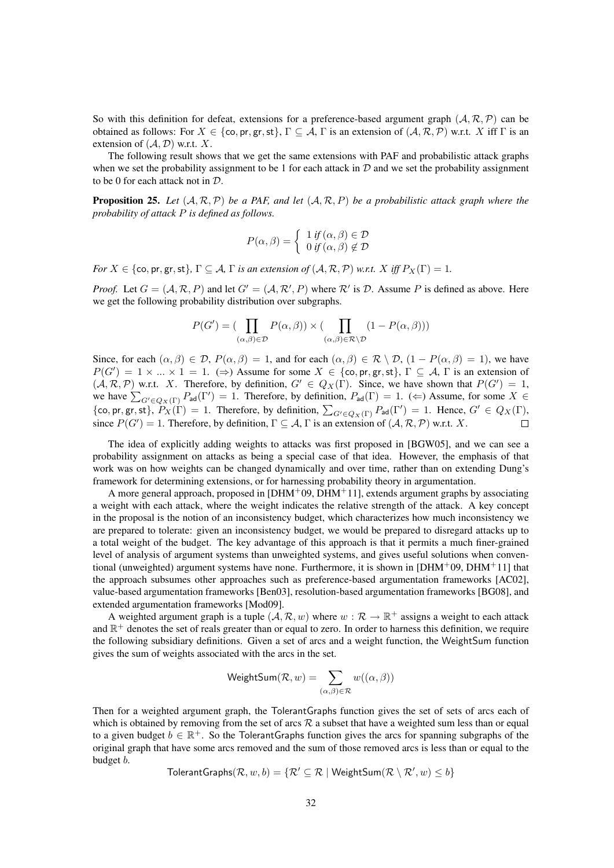So with this definition for defeat, extensions for a preference-based argument graph  $(A, \mathcal{R}, \mathcal{P})$  can be obtained as follows: For  $X \in \{\text{co}, \text{pr}, \text{gr}, \text{st}\}\,$ ,  $\Gamma \subseteq \mathcal{A}$ ,  $\Gamma$  is an extension of  $(\mathcal{A}, \mathcal{R}, \mathcal{P})$  w.r.t. X iff  $\Gamma$  is an extension of  $(A, D)$  w.r.t. X.

The following result shows that we get the same extensions with PAF and probabilistic attack graphs when we set the probability assignment to be 1 for each attack in  $D$  and we set the probability assignment to be 0 for each attack not in D.

Proposition 25. *Let* (A, R,P) *be a PAF, and let* (A, R, P) *be a probabilistic attack graph where the probability of attack* P *is defined as follows.*

$$
P(\alpha, \beta) = \begin{cases} 1 & \text{if } (\alpha, \beta) \in \mathcal{D} \\ 0 & \text{if } (\alpha, \beta) \notin \mathcal{D} \end{cases}
$$

*For*  $X \in \{\text{co}, \text{pr}, \text{gr}, \text{st}\}, \Gamma \subseteq \mathcal{A}, \Gamma$  *is an extension of*  $(\mathcal{A}, \mathcal{R}, \mathcal{P})$  *w.r.t.*  $X$  *iff*  $P_X(\Gamma) = 1$ .

*Proof.* Let  $G = (A, \mathcal{R}, P)$  and let  $G' = (A, \mathcal{R}', P)$  where  $\mathcal{R}'$  is  $D$ . Assume P is defined as above. Here we get the following probability distribution over subgraphs.

$$
P(G') = (\prod_{(\alpha,\beta)\in\mathcal{D}} P(\alpha,\beta)) \times (\prod_{(\alpha,\beta)\in\mathcal{R}\setminus\mathcal{D}} (1 - P(\alpha,\beta)))
$$

Since, for each  $(\alpha, \beta) \in \mathcal{D}$ ,  $P(\alpha, \beta) = 1$ , and for each  $(\alpha, \beta) \in \mathcal{R} \setminus \mathcal{D}$ ,  $(1 - P(\alpha, \beta) = 1)$ , we have  $P(G') = 1 \times ... \times 1 = 1$ . ( $\Rightarrow$ ) Assume for some  $X \in \{\text{co}, \text{pr}, \text{gr}, \text{st}\}, \Gamma \subseteq \mathcal{A}, \Gamma$  is an extension of  $(A, \mathcal{R}, \mathcal{P})$  w.r.t. X. Therefore, by definition,  $G' \in Q_X(\Gamma)$ . Since, we have shown that  $P(G') = 1$ , we have  $\sum_{G' \in Q_X(\Gamma)} P_{ad}(\Gamma') = 1$ . Therefore, by definition,  $P_{ad}(\Gamma) = 1$ . ( $\Leftarrow$ ) Assume, for some  $X \in$ {co, pr, gr, st},  $P_X(\Gamma) = 1$ . Therefore, by definition,  $\sum_{G' \in Q_X(\Gamma)} P_{ad}(\Gamma') = 1$ . Hence,  $G' \in Q_X(\Gamma)$ , since  $P(G') = 1$ . Therefore, by definition,  $\Gamma \subseteq A$ ,  $\Gamma$  is an extension of  $(A, \mathcal{R}, \mathcal{P})$  w.r.t. X.  $\Box$ 

The idea of explicitly adding weights to attacks was first proposed in [BGW05], and we can see a probability assignment on attacks as being a special case of that idea. However, the emphasis of that work was on how weights can be changed dynamically and over time, rather than on extending Dung's framework for determining extensions, or for harnessing probability theory in argumentation.

A more general approach, proposed in  $[DHM^+09, DHM^+11]$ , extends argument graphs by associating a weight with each attack, where the weight indicates the relative strength of the attack. A key concept in the proposal is the notion of an inconsistency budget, which characterizes how much inconsistency we are prepared to tolerate: given an inconsistency budget, we would be prepared to disregard attacks up to a total weight of the budget. The key advantage of this approach is that it permits a much finer-grained level of analysis of argument systems than unweighted systems, and gives useful solutions when conventional (unweighted) argument systems have none. Furthermore, it is shown in  $[DHM^+09, DHM^+11]$  that the approach subsumes other approaches such as preference-based argumentation frameworks [AC02], value-based argumentation frameworks [Ben03], resolution-based argumentation frameworks [BG08], and extended argumentation frameworks [Mod09].

A weighted argument graph is a tuple  $(A, \mathcal{R}, w)$  where  $w : \mathcal{R} \to \mathbb{R}^+$  assigns a weight to each attack and  $\mathbb{R}^+$  denotes the set of reals greater than or equal to zero. In order to harness this definition, we require the following subsidiary definitions. Given a set of arcs and a weight function, the WeightSum function gives the sum of weights associated with the arcs in the set.

$$
\mathsf{WeightSum}(\mathcal{R}, w) = \sum_{(\alpha, \beta) \in \mathcal{R}} w((\alpha, \beta))
$$

Then for a weighted argument graph, the TolerantGraphs function gives the set of sets of arcs each of which is obtained by removing from the set of arcs  $\mathcal R$  a subset that have a weighted sum less than or equal to a given budget  $b \in \mathbb{R}^+$ . So the TolerantGraphs function gives the arcs for spanning subgraphs of the original graph that have some arcs removed and the sum of those removed arcs is less than or equal to the budget b.

$$
TolerantGraphs(\mathcal{R}, w, b) = \{ \mathcal{R}' \subseteq \mathcal{R} \mid WeightSum(\mathcal{R} \setminus \mathcal{R}', w) \leq b \}
$$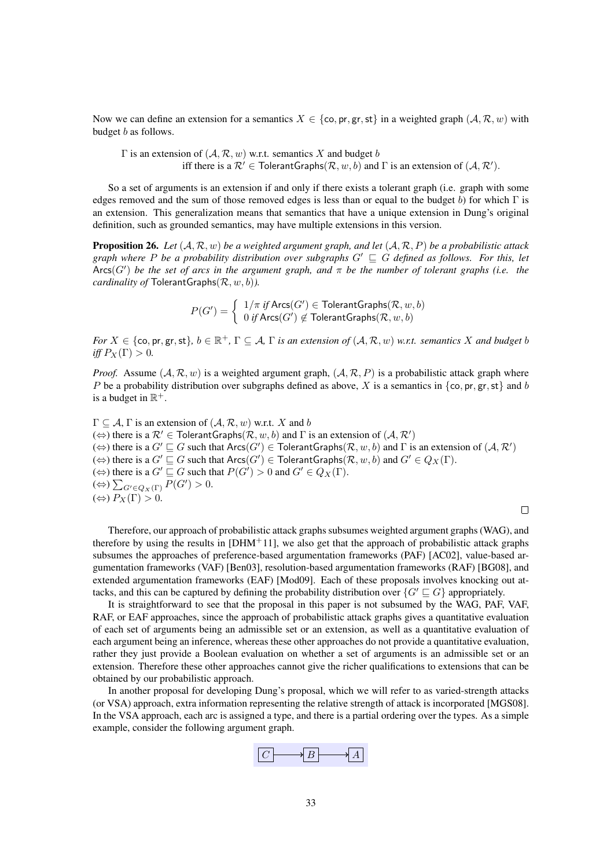Now we can define an extension for a semantics  $X \in \{\text{co}, \text{pr}, \text{gr}, \text{st}\}\$  in a weighted graph  $(\mathcal{A}, \mathcal{R}, w)$  with budget b as follows.

 $\Gamma$  is an extension of  $(A, \mathcal{R}, w)$  w.r.t. semantics X and budget b

iff there is a  $\mathcal{R}' \in \text{TolerantGraphs}(\mathcal{R}, w, b)$  and  $\Gamma$  is an extension of  $(\mathcal{A}, \mathcal{R}')$ .

So a set of arguments is an extension if and only if there exists a tolerant graph (i.e. graph with some edges removed and the sum of those removed edges is less than or equal to the budget b) for which  $\Gamma$  is an extension. This generalization means that semantics that have a unique extension in Dung's original definition, such as grounded semantics, may have multiple extensions in this version.

Proposition 26. *Let* (A, R, w) *be a weighted argument graph, and let* (A, R, P) *be a probabilistic attack graph where* P *be a probability distribution over subgraphs*  $G' \nsubseteq G$  *defined as follows. For this, let*  $\textsf{Arcs}(G')$  *be the set of arcs in the argument graph, and*  $\pi$  *be the number of tolerant graphs (i.e. the cardinality of* TolerantGraphs(R, w, b)*).*

$$
P(G') = \left\{ \begin{array}{l} 1/\pi \text{ if } \textsf{Arcs}(G') \in \textsf{TolerantGraphs}(\mathcal{R},w,b) \\ 0 \text{ if } \textsf{Arcs}(G') \not\in \textsf{TolerantGraphs}(\mathcal{R},w,b) \end{array} \right.
$$

*For*  $X \in \{\infty, \text{pr}, \text{gr}, \text{st}\}, b \in \mathbb{R}^+$ ,  $\Gamma \subseteq A$ ,  $\Gamma$  *is an extension of*  $(A, \mathcal{R}, w)$  *w.r.t. semantics* X *and budget b iff*  $P_X(\Gamma) > 0$ .

*Proof.* Assume  $(A, \mathcal{R}, w)$  is a weighted argument graph,  $(A, \mathcal{R}, P)$  is a probabilistic attack graph where P be a probability distribution over subgraphs defined as above, X is a semantics in {co, pr, gr, st} and b is a budget in  $\mathbb{R}^+$ .

 $\Gamma \subseteq A$ ,  $\Gamma$  is an extension of  $(A, \mathcal{R}, w)$  w.r.t. X and b  $(\Leftrightarrow)$  there is a  $\mathcal{R}' \in \text{TolerantGraphs}(\mathcal{R}, w, b)$  and  $\Gamma$  is an extension of  $(\mathcal{A}, \mathcal{R}')$  $(\Leftrightarrow)$  there is a  $G' \sqsubseteq G$  such that  $\text{Arcs}(G') \in \text{TolerantGraphs}(\mathcal{R}, w, b)$  and  $\Gamma$  is an extension of  $(\mathcal{A}, \mathcal{R}')$ ( $\Leftrightarrow$ ) there is a  $G' ⊆ G$  such that Arcs( $G'$ ) ∈ TolerantGraphs( $R, w, b$ ) and  $G' ∈ Q_X(Γ)$ . (⇔) there is a  $G' \sqsubseteq G$  such that  $P(G') > 0$  and  $G' \in Q_X(\Gamma)$ .  $(\Leftrightarrow)$   $\sum_{G' \in Q_X(\Gamma)} P(G') > 0.$  $(\Leftrightarrow)$   $P_X(\Gamma) > 0$ .  $\Box$ 

Therefore, our approach of probabilistic attack graphs subsumes weighted argument graphs (WAG), and therefore by using the results in  $[DHM^+11]$ , we also get that the approach of probabilistic attack graphs subsumes the approaches of preference-based argumentation frameworks (PAF) [AC02], value-based argumentation frameworks (VAF) [Ben03], resolution-based argumentation frameworks (RAF) [BG08], and extended argumentation frameworks (EAF) [Mod09]. Each of these proposals involves knocking out attacks, and this can be captured by defining the probability distribution over  $\{G' \sqsubseteq G\}$  appropriately.

It is straightforward to see that the proposal in this paper is not subsumed by the WAG, PAF, VAF, RAF, or EAF approaches, since the approach of probabilistic attack graphs gives a quantitative evaluation of each set of arguments being an admissible set or an extension, as well as a quantitative evaluation of each argument being an inference, whereas these other approaches do not provide a quantitative evaluation, rather they just provide a Boolean evaluation on whether a set of arguments is an admissible set or an extension. Therefore these other approaches cannot give the richer qualifications to extensions that can be obtained by our probabilistic approach.

In another proposal for developing Dung's proposal, which we will refer to as varied-strength attacks (or VSA) approach, extra information representing the relative strength of attack is incorporated [MGS08]. In the VSA approach, each arc is assigned a type, and there is a partial ordering over the types. As a simple example, consider the following argument graph.

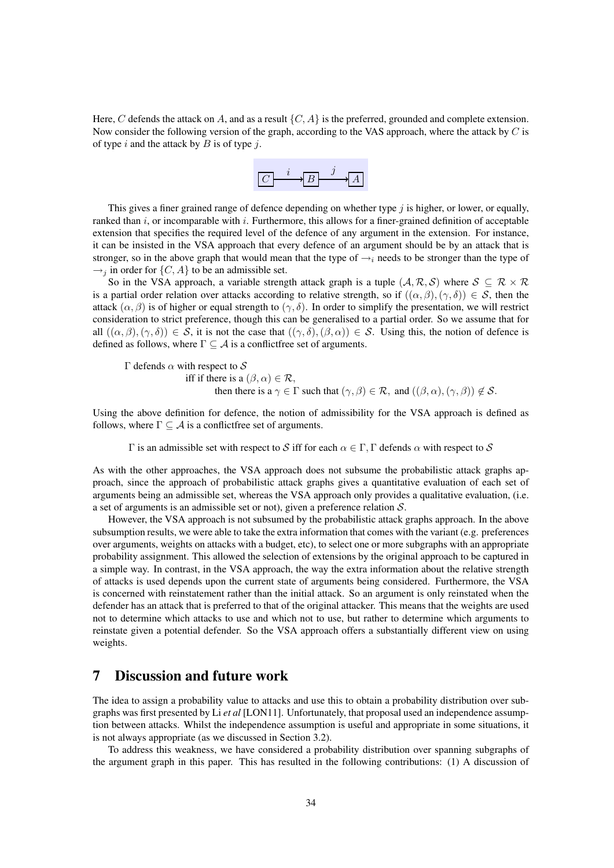Here, C defends the attack on A, and as a result  $\{C, A\}$  is the preferred, grounded and complete extension. Now consider the following version of the graph, according to the VAS approach, where the attack by  $C$  is of type i and the attack by  $B$  is of type j.



This gives a finer grained range of defence depending on whether type  $j$  is higher, or lower, or equally, ranked than  $i$ , or incomparable with  $i$ . Furthermore, this allows for a finer-grained definition of acceptable extension that specifies the required level of the defence of any argument in the extension. For instance, it can be insisted in the VSA approach that every defence of an argument should be by an attack that is stronger, so in the above graph that would mean that the type of  $\rightarrow$ <sub>i</sub> needs to be stronger than the type of  $\rightarrow$ <sub>j</sub> in order for  $\{C, A\}$  to be an admissible set.

So in the VSA approach, a variable strength attack graph is a tuple  $(A, \mathcal{R}, \mathcal{S})$  where  $\mathcal{S} \subseteq \mathcal{R} \times \mathcal{R}$ is a partial order relation over attacks according to relative strength, so if  $((\alpha, \beta),(\gamma, \delta)) \in S$ , then the attack  $(\alpha, \beta)$  is of higher or equal strength to  $(\gamma, \delta)$ . In order to simplify the presentation, we will restrict consideration to strict preference, though this can be generalised to a partial order. So we assume that for all  $((\alpha, \beta),(\gamma, \delta)) \in S$ , it is not the case that  $((\gamma, \delta),(\beta, \alpha)) \in S$ . Using this, the notion of defence is defined as follows, where  $\Gamma \subseteq A$  is a conflictfree set of arguments.

Γ defends  $\alpha$  with respect to  $\delta$ iff if there is a  $(\beta, \alpha) \in \mathcal{R}$ , then there is a  $\gamma \in \Gamma$  such that  $(\gamma, \beta) \in \mathcal{R}$ , and  $((\beta, \alpha), (\gamma, \beta)) \notin \mathcal{S}$ .

Using the above definition for defence, the notion of admissibility for the VSA approach is defined as follows, where  $\Gamma \subset A$  is a conflictfree set of arguments.

Γ is an admissible set with respect to S iff for each  $\alpha \in \Gamma$ , Γ defends  $\alpha$  with respect to S

As with the other approaches, the VSA approach does not subsume the probabilistic attack graphs approach, since the approach of probabilistic attack graphs gives a quantitative evaluation of each set of arguments being an admissible set, whereas the VSA approach only provides a qualitative evaluation, (i.e. a set of arguments is an admissible set or not), given a preference relation S.

However, the VSA approach is not subsumed by the probabilistic attack graphs approach. In the above subsumption results, we were able to take the extra information that comes with the variant (e.g. preferences over arguments, weights on attacks with a budget, etc), to select one or more subgraphs with an appropriate probability assignment. This allowed the selection of extensions by the original approach to be captured in a simple way. In contrast, in the VSA approach, the way the extra information about the relative strength of attacks is used depends upon the current state of arguments being considered. Furthermore, the VSA is concerned with reinstatement rather than the initial attack. So an argument is only reinstated when the defender has an attack that is preferred to that of the original attacker. This means that the weights are used not to determine which attacks to use and which not to use, but rather to determine which arguments to reinstate given a potential defender. So the VSA approach offers a substantially different view on using weights.

# 7 Discussion and future work

The idea to assign a probability value to attacks and use this to obtain a probability distribution over subgraphs was first presented by Li *et al* [LON11]. Unfortunately, that proposal used an independence assumption between attacks. Whilst the independence assumption is useful and appropriate in some situations, it is not always appropriate (as we discussed in Section 3.2).

To address this weakness, we have considered a probability distribution over spanning subgraphs of the argument graph in this paper. This has resulted in the following contributions: (1) A discussion of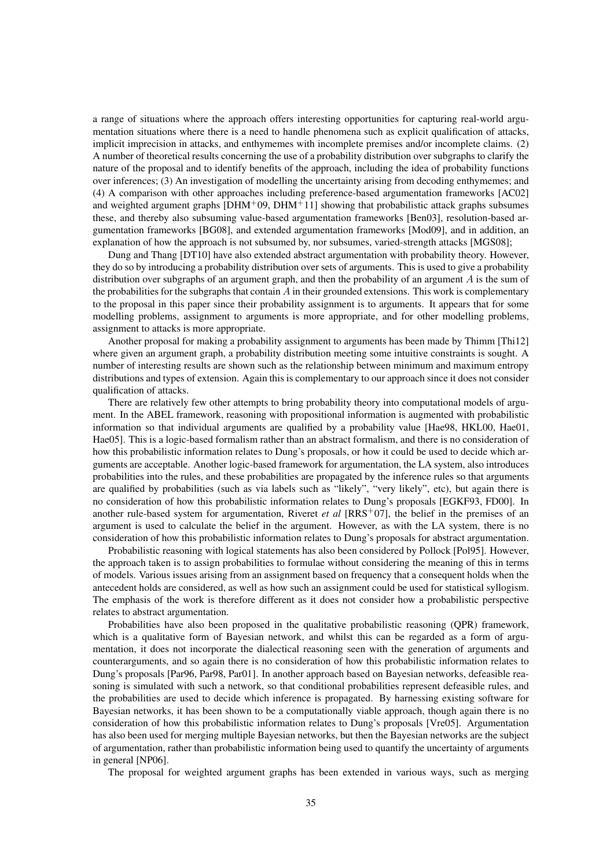a range of situations where the approach offers interesting opportunities for capturing real-world argumentation situations where there is a need to handle phenomena such as explicit qualification of attacks, implicit imprecision in attacks, and enthymemes with incomplete premises and/or incomplete claims. (2) A number of theoretical results concerning the use of a probability distribution over subgraphs to clarify the nature of the proposal and to identify benefits of the approach, including the idea of probability functions over inferences; (3) An investigation of modelling the uncertainty arising from decoding enthymemes; and (4) A comparison with other approaches including preference-based argumentation frameworks [AC02] and weighted argument graphs  $[DHM^+09, DHM^+11]$  showing that probabilistic attack graphs subsumes these, and thereby also subsuming value-based argumentation frameworks [Ben03], resolution-based argumentation frameworks [BG08], and extended argumentation frameworks [Mod09], and in addition, an explanation of how the approach is not subsumed by, nor subsumes, varied-strength attacks [MGS08];

Dung and Thang [DT10] have also extended abstract argumentation with probability theory. However, they do so by introducing a probability distribution over sets of arguments. This is used to give a probability distribution over subgraphs of an argument graph, and then the probability of an argument A is the sum of the probabilities for the subgraphs that contain A in their grounded extensions. This work is complementary to the proposal in this paper since their probability assignment is to arguments. It appears that for some modelling problems, assignment to arguments is more appropriate, and for other modelling problems, assignment to attacks is more appropriate.

Another proposal for making a probability assignment to arguments has been made by Thimm [Thi12] where given an argument graph, a probability distribution meeting some intuitive constraints is sought. A number of interesting results are shown such as the relationship between minimum and maximum entropy distributions and types of extension. Again this is complementary to our approach since it does not consider qualification of attacks.

There are relatively few other attempts to bring probability theory into computational models of argument. In the ABEL framework, reasoning with propositional information is augmented with probabilistic information so that individual arguments are qualified by a probability value [Hae98, HKL00, Hae01, Hae05]. This is a logic-based formalism rather than an abstract formalism, and there is no consideration of how this probabilistic information relates to Dung's proposals, or how it could be used to decide which arguments are acceptable. Another logic-based framework for argumentation, the LA system, also introduces probabilities into the rules, and these probabilities are propagated by the inference rules so that arguments are qualified by probabilities (such as via labels such as "likely", "very likely", etc), but again there is no consideration of how this probabilistic information relates to Dung's proposals [EGKF93, FD00]. In another rule-based system for argumentation, Riveret *et al* [RRS<sup>+</sup>07], the belief in the premises of an argument is used to calculate the belief in the argument. However, as with the LA system, there is no consideration of how this probabilistic information relates to Dung's proposals for abstract argumentation.

Probabilistic reasoning with logical statements has also been considered by Pollock [Pol95]. However, the approach taken is to assign probabilities to formulae without considering the meaning of this in terms of models. Various issues arising from an assignment based on frequency that a consequent holds when the antecedent holds are considered, as well as how such an assignment could be used for statistical syllogism. The emphasis of the work is therefore different as it does not consider how a probabilistic perspective relates to abstract argumentation.

Probabilities have also been proposed in the qualitative probabilistic reasoning (QPR) framework, which is a qualitative form of Bayesian network, and whilst this can be regarded as a form of argumentation, it does not incorporate the dialectical reasoning seen with the generation of arguments and counterarguments, and so again there is no consideration of how this probabilistic information relates to Dung's proposals [Par96, Par98, Par01]. In another approach based on Bayesian networks, defeasible reasoning is simulated with such a network, so that conditional probabilities represent defeasible rules, and the probabilities are used to decide which inference is propagated. By harnessing existing software for Bayesian networks, it has been shown to be a computationally viable approach, though again there is no consideration of how this probabilistic information relates to Dung's proposals [Vre05]. Argumentation has also been used for merging multiple Bayesian networks, but then the Bayesian networks are the subject of argumentation, rather than probabilistic information being used to quantify the uncertainty of arguments in general [NP06].

The proposal for weighted argument graphs has been extended in various ways, such as merging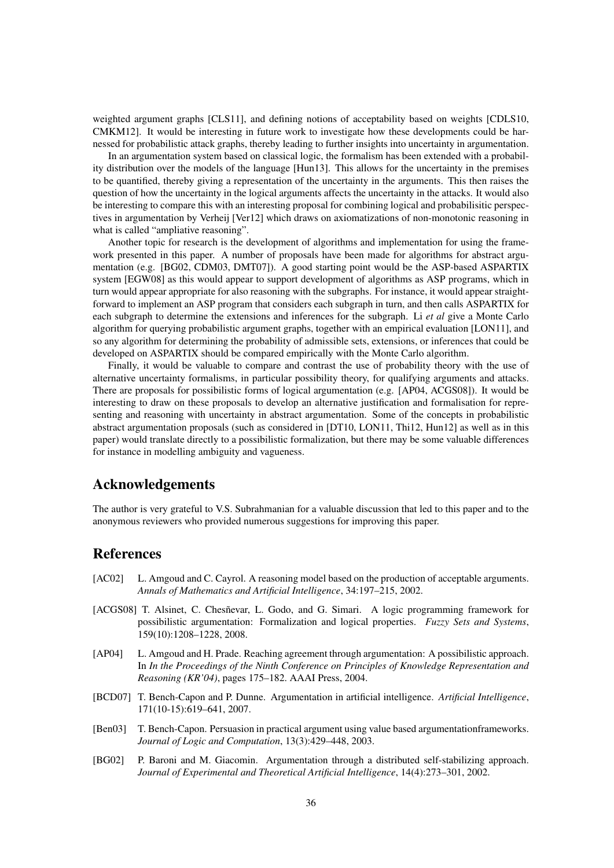weighted argument graphs [CLS11], and defining notions of acceptability based on weights [CDLS10, CMKM12]. It would be interesting in future work to investigate how these developments could be harnessed for probabilistic attack graphs, thereby leading to further insights into uncertainty in argumentation.

In an argumentation system based on classical logic, the formalism has been extended with a probability distribution over the models of the language [Hun13]. This allows for the uncertainty in the premises to be quantified, thereby giving a representation of the uncertainty in the arguments. This then raises the question of how the uncertainty in the logical arguments affects the uncertainty in the attacks. It would also be interesting to compare this with an interesting proposal for combining logical and probabilisitic perspectives in argumentation by Verheij [Ver12] which draws on axiomatizations of non-monotonic reasoning in what is called "ampliative reasoning".

Another topic for research is the development of algorithms and implementation for using the framework presented in this paper. A number of proposals have been made for algorithms for abstract argumentation (e.g. [BG02, CDM03, DMT07]). A good starting point would be the ASP-based ASPARTIX system [EGW08] as this would appear to support development of algorithms as ASP programs, which in turn would appear appropriate for also reasoning with the subgraphs. For instance, it would appear straightforward to implement an ASP program that considers each subgraph in turn, and then calls ASPARTIX for each subgraph to determine the extensions and inferences for the subgraph. Li *et al* give a Monte Carlo algorithm for querying probabilistic argument graphs, together with an empirical evaluation [LON11], and so any algorithm for determining the probability of admissible sets, extensions, or inferences that could be developed on ASPARTIX should be compared empirically with the Monte Carlo algorithm.

Finally, it would be valuable to compare and contrast the use of probability theory with the use of alternative uncertainty formalisms, in particular possibility theory, for qualifying arguments and attacks. There are proposals for possibilistic forms of logical argumentation (e.g. [AP04, ACGS08]). It would be interesting to draw on these proposals to develop an alternative justification and formalisation for representing and reasoning with uncertainty in abstract argumentation. Some of the concepts in probabilistic abstract argumentation proposals (such as considered in [DT10, LON11, Thi12, Hun12] as well as in this paper) would translate directly to a possibilistic formalization, but there may be some valuable differences for instance in modelling ambiguity and vagueness.

# Acknowledgements

The author is very grateful to V.S. Subrahmanian for a valuable discussion that led to this paper and to the anonymous reviewers who provided numerous suggestions for improving this paper.

## References

- [AC02] L. Amgoud and C. Cayrol. A reasoning model based on the production of acceptable arguments. *Annals of Mathematics and Artificial Intelligence*, 34:197–215, 2002.
- [ACGS08] T. Alsinet, C. Chesñevar, L. Godo, and G. Simari. A logic programming framework for possibilistic argumentation: Formalization and logical properties. *Fuzzy Sets and Systems*, 159(10):1208–1228, 2008.
- [AP04] L. Amgoud and H. Prade. Reaching agreement through argumentation: A possibilistic approach. In *In the Proceedings of the Ninth Conference on Principles of Knowledge Representation and Reasoning (KR'04)*, pages 175–182. AAAI Press, 2004.
- [BCD07] T. Bench-Capon and P. Dunne. Argumentation in artificial intelligence. *Artificial Intelligence*, 171(10-15):619–641, 2007.
- [Ben03] T. Bench-Capon. Persuasion in practical argument using value based argumentationframeworks. *Journal of Logic and Computation*, 13(3):429–448, 2003.
- [BG02] P. Baroni and M. Giacomin. Argumentation through a distributed self-stabilizing approach. *Journal of Experimental and Theoretical Artificial Intelligence*, 14(4):273–301, 2002.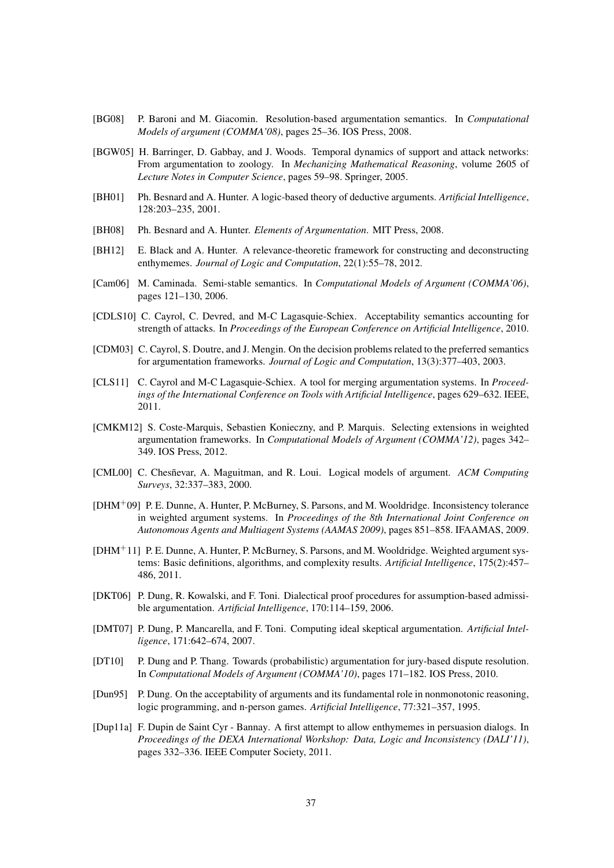- [BG08] P. Baroni and M. Giacomin. Resolution-based argumentation semantics. In *Computational Models of argument (COMMA'08)*, pages 25–36. IOS Press, 2008.
- [BGW05] H. Barringer, D. Gabbay, and J. Woods. Temporal dynamics of support and attack networks: From argumentation to zoology. In *Mechanizing Mathematical Reasoning*, volume 2605 of *Lecture Notes in Computer Science*, pages 59–98. Springer, 2005.
- [BH01] Ph. Besnard and A. Hunter. A logic-based theory of deductive arguments. *Artificial Intelligence*, 128:203–235, 2001.
- [BH08] Ph. Besnard and A. Hunter. *Elements of Argumentation*. MIT Press, 2008.
- [BH12] E. Black and A. Hunter. A relevance-theoretic framework for constructing and deconstructing enthymemes. *Journal of Logic and Computation*, 22(1):55–78, 2012.
- [Cam06] M. Caminada. Semi-stable semantics. In *Computational Models of Argument (COMMA'06)*, pages 121–130, 2006.
- [CDLS10] C. Cayrol, C. Devred, and M-C Lagasquie-Schiex. Acceptability semantics accounting for strength of attacks. In *Proceedings of the European Conference on Artificial Intelligence*, 2010.
- [CDM03] C. Cayrol, S. Doutre, and J. Mengin. On the decision problems related to the preferred semantics for argumentation frameworks. *Journal of Logic and Computation*, 13(3):377–403, 2003.
- [CLS11] C. Cayrol and M-C Lagasquie-Schiex. A tool for merging argumentation systems. In *Proceedings of the International Conference on Tools with Artificial Intelligence*, pages 629–632. IEEE, 2011.
- [CMKM12] S. Coste-Marquis, Sebastien Konieczny, and P. Marquis. Selecting extensions in weighted argumentation frameworks. In *Computational Models of Argument (COMMA'12)*, pages 342– 349. IOS Press, 2012.
- [CML00] C. Chesñevar, A. Maguitman, and R. Loui. Logical models of argument. ACM Computing *Surveys*, 32:337–383, 2000.
- [DHM<sup>+</sup>09] P. E. Dunne, A. Hunter, P. McBurney, S. Parsons, and M. Wooldridge. Inconsistency tolerance in weighted argument systems. In *Proceedings of the 8th International Joint Conference on Autonomous Agents and Multiagent Systems (AAMAS 2009)*, pages 851–858. IFAAMAS, 2009.
- [DHM<sup>+</sup>11] P. E. Dunne, A. Hunter, P. McBurney, S. Parsons, and M. Wooldridge. Weighted argument systems: Basic definitions, algorithms, and complexity results. *Artificial Intelligence*, 175(2):457– 486, 2011.
- [DKT06] P. Dung, R. Kowalski, and F. Toni. Dialectical proof procedures for assumption-based admissible argumentation. *Artificial Intelligence*, 170:114–159, 2006.
- [DMT07] P. Dung, P. Mancarella, and F. Toni. Computing ideal skeptical argumentation. *Artificial Intelligence*, 171:642–674, 2007.
- [DT10] P. Dung and P. Thang. Towards (probabilistic) argumentation for jury-based dispute resolution. In *Computational Models of Argument (COMMA'10)*, pages 171–182. IOS Press, 2010.
- [Dun95] P. Dung. On the acceptability of arguments and its fundamental role in nonmonotonic reasoning, logic programming, and n-person games. *Artificial Intelligence*, 77:321–357, 1995.
- [Dup11a] F. Dupin de Saint Cyr Bannay. A first attempt to allow enthymemes in persuasion dialogs. In *Proceedings of the DEXA International Workshop: Data, Logic and Inconsistency (DALI'11)*, pages 332–336. IEEE Computer Society, 2011.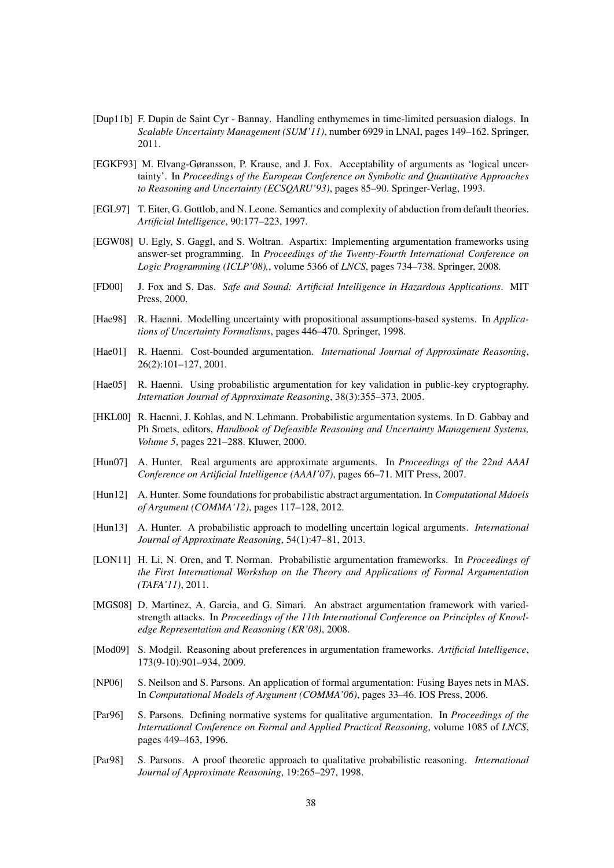- [Dup11b] F. Dupin de Saint Cyr Bannay. Handling enthymemes in time-limited persuasion dialogs. In *Scalable Uncertainty Management (SUM'11)*, number 6929 in LNAI, pages 149–162. Springer, 2011.
- [EGKF93] M. Elvang-Gøransson, P. Krause, and J. Fox. Acceptability of arguments as 'logical uncertainty'. In *Proceedings of the European Conference on Symbolic and Quantitative Approaches to Reasoning and Uncertainty (ECSQARU'93)*, pages 85–90. Springer-Verlag, 1993.
- [EGL97] T. Eiter, G. Gottlob, and N. Leone. Semantics and complexity of abduction from default theories. *Artificial Intelligence*, 90:177–223, 1997.
- [EGW08] U. Egly, S. Gaggl, and S. Woltran. Aspartix: Implementing argumentation frameworks using answer-set programming. In *Proceedings of the Twenty-Fourth International Conference on Logic Programming (ICLP'08),*, volume 5366 of *LNCS*, pages 734–738. Springer, 2008.
- [FD00] J. Fox and S. Das. *Safe and Sound: Artificial Intelligence in Hazardous Applications*. MIT Press, 2000.
- [Hae98] R. Haenni. Modelling uncertainty with propositional assumptions-based systems. In *Applications of Uncertainty Formalisms*, pages 446–470. Springer, 1998.
- [Hae01] R. Haenni. Cost-bounded argumentation. *International Journal of Approximate Reasoning*, 26(2):101–127, 2001.
- [Hae05] R. Haenni. Using probabilistic argumentation for key validation in public-key cryptography. *Internation Journal of Approximate Reasoning*, 38(3):355–373, 2005.
- [HKL00] R. Haenni, J. Kohlas, and N. Lehmann. Probabilistic argumentation systems. In D. Gabbay and Ph Smets, editors, *Handbook of Defeasible Reasoning and Uncertainty Management Systems, Volume 5*, pages 221–288. Kluwer, 2000.
- [Hun07] A. Hunter. Real arguments are approximate arguments. In *Proceedings of the 22nd AAAI Conference on Artificial Intelligence (AAAI'07)*, pages 66–71. MIT Press, 2007.
- [Hun12] A. Hunter. Some foundations for probabilistic abstract argumentation. In *Computational Mdoels of Argument (COMMA'12)*, pages 117–128, 2012.
- [Hun13] A. Hunter. A probabilistic approach to modelling uncertain logical arguments. *International Journal of Approximate Reasoning*, 54(1):47–81, 2013.
- [LON11] H. Li, N. Oren, and T. Norman. Probabilistic argumentation frameworks. In *Proceedings of the First International Workshop on the Theory and Applications of Formal Argumentation (TAFA'11)*, 2011.
- [MGS08] D. Martinez, A. Garcia, and G. Simari. An abstract argumentation framework with variedstrength attacks. In *Proceedings of the 11th International Conference on Principles of Knowledge Representation and Reasoning (KR'08)*, 2008.
- [Mod09] S. Modgil. Reasoning about preferences in argumentation frameworks. *Artificial Intelligence*, 173(9-10):901–934, 2009.
- [NP06] S. Neilson and S. Parsons. An application of formal argumentation: Fusing Bayes nets in MAS. In *Computational Models of Argument (COMMA'06)*, pages 33–46. IOS Press, 2006.
- [Par96] S. Parsons. Defining normative systems for qualitative argumentation. In *Proceedings of the International Conference on Formal and Applied Practical Reasoning*, volume 1085 of *LNCS*, pages 449–463, 1996.
- [Par98] S. Parsons. A proof theoretic approach to qualitative probabilistic reasoning. *International Journal of Approximate Reasoning*, 19:265–297, 1998.